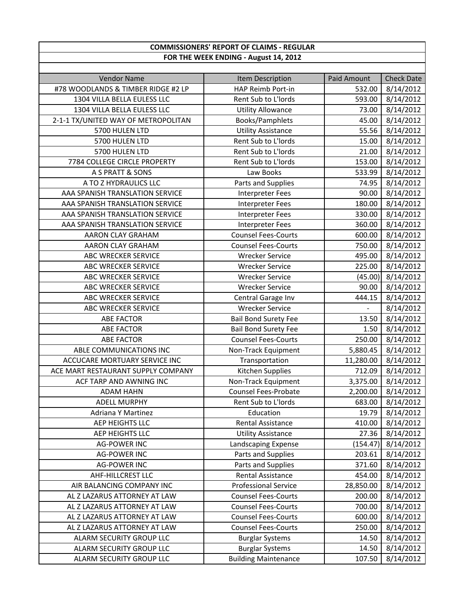| <b>COMMISSIONERS' REPORT OF CLAIMS - REGULAR</b> |                             |               |                   |
|--------------------------------------------------|-----------------------------|---------------|-------------------|
| FOR THE WEEK ENDING - August 14, 2012            |                             |               |                   |
|                                                  |                             |               |                   |
| <b>Vendor Name</b>                               | Item Description            | Paid Amount   | <b>Check Date</b> |
| #78 WOODLANDS & TIMBER RIDGE #2 LP               | HAP Reimb Port-in           | 532.00        | 8/14/2012         |
| 1304 VILLA BELLA EULESS LLC                      | Rent Sub to L'Iords         | 593.00        | 8/14/2012         |
| 1304 VILLA BELLA EULESS LLC                      | <b>Utility Allowance</b>    | 73.00         | 8/14/2012         |
| 2-1-1 TX/UNITED WAY OF METROPOLITAN              | Books/Pamphlets             | 45.00         | 8/14/2012         |
| 5700 HULEN LTD                                   | <b>Utility Assistance</b>   | 55.56         | 8/14/2012         |
| 5700 HULEN LTD                                   | Rent Sub to L'Iords         | 15.00         | 8/14/2012         |
| 5700 HULEN LTD                                   | Rent Sub to L'Iords         | 21.00         | 8/14/2012         |
| 7784 COLLEGE CIRCLE PROPERTY                     | Rent Sub to L'Iords         | 153.00        | 8/14/2012         |
| A S PRATT & SONS                                 | Law Books                   | 533.99        | 8/14/2012         |
| A TO Z HYDRAULICS LLC                            | Parts and Supplies          | 74.95         | 8/14/2012         |
| AAA SPANISH TRANSLATION SERVICE                  | <b>Interpreter Fees</b>     | 90.00         | 8/14/2012         |
| AAA SPANISH TRANSLATION SERVICE                  | <b>Interpreter Fees</b>     | 180.00        | 8/14/2012         |
| AAA SPANISH TRANSLATION SERVICE                  | <b>Interpreter Fees</b>     | 330.00        | 8/14/2012         |
| AAA SPANISH TRANSLATION SERVICE                  | <b>Interpreter Fees</b>     | 360.00        | 8/14/2012         |
| AARON CLAY GRAHAM                                | <b>Counsel Fees-Courts</b>  | 600.00        | 8/14/2012         |
| AARON CLAY GRAHAM                                | <b>Counsel Fees-Courts</b>  | 750.00        | 8/14/2012         |
| ABC WRECKER SERVICE                              | <b>Wrecker Service</b>      | 495.00        | 8/14/2012         |
| <b>ABC WRECKER SERVICE</b>                       | <b>Wrecker Service</b>      | 225.00        | 8/14/2012         |
| ABC WRECKER SERVICE                              | <b>Wrecker Service</b>      | (45.00)       | 8/14/2012         |
| ABC WRECKER SERVICE                              | <b>Wrecker Service</b>      | 90.00         | 8/14/2012         |
| ABC WRECKER SERVICE                              | Central Garage Inv          | 444.15        | 8/14/2012         |
| ABC WRECKER SERVICE                              | <b>Wrecker Service</b>      | $\frac{1}{2}$ | 8/14/2012         |
| <b>ABE FACTOR</b>                                | <b>Bail Bond Surety Fee</b> | 13.50         | 8/14/2012         |
| <b>ABE FACTOR</b>                                | <b>Bail Bond Surety Fee</b> | 1.50          | 8/14/2012         |
| <b>ABE FACTOR</b>                                | <b>Counsel Fees-Courts</b>  | 250.00        | 8/14/2012         |
| ABLE COMMUNICATIONS INC                          | Non-Track Equipment         | 5,880.45      | 8/14/2012         |
| ACCUCARE MORTUARY SERVICE INC                    | Transportation              | 11,280.00     | 8/14/2012         |
| ACE MART RESTAURANT SUPPLY COMPANY               | Kitchen Supplies            | 712.09        | 8/14/2012         |
| ACF TARP AND AWNING INC                          | Non-Track Equipment         | 3,375.00      | 8/14/2012         |
| <b>ADAM HAHN</b>                                 | Counsel Fees-Probate        | 2,200.00      | 8/14/2012         |
| <b>ADELL MURPHY</b>                              | Rent Sub to L'Iords         | 683.00        | 8/14/2012         |
| <b>Adriana Y Martinez</b>                        | Education                   | 19.79         | 8/14/2012         |
| <b>AEP HEIGHTS LLC</b>                           | Rental Assistance           | 410.00        | 8/14/2012         |
| AEP HEIGHTS LLC                                  | <b>Utility Assistance</b>   | 27.36         | 8/14/2012         |
| <b>AG-POWER INC</b>                              | Landscaping Expense         | (154.47)      | 8/14/2012         |
| <b>AG-POWER INC</b>                              | Parts and Supplies          | 203.61        | 8/14/2012         |
| <b>AG-POWER INC</b>                              | Parts and Supplies          | 371.60        | 8/14/2012         |
| <b>AHF-HILLCREST LLC</b>                         | Rental Assistance           | 454.00        | 8/14/2012         |
| AIR BALANCING COMPANY INC                        | <b>Professional Service</b> | 28,850.00     | 8/14/2012         |
| AL Z LAZARUS ATTORNEY AT LAW                     | <b>Counsel Fees-Courts</b>  | 200.00        | 8/14/2012         |
| AL Z LAZARUS ATTORNEY AT LAW                     | <b>Counsel Fees-Courts</b>  | 700.00        | 8/14/2012         |
| AL Z LAZARUS ATTORNEY AT LAW                     | <b>Counsel Fees-Courts</b>  | 600.00        | 8/14/2012         |
| AL Z LAZARUS ATTORNEY AT LAW                     | <b>Counsel Fees-Courts</b>  | 250.00        | 8/14/2012         |
| ALARM SECURITY GROUP LLC                         | <b>Burglar Systems</b>      | 14.50         | 8/14/2012         |
| ALARM SECURITY GROUP LLC                         | <b>Burglar Systems</b>      | 14.50         | 8/14/2012         |
| ALARM SECURITY GROUP LLC                         | <b>Building Maintenance</b> | 107.50        | 8/14/2012         |

 $\mathbf I$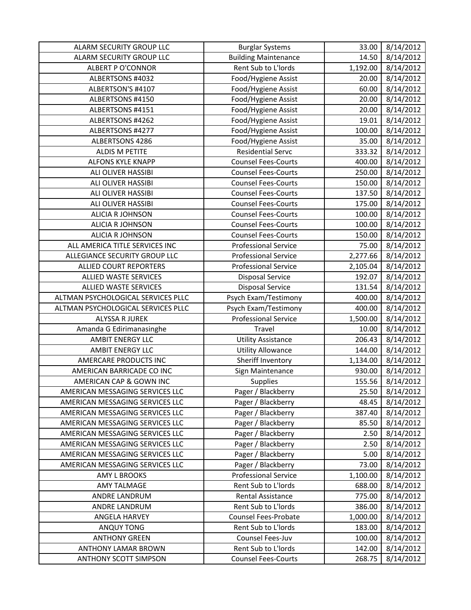| ALARM SECURITY GROUP LLC           | <b>Burglar Systems</b>      | 33.00                 | 8/14/2012 |
|------------------------------------|-----------------------------|-----------------------|-----------|
| <b>ALARM SECURITY GROUP LLC</b>    | <b>Building Maintenance</b> | 14.50                 | 8/14/2012 |
| <b>ALBERT P O'CONNOR</b>           | Rent Sub to L'Iords         | $\overline{1,}192.00$ | 8/14/2012 |
| ALBERTSONS #4032                   | Food/Hygiene Assist         | 20.00                 | 8/14/2012 |
| ALBERTSON'S #4107                  | Food/Hygiene Assist         | 60.00                 | 8/14/2012 |
| ALBERTSONS #4150                   | Food/Hygiene Assist         | 20.00                 | 8/14/2012 |
| ALBERTSONS #4151                   | Food/Hygiene Assist         | 20.00                 | 8/14/2012 |
| ALBERTSONS #4262                   | Food/Hygiene Assist         | 19.01                 | 8/14/2012 |
| ALBERTSONS #4277                   | Food/Hygiene Assist         | 100.00                | 8/14/2012 |
| ALBERTSONS 4286                    | Food/Hygiene Assist         | 35.00                 | 8/14/2012 |
| <b>ALDIS M PETITE</b>              | <b>Residential Servc</b>    | 333.32                | 8/14/2012 |
| <b>ALFONS KYLE KNAPP</b>           | <b>Counsel Fees-Courts</b>  | 400.00                | 8/14/2012 |
| ALI OLIVER HASSIBI                 | <b>Counsel Fees-Courts</b>  | 250.00                | 8/14/2012 |
| ALI OLIVER HASSIBI                 | <b>Counsel Fees-Courts</b>  | 150.00                | 8/14/2012 |
| ALI OLIVER HASSIBI                 | <b>Counsel Fees-Courts</b>  | 137.50                | 8/14/2012 |
| ALI OLIVER HASSIBI                 | <b>Counsel Fees-Courts</b>  | 175.00                | 8/14/2012 |
| <b>ALICIA R JOHNSON</b>            | <b>Counsel Fees-Courts</b>  | 100.00                | 8/14/2012 |
| <b>ALICIA R JOHNSON</b>            | <b>Counsel Fees-Courts</b>  | 100.00                | 8/14/2012 |
| <b>ALICIA R JOHNSON</b>            | <b>Counsel Fees-Courts</b>  | 150.00                | 8/14/2012 |
| ALL AMERICA TITLE SERVICES INC     | <b>Professional Service</b> | 75.00                 | 8/14/2012 |
| ALLEGIANCE SECURITY GROUP LLC      | <b>Professional Service</b> | 2,277.66              | 8/14/2012 |
| ALLIED COURT REPORTERS             | <b>Professional Service</b> | 2,105.04              | 8/14/2012 |
| ALLIED WASTE SERVICES              | <b>Disposal Service</b>     | 192.07                | 8/14/2012 |
| ALLIED WASTE SERVICES              | <b>Disposal Service</b>     | 131.54                | 8/14/2012 |
| ALTMAN PSYCHOLOGICAL SERVICES PLLC | Psych Exam/Testimony        | 400.00                | 8/14/2012 |
|                                    |                             |                       |           |
| ALTMAN PSYCHOLOGICAL SERVICES PLLC | Psych Exam/Testimony        | 400.00                | 8/14/2012 |
| <b>ALYSSA R JUREK</b>              | <b>Professional Service</b> | 1,500.00              | 8/14/2012 |
| Amanda G Edirimanasinghe           | Travel                      | 10.00                 | 8/14/2012 |
| <b>AMBIT ENERGY LLC</b>            | <b>Utility Assistance</b>   | 206.43                | 8/14/2012 |
| <b>AMBIT ENERGY LLC</b>            | <b>Utility Allowance</b>    | 144.00                | 8/14/2012 |
| AMERCARE PRODUCTS INC              | Sheriff Inventory           | 1,134.00              | 8/14/2012 |
| AMERICAN BARRICADE CO INC          | Sign Maintenance            | 930.00                | 8/14/2012 |
| AMERICAN CAP & GOWN INC            | Supplies                    | 155.56                | 8/14/2012 |
| AMERICAN MESSAGING SERVICES LLC    | Pager / Blackberry          | 25.50                 | 8/14/2012 |
| AMERICAN MESSAGING SERVICES LLC    | Pager / Blackberry          | 48.45                 | 8/14/2012 |
| AMERICAN MESSAGING SERVICES LLC    | Pager / Blackberry          | 387.40                | 8/14/2012 |
| AMERICAN MESSAGING SERVICES LLC    | Pager / Blackberry          | 85.50                 | 8/14/2012 |
| AMERICAN MESSAGING SERVICES LLC    | Pager / Blackberry          | 2.50                  | 8/14/2012 |
| AMERICAN MESSAGING SERVICES LLC    | Pager / Blackberry          | 2.50                  | 8/14/2012 |
| AMERICAN MESSAGING SERVICES LLC    | Pager / Blackberry          | 5.00                  | 8/14/2012 |
| AMERICAN MESSAGING SERVICES LLC    | Pager / Blackberry          | 73.00                 | 8/14/2012 |
| <b>AMY L BROOKS</b>                | <b>Professional Service</b> | 1,100.00              | 8/14/2012 |
| <b>AMY TALMAGE</b>                 | Rent Sub to L'Iords         | 688.00                | 8/14/2012 |
| ANDRE LANDRUM                      | <b>Rental Assistance</b>    | 775.00                | 8/14/2012 |
| ANDRE LANDRUM                      | Rent Sub to L'Iords         | 386.00                | 8/14/2012 |
| ANGELA HARVEY                      | Counsel Fees-Probate        | 1,000.00              | 8/14/2012 |
| ANQUY TONG                         | Rent Sub to L'Iords         | 183.00                | 8/14/2012 |
| <b>ANTHONY GREEN</b>               | Counsel Fees-Juv            | 100.00                | 8/14/2012 |
| <b>ANTHONY LAMAR BROWN</b>         | Rent Sub to L'Iords         | 142.00                | 8/14/2012 |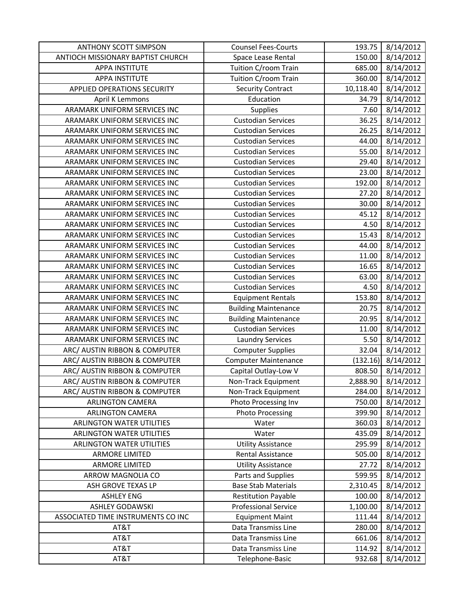| <b>ANTHONY SCOTT SIMPSON</b>        | <b>Counsel Fees-Courts</b>  | 193.75    | 8/14/2012 |
|-------------------------------------|-----------------------------|-----------|-----------|
| ANTIOCH MISSIONARY BAPTIST CHURCH   | Space Lease Rental          | 150.00    | 8/14/2012 |
| <b>APPA INSTITUTE</b>               | Tuition C/room Train        | 685.00    | 8/14/2012 |
| <b>APPA INSTITUTE</b>               | Tuition C/room Train        | 360.00    | 8/14/2012 |
| <b>APPLIED OPERATIONS SECURITY</b>  | <b>Security Contract</b>    | 10,118.40 | 8/14/2012 |
| <b>April K Lemmons</b>              | Education                   | 34.79     | 8/14/2012 |
| ARAMARK UNIFORM SERVICES INC        | <b>Supplies</b>             | 7.60      | 8/14/2012 |
| ARAMARK UNIFORM SERVICES INC        | <b>Custodian Services</b>   | 36.25     | 8/14/2012 |
| ARAMARK UNIFORM SERVICES INC        | <b>Custodian Services</b>   | 26.25     | 8/14/2012 |
| ARAMARK UNIFORM SERVICES INC        | <b>Custodian Services</b>   | 44.00     | 8/14/2012 |
| ARAMARK UNIFORM SERVICES INC        | <b>Custodian Services</b>   | 55.00     | 8/14/2012 |
| ARAMARK UNIFORM SERVICES INC        | <b>Custodian Services</b>   | 29.40     | 8/14/2012 |
| ARAMARK UNIFORM SERVICES INC        | <b>Custodian Services</b>   | 23.00     | 8/14/2012 |
| ARAMARK UNIFORM SERVICES INC        | <b>Custodian Services</b>   | 192.00    | 8/14/2012 |
| ARAMARK UNIFORM SERVICES INC        | <b>Custodian Services</b>   | 27.20     | 8/14/2012 |
| <b>ARAMARK UNIFORM SERVICES INC</b> | <b>Custodian Services</b>   | 30.00     | 8/14/2012 |
| ARAMARK UNIFORM SERVICES INC        | <b>Custodian Services</b>   | 45.12     | 8/14/2012 |
| ARAMARK UNIFORM SERVICES INC        | <b>Custodian Services</b>   | 4.50      | 8/14/2012 |
| ARAMARK UNIFORM SERVICES INC        | <b>Custodian Services</b>   | 15.43     | 8/14/2012 |
| ARAMARK UNIFORM SERVICES INC        | <b>Custodian Services</b>   | 44.00     | 8/14/2012 |
| ARAMARK UNIFORM SERVICES INC        | <b>Custodian Services</b>   | 11.00     | 8/14/2012 |
| ARAMARK UNIFORM SERVICES INC        | <b>Custodian Services</b>   | 16.65     | 8/14/2012 |
| ARAMARK UNIFORM SERVICES INC        | <b>Custodian Services</b>   | 63.00     | 8/14/2012 |
| ARAMARK UNIFORM SERVICES INC        | <b>Custodian Services</b>   | 4.50      | 8/14/2012 |
| ARAMARK UNIFORM SERVICES INC        | <b>Equipment Rentals</b>    | 153.80    | 8/14/2012 |
| ARAMARK UNIFORM SERVICES INC        | <b>Building Maintenance</b> | 20.75     | 8/14/2012 |
| ARAMARK UNIFORM SERVICES INC        | <b>Building Maintenance</b> | 20.95     | 8/14/2012 |
| ARAMARK UNIFORM SERVICES INC        | <b>Custodian Services</b>   | 11.00     | 8/14/2012 |
| ARAMARK UNIFORM SERVICES INC        | <b>Laundry Services</b>     | 5.50      | 8/14/2012 |
| ARC/ AUSTIN RIBBON & COMPUTER       | <b>Computer Supplies</b>    | 32.04     | 8/14/2012 |
| ARC/ AUSTIN RIBBON & COMPUTER       | <b>Computer Maintenance</b> | (132.16)  | 8/14/2012 |
| ARC/ AUSTIN RIBBON & COMPUTER       | Capital Outlay-Low V        | 808.50    | 8/14/2012 |
| ARC/ AUSTIN RIBBON & COMPUTER       | Non-Track Equipment         | 2,888.90  | 8/14/2012 |
| ARC/ AUSTIN RIBBON & COMPUTER       | Non-Track Equipment         | 284.00    | 8/14/2012 |
| <b>ARLINGTON CAMERA</b>             | Photo Processing Inv        | 750.00    | 8/14/2012 |
| <b>ARLINGTON CAMERA</b>             | <b>Photo Processing</b>     | 399.90    | 8/14/2012 |
| ARLINGTON WATER UTILITIES           | Water                       | 360.03    | 8/14/2012 |
| ARLINGTON WATER UTILITIES           | Water                       | 435.09    | 8/14/2012 |
| <b>ARLINGTON WATER UTILITIES</b>    | <b>Utility Assistance</b>   | 295.99    | 8/14/2012 |
| <b>ARMORE LIMITED</b>               | <b>Rental Assistance</b>    | 505.00    | 8/14/2012 |
| <b>ARMORE LIMITED</b>               | <b>Utility Assistance</b>   | 27.72     | 8/14/2012 |
| ARROW MAGNOLIA CO                   | Parts and Supplies          | 599.95    | 8/14/2012 |
| ASH GROVE TEXAS LP                  | <b>Base Stab Materials</b>  | 2,310.45  | 8/14/2012 |
| <b>ASHLEY ENG</b>                   | <b>Restitution Payable</b>  | 100.00    | 8/14/2012 |
| <b>ASHLEY GODAWSKI</b>              | <b>Professional Service</b> | 1,100.00  | 8/14/2012 |
| ASSOCIATED TIME INSTRUMENTS CO INC  | <b>Equipment Maint</b>      | 111.44    | 8/14/2012 |
| AT&T                                | Data Transmiss Line         | 280.00    | 8/14/2012 |
| AT&T                                | Data Transmiss Line         | 661.06    | 8/14/2012 |
| AT&T                                | Data Transmiss Line         | 114.92    | 8/14/2012 |
| AT&T                                | Telephone-Basic             | 932.68    | 8/14/2012 |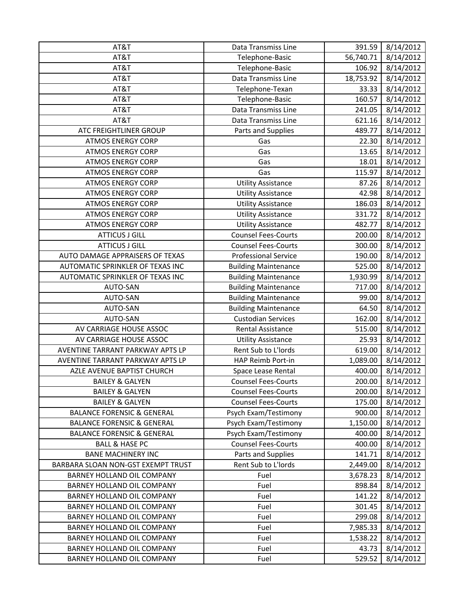| AT&T                                  | Data Transmiss Line         | 391.59    | 8/14/2012 |
|---------------------------------------|-----------------------------|-----------|-----------|
| AT&T                                  | Telephone-Basic             | 56,740.71 | 8/14/2012 |
| AT&T                                  | Telephone-Basic             | 106.92    | 8/14/2012 |
| AT&T                                  | Data Transmiss Line         | 18,753.92 | 8/14/2012 |
| AT&T                                  | Telephone-Texan             | 33.33     | 8/14/2012 |
| AT&T                                  | Telephone-Basic             | 160.57    | 8/14/2012 |
| AT&T                                  | Data Transmiss Line         | 241.05    | 8/14/2012 |
| AT&T                                  | Data Transmiss Line         | 621.16    | 8/14/2012 |
| ATC FREIGHTLINER GROUP                | Parts and Supplies          | 489.77    | 8/14/2012 |
| <b>ATMOS ENERGY CORP</b>              | Gas                         | 22.30     | 8/14/2012 |
| <b>ATMOS ENERGY CORP</b>              | Gas                         | 13.65     | 8/14/2012 |
| <b>ATMOS ENERGY CORP</b>              | Gas                         | 18.01     | 8/14/2012 |
| <b>ATMOS ENERGY CORP</b>              | Gas                         | 115.97    | 8/14/2012 |
| <b>ATMOS ENERGY CORP</b>              | <b>Utility Assistance</b>   | 87.26     | 8/14/2012 |
| <b>ATMOS ENERGY CORP</b>              | <b>Utility Assistance</b>   | 42.98     | 8/14/2012 |
| <b>ATMOS ENERGY CORP</b>              | <b>Utility Assistance</b>   | 186.03    | 8/14/2012 |
| <b>ATMOS ENERGY CORP</b>              | <b>Utility Assistance</b>   | 331.72    | 8/14/2012 |
| <b>ATMOS ENERGY CORP</b>              | <b>Utility Assistance</b>   | 482.77    | 8/14/2012 |
| <b>ATTICUS J GILL</b>                 | <b>Counsel Fees-Courts</b>  | 200.00    | 8/14/2012 |
| <b>ATTICUS J GILL</b>                 | <b>Counsel Fees-Courts</b>  | 300.00    | 8/14/2012 |
| AUTO DAMAGE APPRAISERS OF TEXAS       | <b>Professional Service</b> | 190.00    | 8/14/2012 |
| AUTOMATIC SPRINKLER OF TEXAS INC      | <b>Building Maintenance</b> | 525.00    | 8/14/2012 |
| AUTOMATIC SPRINKLER OF TEXAS INC      | <b>Building Maintenance</b> | 1,930.99  | 8/14/2012 |
| AUTO-SAN                              | <b>Building Maintenance</b> | 717.00    | 8/14/2012 |
| AUTO-SAN                              | <b>Building Maintenance</b> | 99.00     | 8/14/2012 |
| AUTO-SAN                              | <b>Building Maintenance</b> | 64.50     | 8/14/2012 |
| AUTO-SAN                              | <b>Custodian Services</b>   | 162.00    | 8/14/2012 |
| AV CARRIAGE HOUSE ASSOC               | Rental Assistance           | 515.00    | 8/14/2012 |
| AV CARRIAGE HOUSE ASSOC               | <b>Utility Assistance</b>   | 25.93     | 8/14/2012 |
| AVENTINE TARRANT PARKWAY APTS LP      | Rent Sub to L'Iords         | 619.00    | 8/14/2012 |
| AVENTINE TARRANT PARKWAY APTS LP      | HAP Reimb Port-in           | 1,089.00  | 8/14/2012 |
| AZLE AVENUE BAPTIST CHURCH            | Space Lease Rental          | 400.00    | 8/14/2012 |
| <b>BAILEY &amp; GALYEN</b>            | <b>Counsel Fees-Courts</b>  | 200.00    | 8/14/2012 |
| <b>BAILEY &amp; GALYEN</b>            | <b>Counsel Fees-Courts</b>  | 200.00    | 8/14/2012 |
| <b>BAILEY &amp; GALYEN</b>            | <b>Counsel Fees-Courts</b>  | 175.00    | 8/14/2012 |
| <b>BALANCE FORENSIC &amp; GENERAL</b> | Psych Exam/Testimony        | 900.00    | 8/14/2012 |
| <b>BALANCE FORENSIC &amp; GENERAL</b> | Psych Exam/Testimony        | 1,150.00  | 8/14/2012 |
| <b>BALANCE FORENSIC &amp; GENERAL</b> | Psych Exam/Testimony        | 400.00    | 8/14/2012 |
| <b>BALL &amp; HASE PC</b>             | <b>Counsel Fees-Courts</b>  | 400.00    | 8/14/2012 |
| <b>BANE MACHINERY INC</b>             | Parts and Supplies          | 141.71    | 8/14/2012 |
| BARBARA SLOAN NON-GST EXEMPT TRUST    | Rent Sub to L'Iords         | 2,449.00  | 8/14/2012 |
| BARNEY HOLLAND OIL COMPANY            | Fuel                        | 3,678.23  | 8/14/2012 |
| BARNEY HOLLAND OIL COMPANY            | Fuel                        | 898.84    | 8/14/2012 |
| BARNEY HOLLAND OIL COMPANY            | Fuel                        | 141.22    | 8/14/2012 |
| BARNEY HOLLAND OIL COMPANY            | Fuel                        | 301.45    | 8/14/2012 |
| BARNEY HOLLAND OIL COMPANY            | Fuel                        | 299.08    | 8/14/2012 |
| BARNEY HOLLAND OIL COMPANY            | Fuel                        | 7,985.33  | 8/14/2012 |
| BARNEY HOLLAND OIL COMPANY            | Fuel                        | 1,538.22  | 8/14/2012 |
| <b>BARNEY HOLLAND OIL COMPANY</b>     | Fuel                        | 43.73     | 8/14/2012 |
| BARNEY HOLLAND OIL COMPANY            | Fuel                        | 529.52    | 8/14/2012 |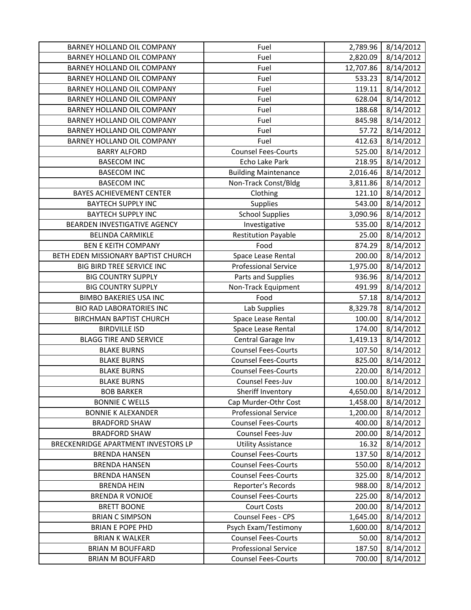| <b>BARNEY HOLLAND OIL COMPANY</b>   | Fuel                                                      | 2,789.96  | 8/14/2012 |
|-------------------------------------|-----------------------------------------------------------|-----------|-----------|
| BARNEY HOLLAND OIL COMPANY          | Fuel                                                      | 2,820.09  | 8/14/2012 |
| BARNEY HOLLAND OIL COMPANY          | Fuel                                                      | 12,707.86 | 8/14/2012 |
| <b>BARNEY HOLLAND OIL COMPANY</b>   | Fuel                                                      | 533.23    | 8/14/2012 |
| BARNEY HOLLAND OIL COMPANY          | Fuel                                                      | 119.11    | 8/14/2012 |
| <b>BARNEY HOLLAND OIL COMPANY</b>   | Fuel                                                      | 628.04    | 8/14/2012 |
| BARNEY HOLLAND OIL COMPANY          | Fuel                                                      | 188.68    | 8/14/2012 |
| BARNEY HOLLAND OIL COMPANY          | Fuel                                                      | 845.98    | 8/14/2012 |
| BARNEY HOLLAND OIL COMPANY          | Fuel                                                      | 57.72     | 8/14/2012 |
| <b>BARNEY HOLLAND OIL COMPANY</b>   | Fuel                                                      | 412.63    | 8/14/2012 |
| <b>BARRY ALFORD</b>                 | <b>Counsel Fees-Courts</b>                                | 525.00    | 8/14/2012 |
| <b>BASECOM INC</b>                  | Echo Lake Park                                            | 218.95    | 8/14/2012 |
| <b>BASECOM INC</b>                  | <b>Building Maintenance</b>                               | 2,016.46  | 8/14/2012 |
| <b>BASECOM INC</b>                  | Non-Track Const/Bldg                                      | 3,811.86  | 8/14/2012 |
| <b>BAYES ACHIEVEMENT CENTER</b>     | Clothing                                                  | 121.10    | 8/14/2012 |
| <b>BAYTECH SUPPLY INC</b>           | Supplies                                                  | 543.00    | 8/14/2012 |
| <b>BAYTECH SUPPLY INC</b>           | <b>School Supplies</b>                                    | 3,090.96  | 8/14/2012 |
| BEARDEN INVESTIGATIVE AGENCY        | Investigative                                             | 535.00    | 8/14/2012 |
| <b>BELINDA CARMIKLE</b>             | <b>Restitution Payable</b>                                | 25.00     | 8/14/2012 |
| <b>BEN E KEITH COMPANY</b>          | Food                                                      | 874.29    | 8/14/2012 |
| BETH EDEN MISSIONARY BAPTIST CHURCH | Space Lease Rental                                        | 200.00    | 8/14/2012 |
| BIG BIRD TREE SERVICE INC           | <b>Professional Service</b>                               | 1,975.00  | 8/14/2012 |
| <b>BIG COUNTRY SUPPLY</b>           | Parts and Supplies                                        | 936.96    | 8/14/2012 |
| <b>BIG COUNTRY SUPPLY</b>           | Non-Track Equipment                                       | 491.99    | 8/14/2012 |
| <b>BIMBO BAKERIES USA INC</b>       | Food                                                      | 57.18     | 8/14/2012 |
|                                     |                                                           |           |           |
| <b>BIO RAD LABORATORIES INC</b>     | Lab Supplies                                              | 8,329.78  | 8/14/2012 |
| <b>BIRCHMAN BAPTIST CHURCH</b>      | Space Lease Rental                                        | 100.00    | 8/14/2012 |
| <b>BIRDVILLE ISD</b>                | Space Lease Rental                                        | 174.00    | 8/14/2012 |
| <b>BLAGG TIRE AND SERVICE</b>       | Central Garage Inv                                        | 1,419.13  | 8/14/2012 |
| <b>BLAKE BURNS</b>                  | <b>Counsel Fees-Courts</b>                                | 107.50    | 8/14/2012 |
| <b>BLAKE BURNS</b>                  | <b>Counsel Fees-Courts</b>                                | 825.00    | 8/14/2012 |
| <b>BLAKE BURNS</b>                  | <b>Counsel Fees-Courts</b>                                | 220.00    | 8/14/2012 |
| <b>BLAKE BURNS</b>                  | Counsel Fees-Juv                                          | 100.00    | 8/14/2012 |
| <b>BOB BARKER</b>                   | Sheriff Inventory                                         | 4,650.00  | 8/14/2012 |
| <b>BONNIE C WELLS</b>               | Cap Murder-Othr Cost                                      | 1,458.00  | 8/14/2012 |
| <b>BONNIE K ALEXANDER</b>           | <b>Professional Service</b>                               | 1,200.00  | 8/14/2012 |
| <b>BRADFORD SHAW</b>                | <b>Counsel Fees-Courts</b>                                | 400.00    | 8/14/2012 |
| <b>BRADFORD SHAW</b>                | Counsel Fees-Juv                                          | 200.00    | 8/14/2012 |
| BRECKENRIDGE APARTMENT INVESTORS LP | <b>Utility Assistance</b>                                 | 16.32     | 8/14/2012 |
| <b>BRENDA HANSEN</b>                | <b>Counsel Fees-Courts</b>                                | 137.50    | 8/14/2012 |
| <b>BRENDA HANSEN</b>                | <b>Counsel Fees-Courts</b>                                | 550.00    | 8/14/2012 |
| <b>BRENDA HANSEN</b>                | <b>Counsel Fees-Courts</b>                                | 325.00    | 8/14/2012 |
| <b>BRENDA HEIN</b>                  | <b>Reporter's Records</b>                                 | 988.00    | 8/14/2012 |
| <b>BRENDA R VONJOE</b>              | <b>Counsel Fees-Courts</b>                                | 225.00    | 8/14/2012 |
| <b>BRETT BOONE</b>                  | <b>Court Costs</b>                                        | 200.00    | 8/14/2012 |
| <b>BRIAN C SIMPSON</b>              | <b>Counsel Fees - CPS</b>                                 | 1,645.00  | 8/14/2012 |
| <b>BRIAN E POPE PHD</b>             | Psych Exam/Testimony                                      | 1,600.00  | 8/14/2012 |
| <b>BRIAN K WALKER</b>               | <b>Counsel Fees-Courts</b>                                | 50.00     | 8/14/2012 |
| <b>BRIAN M BOUFFARD</b>             | <b>Professional Service</b><br><b>Counsel Fees-Courts</b> | 187.50    | 8/14/2012 |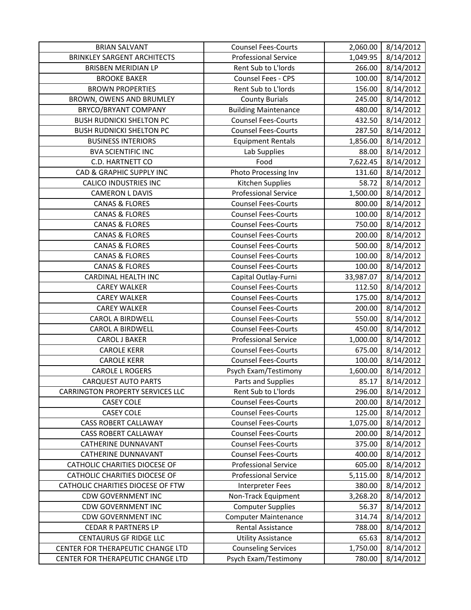| <b>BRIAN SALVANT</b>                    | <b>Counsel Fees-Courts</b>  | 2,060.00  | 8/14/2012 |
|-----------------------------------------|-----------------------------|-----------|-----------|
| <b>BRINKLEY SARGENT ARCHITECTS</b>      | <b>Professional Service</b> | 1,049.95  | 8/14/2012 |
| <b>BRISBEN MERIDIAN LP</b>              | Rent Sub to L'Iords         | 266.00    | 8/14/2012 |
| <b>BROOKE BAKER</b>                     | Counsel Fees - CPS          | 100.00    | 8/14/2012 |
| <b>BROWN PROPERTIES</b>                 | Rent Sub to L'Iords         | 156.00    | 8/14/2012 |
| BROWN, OWENS AND BRUMLEY                | <b>County Burials</b>       | 245.00    | 8/14/2012 |
| BRYCO/BRYANT COMPANY                    | <b>Building Maintenance</b> | 480.00    | 8/14/2012 |
| <b>BUSH RUDNICKI SHELTON PC</b>         | <b>Counsel Fees-Courts</b>  | 432.50    | 8/14/2012 |
| <b>BUSH RUDNICKI SHELTON PC</b>         | <b>Counsel Fees-Courts</b>  | 287.50    | 8/14/2012 |
| <b>BUSINESS INTERIORS</b>               | <b>Equipment Rentals</b>    | 1,856.00  | 8/14/2012 |
| <b>BVA SCIENTIFIC INC</b>               | Lab Supplies                | 88.00     | 8/14/2012 |
| C.D. HARTNETT CO                        | Food                        | 7,622.45  | 8/14/2012 |
| CAD & GRAPHIC SUPPLY INC                | Photo Processing Inv        | 131.60    | 8/14/2012 |
| <b>CALICO INDUSTRIES INC</b>            | Kitchen Supplies            | 58.72     | 8/14/2012 |
| <b>CAMERON L DAVIS</b>                  | <b>Professional Service</b> | 1,500.00  | 8/14/2012 |
| <b>CANAS &amp; FLORES</b>               | <b>Counsel Fees-Courts</b>  | 800.00    | 8/14/2012 |
| <b>CANAS &amp; FLORES</b>               | <b>Counsel Fees-Courts</b>  | 100.00    | 8/14/2012 |
| <b>CANAS &amp; FLORES</b>               | <b>Counsel Fees-Courts</b>  | 750.00    | 8/14/2012 |
| <b>CANAS &amp; FLORES</b>               | <b>Counsel Fees-Courts</b>  | 200.00    | 8/14/2012 |
| <b>CANAS &amp; FLORES</b>               | <b>Counsel Fees-Courts</b>  | 500.00    | 8/14/2012 |
| <b>CANAS &amp; FLORES</b>               | <b>Counsel Fees-Courts</b>  | 100.00    | 8/14/2012 |
| <b>CANAS &amp; FLORES</b>               | <b>Counsel Fees-Courts</b>  | 100.00    | 8/14/2012 |
| <b>CARDINAL HEALTH INC</b>              | Capital Outlay-Furni        | 33,987.07 | 8/14/2012 |
| <b>CAREY WALKER</b>                     | <b>Counsel Fees-Courts</b>  | 112.50    | 8/14/2012 |
| <b>CAREY WALKER</b>                     | <b>Counsel Fees-Courts</b>  | 175.00    | 8/14/2012 |
| <b>CAREY WALKER</b>                     | <b>Counsel Fees-Courts</b>  | 200.00    | 8/14/2012 |
| <b>CAROL A BIRDWELL</b>                 | <b>Counsel Fees-Courts</b>  | 550.00    | 8/14/2012 |
| <b>CAROL A BIRDWELL</b>                 | <b>Counsel Fees-Courts</b>  | 450.00    | 8/14/2012 |
| <b>CAROL J BAKER</b>                    | <b>Professional Service</b> | 1,000.00  | 8/14/2012 |
| <b>CAROLE KERR</b>                      | <b>Counsel Fees-Courts</b>  | 675.00    | 8/14/2012 |
| <b>CAROLE KERR</b>                      | <b>Counsel Fees-Courts</b>  | 100.00    | 8/14/2012 |
| <b>CAROLE L ROGERS</b>                  | Psych Exam/Testimony        | 1,600.00  | 8/14/2012 |
| <b>CARQUEST AUTO PARTS</b>              | Parts and Supplies          | 85.17     | 8/14/2012 |
| <b>CARRINGTON PROPERTY SERVICES LLC</b> | Rent Sub to L'Iords         | 296.00    | 8/14/2012 |
| <b>CASEY COLE</b>                       | <b>Counsel Fees-Courts</b>  | 200.00    | 8/14/2012 |
| <b>CASEY COLE</b>                       | <b>Counsel Fees-Courts</b>  | 125.00    | 8/14/2012 |
| <b>CASS ROBERT CALLAWAY</b>             | <b>Counsel Fees-Courts</b>  | 1,075.00  | 8/14/2012 |
| <b>CASS ROBERT CALLAWAY</b>             | <b>Counsel Fees-Courts</b>  | 200.00    | 8/14/2012 |
| <b>CATHERINE DUNNAVANT</b>              | <b>Counsel Fees-Courts</b>  | 375.00    | 8/14/2012 |
| CATHERINE DUNNAVANT                     | <b>Counsel Fees-Courts</b>  | 400.00    | 8/14/2012 |
| CATHOLIC CHARITIES DIOCESE OF           | <b>Professional Service</b> | 605.00    | 8/14/2012 |
| <b>CATHOLIC CHARITIES DIOCESE OF</b>    | <b>Professional Service</b> | 5,115.00  | 8/14/2012 |
| CATHOLIC CHARITIES DIOCESE OF FTW       | Interpreter Fees            | 380.00    | 8/14/2012 |
| <b>CDW GOVERNMENT INC</b>               | Non-Track Equipment         | 3,268.20  | 8/14/2012 |
| <b>CDW GOVERNMENT INC</b>               | <b>Computer Supplies</b>    | 56.37     | 8/14/2012 |
| <b>CDW GOVERNMENT INC</b>               | <b>Computer Maintenance</b> | 314.74    | 8/14/2012 |
| <b>CEDAR R PARTNERS LP</b>              | Rental Assistance           | 788.00    | 8/14/2012 |
| <b>CENTAURUS GF RIDGE LLC</b>           | <b>Utility Assistance</b>   | 65.63     | 8/14/2012 |
| CENTER FOR THERAPEUTIC CHANGE LTD       | <b>Counseling Services</b>  | 1,750.00  | 8/14/2012 |
| CENTER FOR THERAPEUTIC CHANGE LTD       | Psych Exam/Testimony        | 780.00    | 8/14/2012 |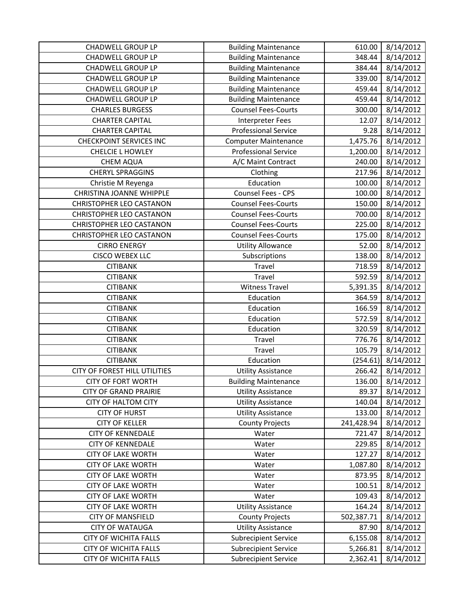| <b>CHADWELL GROUP LP</b>        | <b>Building Maintenance</b> | 610.00     | 8/14/2012 |
|---------------------------------|-----------------------------|------------|-----------|
| <b>CHADWELL GROUP LP</b>        | <b>Building Maintenance</b> | 348.44     | 8/14/2012 |
| <b>CHADWELL GROUP LP</b>        | <b>Building Maintenance</b> | 384.44     | 8/14/2012 |
| <b>CHADWELL GROUP LP</b>        | <b>Building Maintenance</b> | 339.00     | 8/14/2012 |
| <b>CHADWELL GROUP LP</b>        | <b>Building Maintenance</b> | 459.44     | 8/14/2012 |
| <b>CHADWELL GROUP LP</b>        | <b>Building Maintenance</b> | 459.44     | 8/14/2012 |
| <b>CHARLES BURGESS</b>          | <b>Counsel Fees-Courts</b>  | 300.00     | 8/14/2012 |
| <b>CHARTER CAPITAL</b>          | <b>Interpreter Fees</b>     | 12.07      | 8/14/2012 |
| <b>CHARTER CAPITAL</b>          | <b>Professional Service</b> | 9.28       | 8/14/2012 |
| <b>CHECKPOINT SERVICES INC</b>  | <b>Computer Maintenance</b> | 1,475.76   | 8/14/2012 |
| <b>CHELCIE L HOWLEY</b>         | <b>Professional Service</b> | 1,200.00   | 8/14/2012 |
| CHEM AQUA                       | A/C Maint Contract          | 240.00     | 8/14/2012 |
| <b>CHERYL SPRAGGINS</b>         | Clothing                    | 217.96     | 8/14/2012 |
| Christie M Reyenga              | Education                   | 100.00     | 8/14/2012 |
| <b>CHRISTINA JOANNE WHIPPLE</b> | Counsel Fees - CPS          | 100.00     | 8/14/2012 |
| <b>CHRISTOPHER LEO CASTANON</b> | <b>Counsel Fees-Courts</b>  | 150.00     | 8/14/2012 |
| <b>CHRISTOPHER LEO CASTANON</b> | <b>Counsel Fees-Courts</b>  | 700.00     | 8/14/2012 |
| <b>CHRISTOPHER LEO CASTANON</b> | <b>Counsel Fees-Courts</b>  | 225.00     | 8/14/2012 |
| <b>CHRISTOPHER LEO CASTANON</b> | <b>Counsel Fees-Courts</b>  | 175.00     | 8/14/2012 |
| <b>CIRRO ENERGY</b>             | <b>Utility Allowance</b>    | 52.00      | 8/14/2012 |
| <b>CISCO WEBEX LLC</b>          | Subscriptions               | 138.00     | 8/14/2012 |
| <b>CITIBANK</b>                 | Travel                      | 718.59     | 8/14/2012 |
| <b>CITIBANK</b>                 | Travel                      | 592.59     | 8/14/2012 |
| <b>CITIBANK</b>                 | <b>Witness Travel</b>       | 5,391.35   | 8/14/2012 |
| <b>CITIBANK</b>                 | Education                   | 364.59     | 8/14/2012 |
| <b>CITIBANK</b>                 | Education                   | 166.59     | 8/14/2012 |
| <b>CITIBANK</b>                 | Education                   | 572.59     | 8/14/2012 |
| <b>CITIBANK</b>                 | Education                   | 320.59     | 8/14/2012 |
| <b>CITIBANK</b>                 | Travel                      | 776.76     | 8/14/2012 |
| <b>CITIBANK</b>                 | Travel                      | 105.79     | 8/14/2012 |
| <b>CITIBANK</b>                 | Education                   | (254.61)   | 8/14/2012 |
| CITY OF FOREST HILL UTILITIES   | <b>Utility Assistance</b>   | 266.42     | 8/14/2012 |
| <b>CITY OF FORT WORTH</b>       | <b>Building Maintenance</b> | 136.00     | 8/14/2012 |
| <b>CITY OF GRAND PRAIRIE</b>    | <b>Utility Assistance</b>   | 89.37      | 8/14/2012 |
| <b>CITY OF HALTOM CITY</b>      | <b>Utility Assistance</b>   | 140.04     | 8/14/2012 |
| <b>CITY OF HURST</b>            | <b>Utility Assistance</b>   | 133.00     | 8/14/2012 |
| <b>CITY OF KELLER</b>           | <b>County Projects</b>      | 241,428.94 | 8/14/2012 |
| <b>CITY OF KENNEDALE</b>        | Water                       | 721.47     | 8/14/2012 |
| <b>CITY OF KENNEDALE</b>        | Water                       | 229.85     | 8/14/2012 |
| <b>CITY OF LAKE WORTH</b>       | Water                       | 127.27     | 8/14/2012 |
| <b>CITY OF LAKE WORTH</b>       | Water                       | 1,087.80   | 8/14/2012 |
| <b>CITY OF LAKE WORTH</b>       | Water                       | 873.95     | 8/14/2012 |
| <b>CITY OF LAKE WORTH</b>       | Water                       | 100.51     | 8/14/2012 |
| <b>CITY OF LAKE WORTH</b>       | Water                       | 109.43     | 8/14/2012 |
| <b>CITY OF LAKE WORTH</b>       | <b>Utility Assistance</b>   | 164.24     | 8/14/2012 |
| <b>CITY OF MANSFIELD</b>        | <b>County Projects</b>      | 502,387.71 | 8/14/2012 |
| <b>CITY OF WATAUGA</b>          | <b>Utility Assistance</b>   | 87.90      | 8/14/2012 |
| <b>CITY OF WICHITA FALLS</b>    | <b>Subrecipient Service</b> | 6,155.08   | 8/14/2012 |
| <b>CITY OF WICHITA FALLS</b>    | <b>Subrecipient Service</b> | 5,266.81   | 8/14/2012 |
| CITY OF WICHITA FALLS           | <b>Subrecipient Service</b> | 2,362.41   | 8/14/2012 |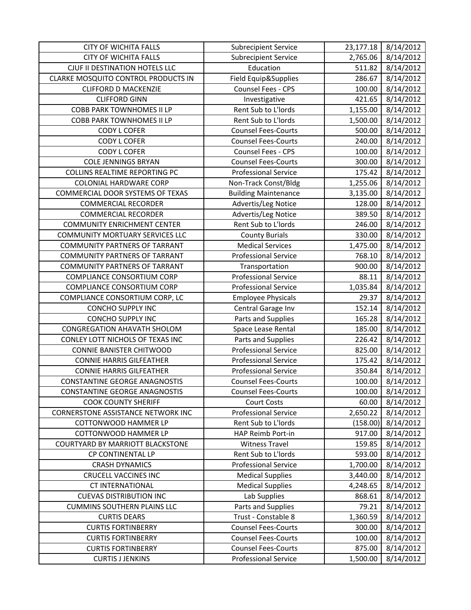| <b>CITY OF WICHITA FALLS</b>           | <b>Subrecipient Service</b> | 23,177.18 | 8/14/2012 |
|----------------------------------------|-----------------------------|-----------|-----------|
| <b>CITY OF WICHITA FALLS</b>           | <b>Subrecipient Service</b> | 2,765.06  | 8/14/2012 |
| CJUF II DESTINATION HOTELS LLC         | Education                   | 511.82    | 8/14/2012 |
| CLARKE MOSQUITO CONTROL PRODUCTS IN    | Field Equip&Supplies        | 286.67    | 8/14/2012 |
| <b>CLIFFORD D MACKENZIE</b>            | Counsel Fees - CPS          | 100.00    | 8/14/2012 |
| <b>CLIFFORD GINN</b>                   | Investigative               | 421.65    | 8/14/2012 |
| <b>COBB PARK TOWNHOMES II LP</b>       | Rent Sub to L'Iords         | 1,155.00  | 8/14/2012 |
| <b>COBB PARK TOWNHOMES II LP</b>       | Rent Sub to L'Iords         | 1,500.00  | 8/14/2012 |
| <b>CODY L COFER</b>                    | <b>Counsel Fees-Courts</b>  | 500.00    | 8/14/2012 |
| <b>CODY L COFER</b>                    | <b>Counsel Fees-Courts</b>  | 240.00    | 8/14/2012 |
| <b>CODY L COFER</b>                    | Counsel Fees - CPS          | 100.00    | 8/14/2012 |
| <b>COLE JENNINGS BRYAN</b>             | <b>Counsel Fees-Courts</b>  | 300.00    | 8/14/2012 |
| <b>COLLINS REALTIME REPORTING PC</b>   | <b>Professional Service</b> | 175.42    | 8/14/2012 |
| <b>COLONIAL HARDWARE CORP</b>          | Non-Track Const/Bldg        | 1,255.06  | 8/14/2012 |
| COMMERCIAL DOOR SYSTEMS OF TEXAS       | <b>Building Maintenance</b> | 3,135.00  | 8/14/2012 |
| <b>COMMERCIAL RECORDER</b>             | Advertis/Leg Notice         | 128.00    | 8/14/2012 |
| <b>COMMERCIAL RECORDER</b>             | Advertis/Leg Notice         | 389.50    | 8/14/2012 |
| <b>COMMUNITY ENRICHMENT CENTER</b>     | Rent Sub to L'Iords         | 246.00    | 8/14/2012 |
| <b>COMMUNITY MORTUARY SERVICES LLC</b> | <b>County Burials</b>       | 330.00    | 8/14/2012 |
| <b>COMMUNITY PARTNERS OF TARRANT</b>   | <b>Medical Services</b>     | 1,475.00  | 8/14/2012 |
| <b>COMMUNITY PARTNERS OF TARRANT</b>   | <b>Professional Service</b> | 768.10    | 8/14/2012 |
| <b>COMMUNITY PARTNERS OF TARRANT</b>   | Transportation              | 900.00    | 8/14/2012 |
| COMPLIANCE CONSORTIUM CORP             | <b>Professional Service</b> | 88.11     | 8/14/2012 |
| COMPLIANCE CONSORTIUM CORP             | <b>Professional Service</b> | 1,035.84  | 8/14/2012 |
| COMPLIANCE CONSORTIUM CORP, LC         | <b>Employee Physicals</b>   | 29.37     | 8/14/2012 |
| <b>CONCHO SUPPLY INC</b>               | Central Garage Inv          | 152.14    | 8/14/2012 |
| <b>CONCHO SUPPLY INC</b>               | Parts and Supplies          | 165.28    | 8/14/2012 |
| <b>CONGREGATION AHAVATH SHOLOM</b>     | Space Lease Rental          | 185.00    | 8/14/2012 |
| CONLEY LOTT NICHOLS OF TEXAS INC       | Parts and Supplies          | 226.42    | 8/14/2012 |
| <b>CONNIE BANISTER CHITWOOD</b>        | <b>Professional Service</b> | 825.00    | 8/14/2012 |
| <b>CONNIE HARRIS GILFEATHER</b>        | <b>Professional Service</b> | 175.42    | 8/14/2012 |
| <b>CONNIE HARRIS GILFEATHER</b>        | <b>Professional Service</b> | 350.84    | 8/14/2012 |
| <b>CONSTANTINE GEORGE ANAGNOSTIS</b>   | <b>Counsel Fees-Courts</b>  | 100.00    | 8/14/2012 |
| <b>CONSTANTINE GEORGE ANAGNOSTIS</b>   | <b>Counsel Fees-Courts</b>  | 100.00    | 8/14/2012 |
| <b>COOK COUNTY SHERIFF</b>             | <b>Court Costs</b>          | 60.00     | 8/14/2012 |
| CORNERSTONE ASSISTANCE NETWORK INC     | <b>Professional Service</b> | 2,650.22  | 8/14/2012 |
| COTTONWOOD HAMMER LP                   | Rent Sub to L'Iords         | (158.00)  | 8/14/2012 |
| COTTONWOOD HAMMER LP                   | HAP Reimb Port-in           | 917.00    | 8/14/2012 |
| COURTYARD BY MARRIOTT BLACKSTONE       | <b>Witness Travel</b>       | 159.85    | 8/14/2012 |
| CP CONTINENTAL LP                      | Rent Sub to L'Iords         | 593.00    | 8/14/2012 |
| <b>CRASH DYNAMICS</b>                  | <b>Professional Service</b> | 1,700.00  | 8/14/2012 |
| <b>CRUCELL VACCINES INC</b>            | <b>Medical Supplies</b>     | 3,440.00  | 8/14/2012 |
| <b>CT INTERNATIONAL</b>                | <b>Medical Supplies</b>     | 4,248.65  | 8/14/2012 |
| <b>CUEVAS DISTRIBUTION INC</b>         | Lab Supplies                | 868.61    | 8/14/2012 |
| <b>CUMMINS SOUTHERN PLAINS LLC</b>     | Parts and Supplies          | 79.21     | 8/14/2012 |
| <b>CURTIS DEARS</b>                    | Trust - Constable 8         | 1,360.59  | 8/14/2012 |
| <b>CURTIS FORTINBERRY</b>              | <b>Counsel Fees-Courts</b>  | 300.00    | 8/14/2012 |
| <b>CURTIS FORTINBERRY</b>              | <b>Counsel Fees-Courts</b>  | 100.00    | 8/14/2012 |
| <b>CURTIS FORTINBERRY</b>              | <b>Counsel Fees-Courts</b>  | 875.00    | 8/14/2012 |
| <b>CURTIS J JENKINS</b>                | Professional Service        | 1,500.00  | 8/14/2012 |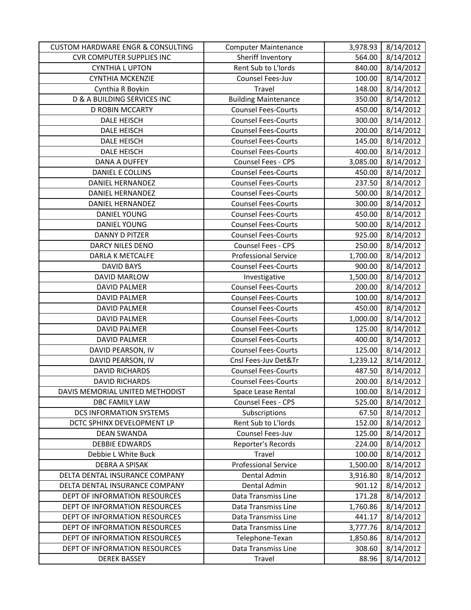| <b>CUSTOM HARDWARE ENGR &amp; CONSULTING</b> | <b>Computer Maintenance</b> | 3,978.93 | 8/14/2012 |
|----------------------------------------------|-----------------------------|----------|-----------|
| <b>CVR COMPUTER SUPPLIES INC</b>             | Sheriff Inventory           | 564.00   | 8/14/2012 |
| <b>CYNTHIA L UPTON</b>                       | Rent Sub to L'Iords         | 840.00   | 8/14/2012 |
| <b>CYNTHIA MCKENZIE</b>                      | Counsel Fees-Juv            | 100.00   | 8/14/2012 |
| Cynthia R Boykin                             | Travel                      | 148.00   | 8/14/2012 |
| <b>D &amp; A BUILDING SERVICES INC</b>       | <b>Building Maintenance</b> | 350.00   | 8/14/2012 |
| <b>D ROBIN MCCARTY</b>                       | <b>Counsel Fees-Courts</b>  | 450.00   | 8/14/2012 |
| <b>DALE HEISCH</b>                           | <b>Counsel Fees-Courts</b>  | 300.00   | 8/14/2012 |
| <b>DALE HEISCH</b>                           | <b>Counsel Fees-Courts</b>  | 200.00   | 8/14/2012 |
| <b>DALE HEISCH</b>                           | <b>Counsel Fees-Courts</b>  | 145.00   | 8/14/2012 |
| <b>DALE HEISCH</b>                           | <b>Counsel Fees-Courts</b>  | 400.00   | 8/14/2012 |
| DANA A DUFFEY                                | Counsel Fees - CPS          | 3,085.00 | 8/14/2012 |
| DANIEL E COLLINS                             | <b>Counsel Fees-Courts</b>  | 450.00   | 8/14/2012 |
| <b>DANIEL HERNANDEZ</b>                      | <b>Counsel Fees-Courts</b>  | 237.50   | 8/14/2012 |
| <b>DANIEL HERNANDEZ</b>                      | <b>Counsel Fees-Courts</b>  | 500.00   | 8/14/2012 |
| <b>DANIEL HERNANDEZ</b>                      | <b>Counsel Fees-Courts</b>  | 300.00   | 8/14/2012 |
| <b>DANIEL YOUNG</b>                          | <b>Counsel Fees-Courts</b>  | 450.00   | 8/14/2012 |
| <b>DANIEL YOUNG</b>                          | <b>Counsel Fees-Courts</b>  | 500.00   | 8/14/2012 |
| <b>DANNY D PITZER</b>                        | <b>Counsel Fees-Courts</b>  | 925.00   | 8/14/2012 |
| DARCY NILES DENO                             | Counsel Fees - CPS          | 250.00   | 8/14/2012 |
| <b>DARLA K METCALFE</b>                      | <b>Professional Service</b> | 1,700.00 | 8/14/2012 |
| <b>DAVID BAYS</b>                            | <b>Counsel Fees-Courts</b>  | 900.00   | 8/14/2012 |
| DAVID MARLOW                                 | Investigative               | 1,500.00 | 8/14/2012 |
| <b>DAVID PALMER</b>                          | <b>Counsel Fees-Courts</b>  | 200.00   | 8/14/2012 |
| <b>DAVID PALMER</b>                          | <b>Counsel Fees-Courts</b>  | 100.00   | 8/14/2012 |
| <b>DAVID PALMER</b>                          | <b>Counsel Fees-Courts</b>  | 450.00   | 8/14/2012 |
| <b>DAVID PALMER</b>                          | <b>Counsel Fees-Courts</b>  | 1,000.00 | 8/14/2012 |
| <b>DAVID PALMER</b>                          | <b>Counsel Fees-Courts</b>  | 125.00   | 8/14/2012 |
| <b>DAVID PALMER</b>                          | <b>Counsel Fees-Courts</b>  | 400.00   | 8/14/2012 |
| DAVID PEARSON, IV                            | <b>Counsel Fees-Courts</b>  | 125.00   | 8/14/2012 |
| DAVID PEARSON, IV                            | Cnsl Fees-Juv Det&Tr        | 1,239.12 | 8/14/2012 |
| <b>DAVID RICHARDS</b>                        | <b>Counsel Fees-Courts</b>  | 487.50   | 8/14/2012 |
| <b>DAVID RICHARDS</b>                        | <b>Counsel Fees-Courts</b>  | 200.00   | 8/14/2012 |
| DAVIS MEMORIAL UNITED METHODIST              | Space Lease Rental          | 100.00   | 8/14/2012 |
| <b>DBC FAMILY LAW</b>                        | <b>Counsel Fees - CPS</b>   | 525.00   | 8/14/2012 |
| <b>DCS INFORMATION SYSTEMS</b>               | Subscriptions               | 67.50    | 8/14/2012 |
| DCTC SPHINX DEVELOPMENT LP                   | Rent Sub to L'Iords         | 152.00   | 8/14/2012 |
| <b>DEAN SWANDA</b>                           | Counsel Fees-Juv            | 125.00   | 8/14/2012 |
| <b>DEBBIE EDWARDS</b>                        | Reporter's Records          | 224.00   | 8/14/2012 |
| Debbie L White Buck                          | Travel                      | 100.00   | 8/14/2012 |
| <b>DEBRA A SPISAK</b>                        | <b>Professional Service</b> | 1,500.00 | 8/14/2012 |
| DELTA DENTAL INSURANCE COMPANY               | Dental Admin                | 3,916.80 | 8/14/2012 |
| DELTA DENTAL INSURANCE COMPANY               | Dental Admin                | 901.12   | 8/14/2012 |
| DEPT OF INFORMATION RESOURCES                | Data Transmiss Line         | 171.28   | 8/14/2012 |
| DEPT OF INFORMATION RESOURCES                | Data Transmiss Line         | 1,760.86 | 8/14/2012 |
| DEPT OF INFORMATION RESOURCES                | Data Transmiss Line         | 441.17   | 8/14/2012 |
| DEPT OF INFORMATION RESOURCES                | Data Transmiss Line         | 3,777.76 | 8/14/2012 |
| DEPT OF INFORMATION RESOURCES                | Telephone-Texan             | 1,850.86 | 8/14/2012 |
| DEPT OF INFORMATION RESOURCES                | Data Transmiss Line         | 308.60   | 8/14/2012 |
| <b>DEREK BASSEY</b>                          | Travel                      | 88.96    | 8/14/2012 |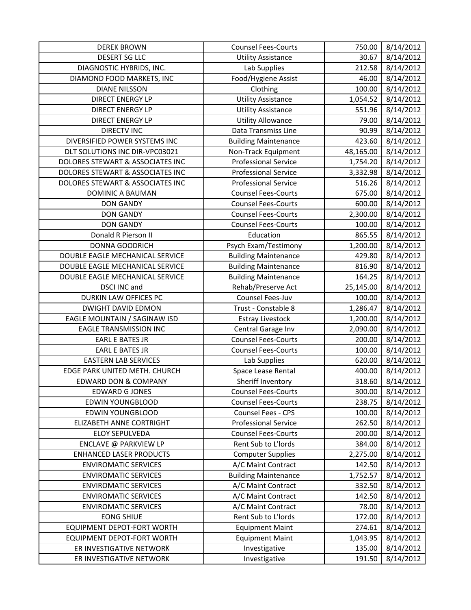| <b>DEREK BROWN</b>                | <b>Counsel Fees-Courts</b>  | 750.00    | 8/14/2012 |
|-----------------------------------|-----------------------------|-----------|-----------|
| <b>DESERT SG LLC</b>              | <b>Utility Assistance</b>   | 30.67     | 8/14/2012 |
| DIAGNOSTIC HYBRIDS, INC.          | Lab Supplies                | 212.58    | 8/14/2012 |
| DIAMOND FOOD MARKETS, INC         | Food/Hygiene Assist         | 46.00     | 8/14/2012 |
| <b>DIANE NILSSON</b>              | Clothing                    | 100.00    | 8/14/2012 |
| <b>DIRECT ENERGY LP</b>           | <b>Utility Assistance</b>   | 1,054.52  | 8/14/2012 |
| <b>DIRECT ENERGY LP</b>           | <b>Utility Assistance</b>   | 551.96    | 8/14/2012 |
| <b>DIRECT ENERGY LP</b>           | <b>Utility Allowance</b>    | 79.00     | 8/14/2012 |
| <b>DIRECTV INC</b>                | Data Transmiss Line         | 90.99     | 8/14/2012 |
| DIVERSIFIED POWER SYSTEMS INC     | <b>Building Maintenance</b> | 423.60    | 8/14/2012 |
| DLT SOLUTIONS INC DIR-VPC03021    | Non-Track Equipment         | 48,165.00 | 8/14/2012 |
| DOLORES STEWART & ASSOCIATES INC  | <b>Professional Service</b> | 1,754.20  | 8/14/2012 |
| DOLORES STEWART & ASSOCIATES INC  | <b>Professional Service</b> | 3,332.98  | 8/14/2012 |
| DOLORES STEWART & ASSOCIATES INC  | <b>Professional Service</b> | 516.26    | 8/14/2012 |
| DOMINIC A BAUMAN                  | <b>Counsel Fees-Courts</b>  | 675.00    | 8/14/2012 |
| <b>DON GANDY</b>                  | <b>Counsel Fees-Courts</b>  | 600.00    | 8/14/2012 |
| <b>DON GANDY</b>                  | <b>Counsel Fees-Courts</b>  | 2,300.00  | 8/14/2012 |
| <b>DON GANDY</b>                  | <b>Counsel Fees-Courts</b>  | 100.00    | 8/14/2012 |
| Donald R Pierson II               | Education                   | 865.55    | 8/14/2012 |
| DONNA GOODRICH                    | Psych Exam/Testimony        | 1,200.00  | 8/14/2012 |
| DOUBLE EAGLE MECHANICAL SERVICE   | <b>Building Maintenance</b> | 429.80    | 8/14/2012 |
| DOUBLE EAGLE MECHANICAL SERVICE   | <b>Building Maintenance</b> | 816.90    | 8/14/2012 |
| DOUBLE EAGLE MECHANICAL SERVICE   | <b>Building Maintenance</b> | 164.25    | 8/14/2012 |
| <b>DSCI INC and</b>               | Rehab/Preserve Act          | 25,145.00 | 8/14/2012 |
| DURKIN LAW OFFICES PC             | Counsel Fees-Juv            | 100.00    | 8/14/2012 |
| <b>DWIGHT DAVID EDMON</b>         | Trust - Constable 8         | 1,286.47  | 8/14/2012 |
| EAGLE MOUNTAIN / SAGINAW ISD      | <b>Estray Livestock</b>     | 1,200.00  | 8/14/2012 |
| <b>EAGLE TRANSMISSION INC</b>     | Central Garage Inv          | 2,090.00  | 8/14/2012 |
| <b>EARL E BATES JR</b>            | <b>Counsel Fees-Courts</b>  | 200.00    | 8/14/2012 |
| <b>EARL E BATES JR</b>            | <b>Counsel Fees-Courts</b>  | 100.00    | 8/14/2012 |
| <b>EASTERN LAB SERVICES</b>       | Lab Supplies                | 620.00    | 8/14/2012 |
| EDGE PARK UNITED METH. CHURCH     | Space Lease Rental          | 400.00    | 8/14/2012 |
| <b>EDWARD DON &amp; COMPANY</b>   | Sheriff Inventory           | 318.60    | 8/14/2012 |
| <b>EDWARD G JONES</b>             | <b>Counsel Fees-Courts</b>  | 300.00    | 8/14/2012 |
| <b>EDWIN YOUNGBLOOD</b>           | <b>Counsel Fees-Courts</b>  | 238.75    | 8/14/2012 |
| <b>EDWIN YOUNGBLOOD</b>           | Counsel Fees - CPS          | 100.00    | 8/14/2012 |
| <b>ELIZABETH ANNE CORTRIGHT</b>   | <b>Professional Service</b> | 262.50    | 8/14/2012 |
| <b>ELOY SEPULVEDA</b>             | <b>Counsel Fees-Courts</b>  | 200.00    | 8/14/2012 |
| ENCLAVE @ PARKVIEW LP             | Rent Sub to L'Iords         | 384.00    | 8/14/2012 |
| <b>ENHANCED LASER PRODUCTS</b>    | <b>Computer Supplies</b>    | 2,275.00  | 8/14/2012 |
| <b>ENVIROMATIC SERVICES</b>       | A/C Maint Contract          | 142.50    | 8/14/2012 |
| <b>ENVIROMATIC SERVICES</b>       | <b>Building Maintenance</b> | 1,752.57  | 8/14/2012 |
| <b>ENVIROMATIC SERVICES</b>       | A/C Maint Contract          | 332.50    | 8/14/2012 |
| <b>ENVIROMATIC SERVICES</b>       | A/C Maint Contract          | 142.50    | 8/14/2012 |
| <b>ENVIROMATIC SERVICES</b>       | A/C Maint Contract          | 78.00     | 8/14/2012 |
| <b>EONG SHIUE</b>                 | Rent Sub to L'Iords         | 172.00    | 8/14/2012 |
| <b>EQUIPMENT DEPOT-FORT WORTH</b> | <b>Equipment Maint</b>      | 274.61    | 8/14/2012 |
| <b>EQUIPMENT DEPOT-FORT WORTH</b> | <b>Equipment Maint</b>      | 1,043.95  | 8/14/2012 |
| ER INVESTIGATIVE NETWORK          | Investigative               | 135.00    | 8/14/2012 |
| ER INVESTIGATIVE NETWORK          | Investigative               | 191.50    | 8/14/2012 |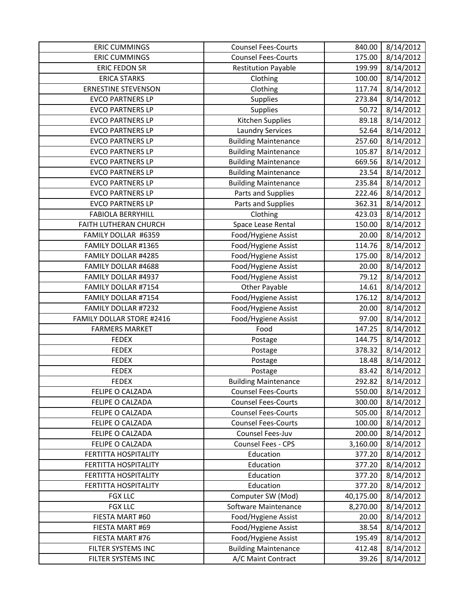| <b>ERIC CUMMINGS</b>             | <b>Counsel Fees-Courts</b>  | 840.00    | 8/14/2012 |
|----------------------------------|-----------------------------|-----------|-----------|
| <b>ERIC CUMMINGS</b>             | <b>Counsel Fees-Courts</b>  | 175.00    | 8/14/2012 |
| <b>ERIC FEDON SR</b>             | <b>Restitution Payable</b>  | 199.99    | 8/14/2012 |
| <b>ERICA STARKS</b>              | Clothing                    | 100.00    | 8/14/2012 |
| <b>ERNESTINE STEVENSON</b>       | Clothing                    | 117.74    | 8/14/2012 |
| <b>EVCO PARTNERS LP</b>          | Supplies                    | 273.84    | 8/14/2012 |
| <b>EVCO PARTNERS LP</b>          | Supplies                    | 50.72     | 8/14/2012 |
| <b>EVCO PARTNERS LP</b>          | Kitchen Supplies            | 89.18     | 8/14/2012 |
| <b>EVCO PARTNERS LP</b>          | <b>Laundry Services</b>     | 52.64     | 8/14/2012 |
| <b>EVCO PARTNERS LP</b>          | <b>Building Maintenance</b> | 257.60    | 8/14/2012 |
| <b>EVCO PARTNERS LP</b>          | <b>Building Maintenance</b> | 105.87    | 8/14/2012 |
| <b>EVCO PARTNERS LP</b>          | <b>Building Maintenance</b> | 669.56    | 8/14/2012 |
| <b>EVCO PARTNERS LP</b>          | <b>Building Maintenance</b> | 23.54     | 8/14/2012 |
| <b>EVCO PARTNERS LP</b>          | <b>Building Maintenance</b> | 235.84    | 8/14/2012 |
| <b>EVCO PARTNERS LP</b>          | Parts and Supplies          | 222.46    | 8/14/2012 |
| <b>EVCO PARTNERS LP</b>          | Parts and Supplies          | 362.31    | 8/14/2012 |
| <b>FABIOLA BERRYHILL</b>         | Clothing                    | 423.03    | 8/14/2012 |
| FAITH LUTHERAN CHURCH            | Space Lease Rental          | 150.00    | 8/14/2012 |
| FAMILY DOLLAR #6359              | Food/Hygiene Assist         | 20.00     | 8/14/2012 |
| FAMILY DOLLAR #1365              | Food/Hygiene Assist         | 114.76    | 8/14/2012 |
| FAMILY DOLLAR #4285              | Food/Hygiene Assist         | 175.00    | 8/14/2012 |
| FAMILY DOLLAR #4688              | Food/Hygiene Assist         | 20.00     | 8/14/2012 |
| FAMILY DOLLAR #4937              | Food/Hygiene Assist         | 79.12     | 8/14/2012 |
| FAMILY DOLLAR #7154              | Other Payable               | 14.61     | 8/14/2012 |
| FAMILY DOLLAR #7154              | Food/Hygiene Assist         | 176.12    | 8/14/2012 |
| FAMILY DOLLAR #7232              | Food/Hygiene Assist         | 20.00     | 8/14/2012 |
| <b>FAMILY DOLLAR STORE #2416</b> | Food/Hygiene Assist         | 97.00     | 8/14/2012 |
| <b>FARMERS MARKET</b>            | Food                        | 147.25    | 8/14/2012 |
| <b>FEDEX</b>                     | Postage                     | 144.75    | 8/14/2012 |
| <b>FEDEX</b>                     | Postage                     | 378.32    | 8/14/2012 |
| <b>FEDEX</b>                     | Postage                     | 18.48     | 8/14/2012 |
| <b>FEDEX</b>                     | Postage                     | 83.42     | 8/14/2012 |
| <b>FEDEX</b>                     | <b>Building Maintenance</b> | 292.82    | 8/14/2012 |
| FELIPE O CALZADA                 | <b>Counsel Fees-Courts</b>  | 550.00    | 8/14/2012 |
| FELIPE O CALZADA                 | <b>Counsel Fees-Courts</b>  | 300.00    | 8/14/2012 |
| FELIPE O CALZADA                 | <b>Counsel Fees-Courts</b>  | 505.00    | 8/14/2012 |
| FELIPE O CALZADA                 | <b>Counsel Fees-Courts</b>  | 100.00    | 8/14/2012 |
| FELIPE O CALZADA                 | Counsel Fees-Juv            | 200.00    | 8/14/2012 |
| FELIPE O CALZADA                 | Counsel Fees - CPS          | 3,160.00  | 8/14/2012 |
| FERTITTA HOSPITALITY             | Education                   | 377.20    | 8/14/2012 |
| <b>FERTITTA HOSPITALITY</b>      | Education                   | 377.20    | 8/14/2012 |
| FERTITTA HOSPITALITY             | Education                   | 377.20    | 8/14/2012 |
| <b>FERTITTA HOSPITALITY</b>      | Education                   | 377.20    | 8/14/2012 |
| <b>FGX LLC</b>                   | Computer SW (Mod)           | 40,175.00 | 8/14/2012 |
| <b>FGX LLC</b>                   | Software Maintenance        | 8,270.00  | 8/14/2012 |
| FIESTA MART #60                  | Food/Hygiene Assist         | 20.00     | 8/14/2012 |
| FIESTA MART #69                  | Food/Hygiene Assist         | 38.54     | 8/14/2012 |
| FIESTA MART #76                  | Food/Hygiene Assist         | 195.49    | 8/14/2012 |
| FILTER SYSTEMS INC               | <b>Building Maintenance</b> | 412.48    | 8/14/2012 |
| FILTER SYSTEMS INC               | A/C Maint Contract          | 39.26     | 8/14/2012 |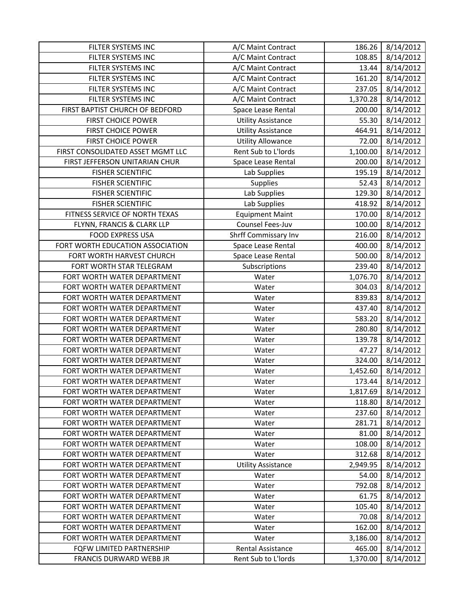| FILTER SYSTEMS INC                | A/C Maint Contract        | 186.26   | 8/14/2012 |
|-----------------------------------|---------------------------|----------|-----------|
| FILTER SYSTEMS INC                | A/C Maint Contract        | 108.85   | 8/14/2012 |
| FILTER SYSTEMS INC                | A/C Maint Contract        | 13.44    | 8/14/2012 |
| FILTER SYSTEMS INC                | A/C Maint Contract        | 161.20   | 8/14/2012 |
| FILTER SYSTEMS INC                | A/C Maint Contract        | 237.05   | 8/14/2012 |
| FILTER SYSTEMS INC                | A/C Maint Contract        | 1,370.28 | 8/14/2012 |
| FIRST BAPTIST CHURCH OF BEDFORD   | Space Lease Rental        | 200.00   | 8/14/2012 |
| FIRST CHOICE POWER                | <b>Utility Assistance</b> | 55.30    | 8/14/2012 |
| FIRST CHOICE POWER                | <b>Utility Assistance</b> | 464.91   | 8/14/2012 |
| FIRST CHOICE POWER                | <b>Utility Allowance</b>  | 72.00    | 8/14/2012 |
| FIRST CONSOLIDATED ASSET MGMT LLC | Rent Sub to L'Iords       | 1,100.00 | 8/14/2012 |
| FIRST JEFFERSON UNITARIAN CHUR    | Space Lease Rental        | 200.00   | 8/14/2012 |
| <b>FISHER SCIENTIFIC</b>          | Lab Supplies              | 195.19   | 8/14/2012 |
| <b>FISHER SCIENTIFIC</b>          | Supplies                  | 52.43    | 8/14/2012 |
| <b>FISHER SCIENTIFIC</b>          | Lab Supplies              | 129.30   | 8/14/2012 |
| <b>FISHER SCIENTIFIC</b>          | Lab Supplies              | 418.92   | 8/14/2012 |
| FITNESS SERVICE OF NORTH TEXAS    | <b>Equipment Maint</b>    | 170.00   | 8/14/2012 |
| FLYNN, FRANCIS & CLARK LLP        | Counsel Fees-Juv          | 100.00   | 8/14/2012 |
| <b>FOOD EXPRESS USA</b>           | Shrff Commissary Inv      | 216.00   | 8/14/2012 |
| FORT WORTH EDUCATION ASSOCIATION  | Space Lease Rental        | 400.00   | 8/14/2012 |
| FORT WORTH HARVEST CHURCH         | Space Lease Rental        | 500.00   | 8/14/2012 |
| FORT WORTH STAR TELEGRAM          | Subscriptions             | 239.40   | 8/14/2012 |
| FORT WORTH WATER DEPARTMENT       | Water                     | 1,076.70 | 8/14/2012 |
| FORT WORTH WATER DEPARTMENT       | Water                     | 304.03   | 8/14/2012 |
| FORT WORTH WATER DEPARTMENT       | Water                     | 839.83   | 8/14/2012 |
| FORT WORTH WATER DEPARTMENT       | Water                     | 437.40   | 8/14/2012 |
| FORT WORTH WATER DEPARTMENT       | Water                     | 583.20   | 8/14/2012 |
| FORT WORTH WATER DEPARTMENT       | Water                     | 280.80   | 8/14/2012 |
| FORT WORTH WATER DEPARTMENT       | Water                     | 139.78   | 8/14/2012 |
| FORT WORTH WATER DEPARTMENT       | Water                     | 47.27    | 8/14/2012 |
| FORT WORTH WATER DEPARTMENT       | Water                     | 324.00   | 8/14/2012 |
| FORT WORTH WATER DEPARTMENT       | Water                     | 1,452.60 | 8/14/2012 |
| FORT WORTH WATER DEPARTMENT       | Water                     | 173.44   | 8/14/2012 |
| FORT WORTH WATER DEPARTMENT       | Water                     | 1,817.69 | 8/14/2012 |
| FORT WORTH WATER DEPARTMENT       | Water                     | 118.80   | 8/14/2012 |
| FORT WORTH WATER DEPARTMENT       | Water                     | 237.60   | 8/14/2012 |
| FORT WORTH WATER DEPARTMENT       | Water                     | 281.71   | 8/14/2012 |
| FORT WORTH WATER DEPARTMENT       | Water                     | 81.00    | 8/14/2012 |
| FORT WORTH WATER DEPARTMENT       | Water                     | 108.00   | 8/14/2012 |
| FORT WORTH WATER DEPARTMENT       | Water                     | 312.68   | 8/14/2012 |
| FORT WORTH WATER DEPARTMENT       | <b>Utility Assistance</b> | 2,949.95 | 8/14/2012 |
| FORT WORTH WATER DEPARTMENT       | Water                     | 54.00    | 8/14/2012 |
| FORT WORTH WATER DEPARTMENT       | Water                     | 792.08   | 8/14/2012 |
| FORT WORTH WATER DEPARTMENT       | Water                     | 61.75    | 8/14/2012 |
| FORT WORTH WATER DEPARTMENT       | Water                     | 105.40   | 8/14/2012 |
| FORT WORTH WATER DEPARTMENT       | Water                     | 70.08    | 8/14/2012 |
| FORT WORTH WATER DEPARTMENT       | Water                     | 162.00   | 8/14/2012 |
| FORT WORTH WATER DEPARTMENT       | Water                     | 3,186.00 | 8/14/2012 |
| FQFW LIMITED PARTNERSHIP          | Rental Assistance         | 465.00   | 8/14/2012 |
| FRANCIS DURWARD WEBB JR           | Rent Sub to L'Iords       | 1,370.00 | 8/14/2012 |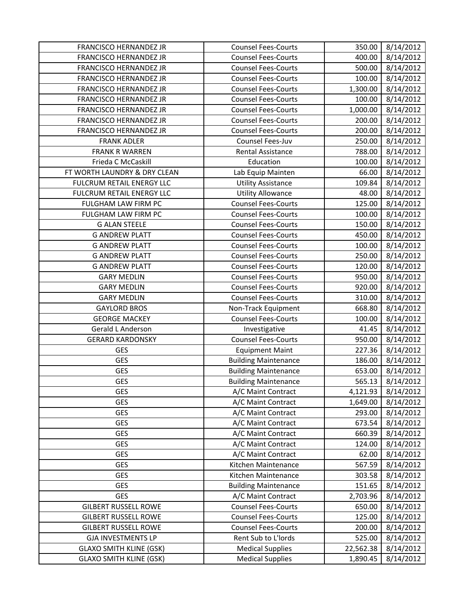| FRANCISCO HERNANDEZ JR           | <b>Counsel Fees-Courts</b>  | 350.00    | 8/14/2012 |
|----------------------------------|-----------------------------|-----------|-----------|
| FRANCISCO HERNANDEZ JR           | <b>Counsel Fees-Courts</b>  | 400.00    | 8/14/2012 |
| FRANCISCO HERNANDEZ JR           | <b>Counsel Fees-Courts</b>  | 500.00    | 8/14/2012 |
| FRANCISCO HERNANDEZ JR           | <b>Counsel Fees-Courts</b>  | 100.00    | 8/14/2012 |
| FRANCISCO HERNANDEZ JR           | <b>Counsel Fees-Courts</b>  | 1,300.00  | 8/14/2012 |
| FRANCISCO HERNANDEZ JR           | <b>Counsel Fees-Courts</b>  | 100.00    | 8/14/2012 |
| FRANCISCO HERNANDEZ JR           | <b>Counsel Fees-Courts</b>  | 1,000.00  | 8/14/2012 |
| FRANCISCO HERNANDEZ JR           | <b>Counsel Fees-Courts</b>  | 200.00    | 8/14/2012 |
| FRANCISCO HERNANDEZ JR           | <b>Counsel Fees-Courts</b>  | 200.00    | 8/14/2012 |
| <b>FRANK ADLER</b>               | Counsel Fees-Juv            | 250.00    | 8/14/2012 |
| <b>FRANK R WARREN</b>            | <b>Rental Assistance</b>    | 788.00    | 8/14/2012 |
| Frieda C McCaskill               | Education                   | 100.00    | 8/14/2012 |
| FT WORTH LAUNDRY & DRY CLEAN     | Lab Equip Mainten           | 66.00     | 8/14/2012 |
| FULCRUM RETAIL ENERGY LLC        | <b>Utility Assistance</b>   | 109.84    | 8/14/2012 |
| <b>FULCRUM RETAIL ENERGY LLC</b> | <b>Utility Allowance</b>    | 48.00     | 8/14/2012 |
| FULGHAM LAW FIRM PC              | <b>Counsel Fees-Courts</b>  | 125.00    | 8/14/2012 |
| FULGHAM LAW FIRM PC              | <b>Counsel Fees-Courts</b>  | 100.00    | 8/14/2012 |
| <b>G ALAN STEELE</b>             | <b>Counsel Fees-Courts</b>  | 150.00    | 8/14/2012 |
| <b>G ANDREW PLATT</b>            | <b>Counsel Fees-Courts</b>  | 450.00    | 8/14/2012 |
| <b>G ANDREW PLATT</b>            | <b>Counsel Fees-Courts</b>  | 100.00    | 8/14/2012 |
| <b>G ANDREW PLATT</b>            | <b>Counsel Fees-Courts</b>  | 250.00    | 8/14/2012 |
| <b>G ANDREW PLATT</b>            | <b>Counsel Fees-Courts</b>  | 120.00    | 8/14/2012 |
| <b>GARY MEDLIN</b>               | <b>Counsel Fees-Courts</b>  | 950.00    | 8/14/2012 |
| <b>GARY MEDLIN</b>               | <b>Counsel Fees-Courts</b>  | 920.00    | 8/14/2012 |
| <b>GARY MEDLIN</b>               | <b>Counsel Fees-Courts</b>  | 310.00    | 8/14/2012 |
| <b>GAYLORD BROS</b>              | Non-Track Equipment         | 668.80    | 8/14/2012 |
| <b>GEORGE MACKEY</b>             | <b>Counsel Fees-Courts</b>  | 100.00    | 8/14/2012 |
| Gerald L Anderson                | Investigative               | 41.45     | 8/14/2012 |
| <b>GERARD KARDONSKY</b>          | <b>Counsel Fees-Courts</b>  | 950.00    | 8/14/2012 |
| <b>GES</b>                       | <b>Equipment Maint</b>      | 227.36    | 8/14/2012 |
| <b>GES</b>                       | <b>Building Maintenance</b> | 186.00    | 8/14/2012 |
| <b>GES</b>                       | <b>Building Maintenance</b> | 653.00    | 8/14/2012 |
| <b>GES</b>                       | <b>Building Maintenance</b> | 565.13    | 8/14/2012 |
| <b>GES</b>                       | A/C Maint Contract          | 4,121.93  | 8/14/2012 |
| <b>GES</b>                       | A/C Maint Contract          | 1,649.00  | 8/14/2012 |
| <b>GES</b>                       | A/C Maint Contract          | 293.00    | 8/14/2012 |
| <b>GES</b>                       | A/C Maint Contract          | 673.54    | 8/14/2012 |
| <b>GES</b>                       | A/C Maint Contract          | 660.39    | 8/14/2012 |
| <b>GES</b>                       | A/C Maint Contract          | 124.00    | 8/14/2012 |
| <b>GES</b>                       | A/C Maint Contract          | 62.00     | 8/14/2012 |
| <b>GES</b>                       | Kitchen Maintenance         | 567.59    | 8/14/2012 |
| <b>GES</b>                       | Kitchen Maintenance         | 303.58    | 8/14/2012 |
| <b>GES</b>                       | <b>Building Maintenance</b> | 151.65    | 8/14/2012 |
| <b>GES</b>                       | A/C Maint Contract          | 2,703.96  | 8/14/2012 |
| <b>GILBERT RUSSELL ROWE</b>      | <b>Counsel Fees-Courts</b>  | 650.00    | 8/14/2012 |
| <b>GILBERT RUSSELL ROWE</b>      | <b>Counsel Fees-Courts</b>  | 125.00    | 8/14/2012 |
| <b>GILBERT RUSSELL ROWE</b>      | <b>Counsel Fees-Courts</b>  | 200.00    | 8/14/2012 |
| <b>GJA INVESTMENTS LP</b>        | Rent Sub to L'Iords         | 525.00    | 8/14/2012 |
| <b>GLAXO SMITH KLINE (GSK)</b>   | <b>Medical Supplies</b>     | 22,562.38 | 8/14/2012 |
| <b>GLAXO SMITH KLINE (GSK)</b>   | <b>Medical Supplies</b>     | 1,890.45  | 8/14/2012 |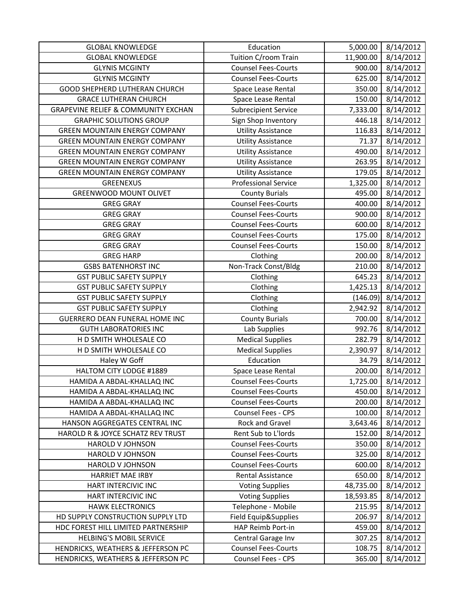| <b>GLOBAL KNOWLEDGE</b>                        | Education                   | 5,000.00  | 8/14/2012 |
|------------------------------------------------|-----------------------------|-----------|-----------|
| <b>GLOBAL KNOWLEDGE</b>                        | Tuition C/room Train        | 11,900.00 | 8/14/2012 |
| <b>GLYNIS MCGINTY</b>                          | <b>Counsel Fees-Courts</b>  | 900.00    | 8/14/2012 |
| <b>GLYNIS MCGINTY</b>                          | <b>Counsel Fees-Courts</b>  | 625.00    | 8/14/2012 |
| GOOD SHEPHERD LUTHERAN CHURCH                  | Space Lease Rental          | 350.00    | 8/14/2012 |
| <b>GRACE LUTHERAN CHURCH</b>                   | Space Lease Rental          | 150.00    | 8/14/2012 |
| <b>GRAPEVINE RELIEF &amp; COMMUNITY EXCHAN</b> | <b>Subrecipient Service</b> | 7,333.00  | 8/14/2012 |
| <b>GRAPHIC SOLUTIONS GROUP</b>                 | Sign Shop Inventory         | 446.18    | 8/14/2012 |
| <b>GREEN MOUNTAIN ENERGY COMPANY</b>           | <b>Utility Assistance</b>   | 116.83    | 8/14/2012 |
| <b>GREEN MOUNTAIN ENERGY COMPANY</b>           | <b>Utility Assistance</b>   | 71.37     | 8/14/2012 |
| <b>GREEN MOUNTAIN ENERGY COMPANY</b>           | <b>Utility Assistance</b>   | 490.00    | 8/14/2012 |
| <b>GREEN MOUNTAIN ENERGY COMPANY</b>           | <b>Utility Assistance</b>   | 263.95    | 8/14/2012 |
| <b>GREEN MOUNTAIN ENERGY COMPANY</b>           | <b>Utility Assistance</b>   | 179.05    | 8/14/2012 |
| <b>GREENEXUS</b>                               | <b>Professional Service</b> | 1,325.00  | 8/14/2012 |
| <b>GREENWOOD MOUNT OLIVET</b>                  | <b>County Burials</b>       | 495.00    | 8/14/2012 |
| <b>GREG GRAY</b>                               | <b>Counsel Fees-Courts</b>  | 400.00    | 8/14/2012 |
| <b>GREG GRAY</b>                               | <b>Counsel Fees-Courts</b>  | 900.00    | 8/14/2012 |
| <b>GREG GRAY</b>                               | <b>Counsel Fees-Courts</b>  | 600.00    | 8/14/2012 |
| <b>GREG GRAY</b>                               | <b>Counsel Fees-Courts</b>  | 175.00    | 8/14/2012 |
| <b>GREG GRAY</b>                               | <b>Counsel Fees-Courts</b>  | 150.00    | 8/14/2012 |
| <b>GREG HARP</b>                               | Clothing                    | 200.00    | 8/14/2012 |
| <b>GSBS BATENHORST INC</b>                     | Non-Track Const/Bldg        | 210.00    | 8/14/2012 |
| <b>GST PUBLIC SAFETY SUPPLY</b>                | Clothing                    | 645.23    | 8/14/2012 |
| <b>GST PUBLIC SAFETY SUPPLY</b>                | Clothing                    | 1,425.13  | 8/14/2012 |
| <b>GST PUBLIC SAFETY SUPPLY</b>                | Clothing                    | (146.09)  | 8/14/2012 |
| <b>GST PUBLIC SAFETY SUPPLY</b>                | Clothing                    | 2,942.92  | 8/14/2012 |
| <b>GUERRERO DEAN FUNERAL HOME INC</b>          | <b>County Burials</b>       | 700.00    | 8/14/2012 |
| <b>GUTH LABORATORIES INC</b>                   | Lab Supplies                | 992.76    | 8/14/2012 |
| H D SMITH WHOLESALE CO                         | <b>Medical Supplies</b>     | 282.79    | 8/14/2012 |
| H D SMITH WHOLESALE CO                         | <b>Medical Supplies</b>     | 2,390.97  | 8/14/2012 |
| Haley W Goff                                   | Education                   | 34.79     | 8/14/2012 |
| HALTOM CITY LODGE #1889                        | Space Lease Rental          | 200.00    | 8/14/2012 |
| HAMIDA A ABDAL-KHALLAQ INC                     | <b>Counsel Fees-Courts</b>  | 1,725.00  | 8/14/2012 |
| HAMIDA A ABDAL-KHALLAQ INC                     | <b>Counsel Fees-Courts</b>  | 450.00    | 8/14/2012 |
| HAMIDA A ABDAL-KHALLAQ INC                     | <b>Counsel Fees-Courts</b>  | 200.00    | 8/14/2012 |
| HAMIDA A ABDAL-KHALLAQ INC                     | Counsel Fees - CPS          | 100.00    | 8/14/2012 |
| HANSON AGGREGATES CENTRAL INC                  | Rock and Gravel             | 3,643.46  | 8/14/2012 |
| HAROLD R & JOYCE SCHATZ REV TRUST              | Rent Sub to L'Iords         | 152.00    | 8/14/2012 |
| HAROLD V JOHNSON                               | <b>Counsel Fees-Courts</b>  | 350.00    | 8/14/2012 |
| HAROLD V JOHNSON                               | <b>Counsel Fees-Courts</b>  | 325.00    | 8/14/2012 |
| <b>HAROLD V JOHNSON</b>                        | <b>Counsel Fees-Courts</b>  | 600.00    | 8/14/2012 |
| <b>HARRIET MAE IRBY</b>                        | Rental Assistance           | 650.00    | 8/14/2012 |
| HART INTERCIVIC INC                            | <b>Voting Supplies</b>      | 48,735.00 | 8/14/2012 |
| HART INTERCIVIC INC                            | <b>Voting Supplies</b>      | 18,593.85 | 8/14/2012 |
| <b>HAWK ELECTRONICS</b>                        | Telephone - Mobile          | 215.95    | 8/14/2012 |
| HD SUPPLY CONSTRUCTION SUPPLY LTD              | Field Equip&Supplies        | 206.97    | 8/14/2012 |
| HDC FOREST HILL LIMITED PARTNERSHIP            | HAP Reimb Port-in           | 459.00    | 8/14/2012 |
| <b>HELBING'S MOBIL SERVICE</b>                 | Central Garage Inv          | 307.25    | 8/14/2012 |
| HENDRICKS, WEATHERS & JEFFERSON PC             | <b>Counsel Fees-Courts</b>  | 108.75    | 8/14/2012 |
| HENDRICKS, WEATHERS & JEFFERSON PC             | Counsel Fees - CPS          | 365.00    | 8/14/2012 |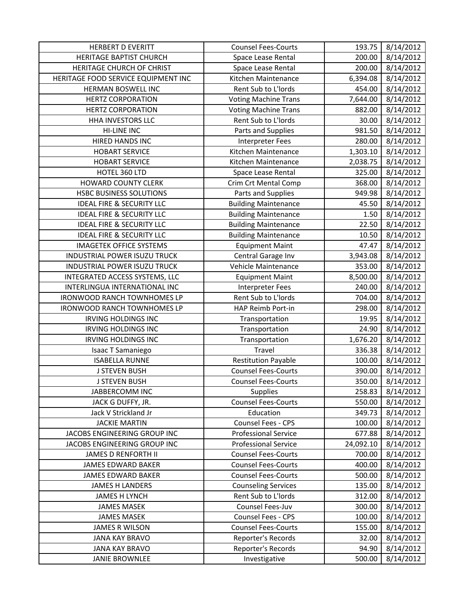| <b>HERBERT D EVERITT</b>             | <b>Counsel Fees-Courts</b>  | 193.75    | 8/14/2012 |
|--------------------------------------|-----------------------------|-----------|-----------|
| <b>HERITAGE BAPTIST CHURCH</b>       | Space Lease Rental          | 200.00    | 8/14/2012 |
| HERITAGE CHURCH OF CHRIST            | Space Lease Rental          | 200.00    | 8/14/2012 |
| HERITAGE FOOD SERVICE EQUIPMENT INC  | Kitchen Maintenance         | 6,394.08  | 8/14/2012 |
| HERMAN BOSWELL INC                   | Rent Sub to L'Iords         | 454.00    | 8/14/2012 |
| <b>HERTZ CORPORATION</b>             | <b>Voting Machine Trans</b> | 7,644.00  | 8/14/2012 |
| <b>HERTZ CORPORATION</b>             | <b>Voting Machine Trans</b> | 882.00    | 8/14/2012 |
| HHA INVESTORS LLC                    | Rent Sub to L'Iords         | 30.00     | 8/14/2012 |
| <b>HI-LINE INC</b>                   | Parts and Supplies          | 981.50    | 8/14/2012 |
| <b>HIRED HANDS INC</b>               | <b>Interpreter Fees</b>     | 280.00    | 8/14/2012 |
| <b>HOBART SERVICE</b>                | Kitchen Maintenance         | 1,303.10  | 8/14/2012 |
| <b>HOBART SERVICE</b>                | Kitchen Maintenance         | 2,038.75  | 8/14/2012 |
| HOTEL 360 LTD                        | Space Lease Rental          | 325.00    | 8/14/2012 |
| <b>HOWARD COUNTY CLERK</b>           | Crim Crt Mental Comp        | 368.00    | 8/14/2012 |
| <b>HSBC BUSINESS SOLUTIONS</b>       | Parts and Supplies          | 949.98    | 8/14/2012 |
| <b>IDEAL FIRE &amp; SECURITY LLC</b> | <b>Building Maintenance</b> | 45.50     | 8/14/2012 |
| <b>IDEAL FIRE &amp; SECURITY LLC</b> | <b>Building Maintenance</b> | 1.50      | 8/14/2012 |
| <b>IDEAL FIRE &amp; SECURITY LLC</b> | <b>Building Maintenance</b> | 22.50     | 8/14/2012 |
| <b>IDEAL FIRE &amp; SECURITY LLC</b> | <b>Building Maintenance</b> | 10.50     | 8/14/2012 |
| <b>IMAGETEK OFFICE SYSTEMS</b>       | <b>Equipment Maint</b>      | 47.47     | 8/14/2012 |
| <b>INDUSTRIAL POWER ISUZU TRUCK</b>  | Central Garage Inv          | 3,943.08  | 8/14/2012 |
| INDUSTRIAL POWER ISUZU TRUCK         | Vehicle Maintenance         | 353.00    | 8/14/2012 |
| INTEGRATED ACCESS SYSTEMS, LLC       | <b>Equipment Maint</b>      | 8,500.00  | 8/14/2012 |
| INTERLINGUA INTERNATIONAL INC        | <b>Interpreter Fees</b>     | 240.00    | 8/14/2012 |
| <b>IRONWOOD RANCH TOWNHOMES LP</b>   | Rent Sub to L'Iords         | 704.00    | 8/14/2012 |
|                                      |                             | 298.00    | 8/14/2012 |
| <b>IRONWOOD RANCH TOWNHOMES LP</b>   | HAP Reimb Port-in           |           |           |
| <b>IRVING HOLDINGS INC</b>           | Transportation              | 19.95     | 8/14/2012 |
| <b>IRVING HOLDINGS INC</b>           | Transportation              | 24.90     | 8/14/2012 |
| <b>IRVING HOLDINGS INC</b>           | Transportation              | 1,676.20  | 8/14/2012 |
| Isaac T Samaniego                    | Travel                      | 336.38    | 8/14/2012 |
| <b>ISABELLA RUNNE</b>                | <b>Restitution Payable</b>  | 100.00    | 8/14/2012 |
| <b>J STEVEN BUSH</b>                 | <b>Counsel Fees-Courts</b>  | 390.00    | 8/14/2012 |
| <b>J STEVEN BUSH</b>                 | <b>Counsel Fees-Courts</b>  | 350.00    | 8/14/2012 |
| JABBERCOMM INC                       | Supplies                    | 258.83    | 8/14/2012 |
| JACK G DUFFY, JR.                    | <b>Counsel Fees-Courts</b>  | 550.00    | 8/14/2012 |
| Jack V Strickland Jr                 | Education                   | 349.73    | 8/14/2012 |
| <b>JACKIE MARTIN</b>                 | Counsel Fees - CPS          | 100.00    | 8/14/2012 |
| JACOBS ENGINEERING GROUP INC         | <b>Professional Service</b> | 677.88    | 8/14/2012 |
| JACOBS ENGINEERING GROUP INC         | <b>Professional Service</b> | 24,092.10 | 8/14/2012 |
| <b>JAMES D RENFORTH II</b>           | <b>Counsel Fees-Courts</b>  | 700.00    | 8/14/2012 |
| <b>JAMES EDWARD BAKER</b>            | <b>Counsel Fees-Courts</b>  | 400.00    | 8/14/2012 |
| JAMES EDWARD BAKER                   | <b>Counsel Fees-Courts</b>  | 500.00    | 8/14/2012 |
| <b>JAMES H LANDERS</b>               | <b>Counseling Services</b>  | 135.00    | 8/14/2012 |
| JAMES H LYNCH                        | Rent Sub to L'Iords         | 312.00    | 8/14/2012 |
| <b>JAMES MASEK</b>                   | Counsel Fees-Juv            | 300.00    | 8/14/2012 |
| <b>JAMES MASEK</b>                   | Counsel Fees - CPS          | 100.00    | 8/14/2012 |
| <b>JAMES R WILSON</b>                | <b>Counsel Fees-Courts</b>  | 155.00    | 8/14/2012 |
| <b>JANA KAY BRAVO</b>                | Reporter's Records          | 32.00     | 8/14/2012 |
| <b>JANA KAY BRAVO</b>                | Reporter's Records          | 94.90     | 8/14/2012 |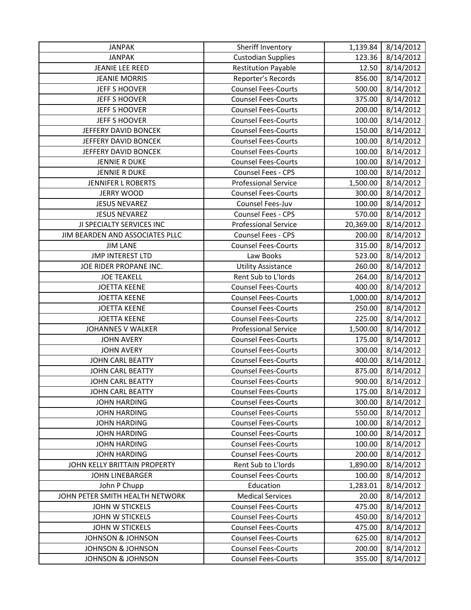| <b>JANPAK</b>                   | Sheriff Inventory           | 1,139.84  | 8/14/2012 |
|---------------------------------|-----------------------------|-----------|-----------|
| <b>JANPAK</b>                   | <b>Custodian Supplies</b>   | 123.36    | 8/14/2012 |
| <b>JEANIE LEE REED</b>          | <b>Restitution Payable</b>  | 12.50     | 8/14/2012 |
| <b>JEANIE MORRIS</b>            | Reporter's Records          | 856.00    | 8/14/2012 |
| <b>JEFF S HOOVER</b>            | <b>Counsel Fees-Courts</b>  | 500.00    | 8/14/2012 |
| <b>JEFF S HOOVER</b>            | <b>Counsel Fees-Courts</b>  | 375.00    | 8/14/2012 |
| <b>JEFF S HOOVER</b>            | <b>Counsel Fees-Courts</b>  | 200.00    | 8/14/2012 |
| <b>JEFF S HOOVER</b>            | <b>Counsel Fees-Courts</b>  | 100.00    | 8/14/2012 |
| JEFFERY DAVID BONCEK            | <b>Counsel Fees-Courts</b>  | 150.00    | 8/14/2012 |
| JEFFERY DAVID BONCEK            | <b>Counsel Fees-Courts</b>  | 100.00    | 8/14/2012 |
| JEFFERY DAVID BONCEK            | <b>Counsel Fees-Courts</b>  | 100.00    | 8/14/2012 |
| <b>JENNIE R DUKE</b>            | <b>Counsel Fees-Courts</b>  | 100.00    | 8/14/2012 |
| <b>JENNIE R DUKE</b>            | <b>Counsel Fees - CPS</b>   | 100.00    | 8/14/2012 |
| <b>JENNIFER L ROBERTS</b>       | <b>Professional Service</b> | 1,500.00  | 8/14/2012 |
| <b>JERRY WOOD</b>               | <b>Counsel Fees-Courts</b>  | 300.00    | 8/14/2012 |
| <b>JESUS NEVAREZ</b>            | Counsel Fees-Juv            | 100.00    | 8/14/2012 |
| <b>JESUS NEVAREZ</b>            | Counsel Fees - CPS          | 570.00    | 8/14/2012 |
| JI SPECIALTY SERVICES INC       | <b>Professional Service</b> | 20,369.00 | 8/14/2012 |
| JIM BEARDEN AND ASSOCIATES PLLC | <b>Counsel Fees - CPS</b>   | 200.00    | 8/14/2012 |
| <b>JIM LANE</b>                 | <b>Counsel Fees-Courts</b>  | 315.00    | 8/14/2012 |
| <b>JMP INTEREST LTD</b>         | Law Books                   | 523.00    | 8/14/2012 |
| JOE RIDER PROPANE INC.          | <b>Utility Assistance</b>   | 260.00    | 8/14/2012 |
| <b>JOE TEAKELL</b>              | Rent Sub to L'Iords         | 264.00    | 8/14/2012 |
| <b>JOETTA KEENE</b>             | <b>Counsel Fees-Courts</b>  | 400.00    | 8/14/2012 |
| <b>JOETTA KEENE</b>             | <b>Counsel Fees-Courts</b>  | 1,000.00  | 8/14/2012 |
| <b>JOETTA KEENE</b>             | <b>Counsel Fees-Courts</b>  | 250.00    | 8/14/2012 |
| <b>JOETTA KEENE</b>             | <b>Counsel Fees-Courts</b>  | 225.00    | 8/14/2012 |
| <b>JOHANNES V WALKER</b>        | Professional Service        | 1,500.00  | 8/14/2012 |
| <b>JOHN AVERY</b>               | <b>Counsel Fees-Courts</b>  | 175.00    | 8/14/2012 |
| <b>JOHN AVERY</b>               | <b>Counsel Fees-Courts</b>  | 300.00    | 8/14/2012 |
| JOHN CARL BEATTY                | <b>Counsel Fees-Courts</b>  | 400.00    | 8/14/2012 |
| <b>JOHN CARL BEATTY</b>         | <b>Counsel Fees-Courts</b>  | 875.00    | 8/14/2012 |
| JOHN CARL BEATTY                | <b>Counsel Fees-Courts</b>  | 900.00    | 8/14/2012 |
| <b>JOHN CARL BEATTY</b>         | <b>Counsel Fees-Courts</b>  | 175.00    | 8/14/2012 |
| <b>JOHN HARDING</b>             | <b>Counsel Fees-Courts</b>  | 300.00    | 8/14/2012 |
| <b>JOHN HARDING</b>             | <b>Counsel Fees-Courts</b>  | 550.00    | 8/14/2012 |
| <b>JOHN HARDING</b>             | <b>Counsel Fees-Courts</b>  | 100.00    | 8/14/2012 |
| <b>JOHN HARDING</b>             | <b>Counsel Fees-Courts</b>  | 100.00    | 8/14/2012 |
| <b>JOHN HARDING</b>             | <b>Counsel Fees-Courts</b>  | 100.00    | 8/14/2012 |
| <b>JOHN HARDING</b>             | <b>Counsel Fees-Courts</b>  | 200.00    | 8/14/2012 |
| JOHN KELLY BRITTAIN PROPERTY    | Rent Sub to L'Iords         | 1,890.00  | 8/14/2012 |
| <b>JOHN LINEBARGER</b>          | <b>Counsel Fees-Courts</b>  | 100.00    | 8/14/2012 |
| John P Chupp                    | Education                   | 1,283.01  | 8/14/2012 |
| JOHN PETER SMITH HEALTH NETWORK | <b>Medical Services</b>     | 20.00     | 8/14/2012 |
| JOHN W STICKELS                 | <b>Counsel Fees-Courts</b>  | 475.00    | 8/14/2012 |
| <b>JOHN W STICKELS</b>          | <b>Counsel Fees-Courts</b>  | 450.00    | 8/14/2012 |
| <b>JOHN W STICKELS</b>          | <b>Counsel Fees-Courts</b>  | 475.00    | 8/14/2012 |
| <b>JOHNSON &amp; JOHNSON</b>    | <b>Counsel Fees-Courts</b>  | 625.00    | 8/14/2012 |
| JOHNSON & JOHNSON               | <b>Counsel Fees-Courts</b>  | 200.00    | 8/14/2012 |
| <b>JOHNSON &amp; JOHNSON</b>    | <b>Counsel Fees-Courts</b>  | 355.00    | 8/14/2012 |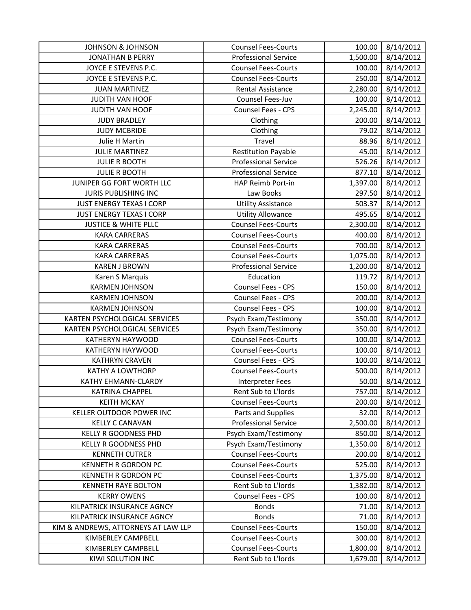| <b>JOHNSON &amp; JOHNSON</b>        | <b>Counsel Fees-Courts</b>  | 100.00   | 8/14/2012 |
|-------------------------------------|-----------------------------|----------|-----------|
| <b>JONATHAN B PERRY</b>             | <b>Professional Service</b> | 1,500.00 | 8/14/2012 |
| JOYCE E STEVENS P.C.                | <b>Counsel Fees-Courts</b>  | 100.00   | 8/14/2012 |
| JOYCE E STEVENS P.C.                | <b>Counsel Fees-Courts</b>  | 250.00   | 8/14/2012 |
| <b>JUAN MARTINEZ</b>                | <b>Rental Assistance</b>    | 2,280.00 | 8/14/2012 |
| JUDITH VAN HOOF                     | Counsel Fees-Juv            | 100.00   | 8/14/2012 |
| JUDITH VAN HOOF                     | Counsel Fees - CPS          | 2,245.00 | 8/14/2012 |
| <b>JUDY BRADLEY</b>                 | Clothing                    | 200.00   | 8/14/2012 |
| <b>JUDY MCBRIDE</b>                 | Clothing                    | 79.02    | 8/14/2012 |
| Julie H Martin                      | Travel                      | 88.96    | 8/14/2012 |
| <b>JULIE MARTINEZ</b>               | <b>Restitution Payable</b>  | 45.00    | 8/14/2012 |
| <b>JULIE R BOOTH</b>                | <b>Professional Service</b> | 526.26   | 8/14/2012 |
| <b>JULIE R BOOTH</b>                | <b>Professional Service</b> | 877.10   | 8/14/2012 |
| JUNIPER GG FORT WORTH LLC           | HAP Reimb Port-in           | 1,397.00 | 8/14/2012 |
| <b>JURIS PUBLISHING INC</b>         | Law Books                   | 297.50   | 8/14/2012 |
| <b>JUST ENERGY TEXAS I CORP</b>     | <b>Utility Assistance</b>   | 503.37   | 8/14/2012 |
| JUST ENERGY TEXAS I CORP            | <b>Utility Allowance</b>    | 495.65   | 8/14/2012 |
| <b>JUSTICE &amp; WHITE PLLC</b>     | <b>Counsel Fees-Courts</b>  | 2,300.00 | 8/14/2012 |
| <b>KARA CARRERAS</b>                | <b>Counsel Fees-Courts</b>  | 400.00   | 8/14/2012 |
| <b>KARA CARRERAS</b>                | <b>Counsel Fees-Courts</b>  | 700.00   | 8/14/2012 |
| <b>KARA CARRERAS</b>                | <b>Counsel Fees-Courts</b>  | 1,075.00 | 8/14/2012 |
| <b>KAREN J BROWN</b>                | <b>Professional Service</b> | 1,200.00 | 8/14/2012 |
| Karen S Marquis                     | Education                   | 119.72   | 8/14/2012 |
| <b>KARMEN JOHNSON</b>               | Counsel Fees - CPS          | 150.00   | 8/14/2012 |
| <b>KARMEN JOHNSON</b>               | Counsel Fees - CPS          | 200.00   | 8/14/2012 |
| <b>KARMEN JOHNSON</b>               | Counsel Fees - CPS          | 100.00   | 8/14/2012 |
| KARTEN PSYCHOLOGICAL SERVICES       | Psych Exam/Testimony        | 350.00   | 8/14/2012 |
| KARTEN PSYCHOLOGICAL SERVICES       | Psych Exam/Testimony        | 350.00   | 8/14/2012 |
| KATHERYN HAYWOOD                    | <b>Counsel Fees-Courts</b>  | 100.00   | 8/14/2012 |
| KATHERYN HAYWOOD                    | <b>Counsel Fees-Courts</b>  | 100.00   | 8/14/2012 |
| <b>KATHRYN CRAVEN</b>               | Counsel Fees - CPS          | 100.00   | 8/14/2012 |
| KATHY A LOWTHORP                    | <b>Counsel Fees-Courts</b>  | 500.00   | 8/14/2012 |
| KATHY EHMANN-CLARDY                 | <b>Interpreter Fees</b>     | 50.00    | 8/14/2012 |
| <b>KATRINA CHAPPEL</b>              | Rent Sub to L'Iords         | 757.00   | 8/14/2012 |
| <b>KEITH MCKAY</b>                  | <b>Counsel Fees-Courts</b>  | 200.00   | 8/14/2012 |
| KELLER OUTDOOR POWER INC            | Parts and Supplies          | 32.00    | 8/14/2012 |
| <b>KELLY C CANAVAN</b>              | <b>Professional Service</b> | 2,500.00 | 8/14/2012 |
| <b>KELLY R GOODNESS PHD</b>         | Psych Exam/Testimony        | 850.00   | 8/14/2012 |
| <b>KELLY R GOODNESS PHD</b>         | Psych Exam/Testimony        | 1,350.00 | 8/14/2012 |
| <b>KENNETH CUTRER</b>               | <b>Counsel Fees-Courts</b>  | 200.00   | 8/14/2012 |
| <b>KENNETH R GORDON PC</b>          | <b>Counsel Fees-Courts</b>  | 525.00   | 8/14/2012 |
| <b>KENNETH R GORDON PC</b>          | <b>Counsel Fees-Courts</b>  | 1,375.00 | 8/14/2012 |
| <b>KENNETH RAYE BOLTON</b>          | Rent Sub to L'Iords         | 1,382.00 | 8/14/2012 |
| <b>KERRY OWENS</b>                  | Counsel Fees - CPS          | 100.00   | 8/14/2012 |
| KILPATRICK INSURANCE AGNCY          | <b>Bonds</b>                | 71.00    | 8/14/2012 |
| KILPATRICK INSURANCE AGNCY          | <b>Bonds</b>                | 71.00    | 8/14/2012 |
| KIM & ANDREWS, ATTORNEYS AT LAW LLP | <b>Counsel Fees-Courts</b>  | 150.00   | 8/14/2012 |
| KIMBERLEY CAMPBELL                  | <b>Counsel Fees-Courts</b>  | 300.00   | 8/14/2012 |
| KIMBERLEY CAMPBELL                  | <b>Counsel Fees-Courts</b>  | 1,800.00 | 8/14/2012 |
| KIWI SOLUTION INC                   | Rent Sub to L'Iords         | 1,679.00 | 8/14/2012 |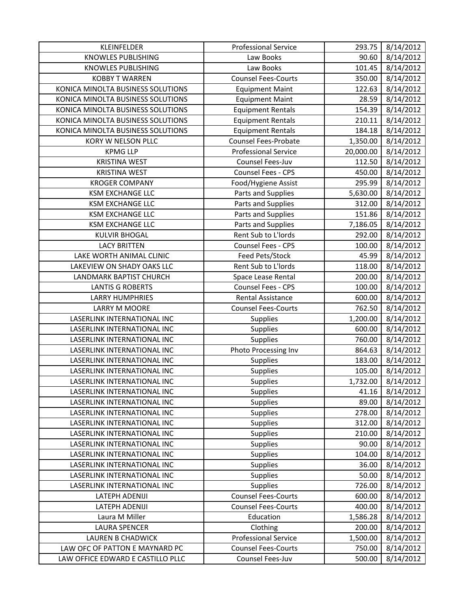| KLEINFELDER                       | <b>Professional Service</b> | 293.75    | 8/14/2012 |
|-----------------------------------|-----------------------------|-----------|-----------|
| <b>KNOWLES PUBLISHING</b>         | Law Books                   | 90.60     | 8/14/2012 |
| <b>KNOWLES PUBLISHING</b>         | Law Books                   | 101.45    | 8/14/2012 |
| <b>KOBBY T WARREN</b>             | <b>Counsel Fees-Courts</b>  | 350.00    | 8/14/2012 |
| KONICA MINOLTA BUSINESS SOLUTIONS | <b>Equipment Maint</b>      | 122.63    | 8/14/2012 |
| KONICA MINOLTA BUSINESS SOLUTIONS | <b>Equipment Maint</b>      | 28.59     | 8/14/2012 |
| KONICA MINOLTA BUSINESS SOLUTIONS | <b>Equipment Rentals</b>    | 154.39    | 8/14/2012 |
| KONICA MINOLTA BUSINESS SOLUTIONS | <b>Equipment Rentals</b>    | 210.11    | 8/14/2012 |
| KONICA MINOLTA BUSINESS SOLUTIONS | <b>Equipment Rentals</b>    | 184.18    | 8/14/2012 |
| KORY W NELSON PLLC                | <b>Counsel Fees-Probate</b> | 1,350.00  | 8/14/2012 |
| <b>KPMG LLP</b>                   | <b>Professional Service</b> | 20,000.00 | 8/14/2012 |
| <b>KRISTINA WEST</b>              | Counsel Fees-Juv            | 112.50    | 8/14/2012 |
| <b>KRISTINA WEST</b>              | Counsel Fees - CPS          | 450.00    | 8/14/2012 |
| <b>KROGER COMPANY</b>             | Food/Hygiene Assist         | 295.99    | 8/14/2012 |
| <b>KSM EXCHANGE LLC</b>           | Parts and Supplies          | 5,630.00  | 8/14/2012 |
| <b>KSM EXCHANGE LLC</b>           | Parts and Supplies          | 312.00    | 8/14/2012 |
| <b>KSM EXCHANGE LLC</b>           | Parts and Supplies          | 151.86    | 8/14/2012 |
| <b>KSM EXCHANGE LLC</b>           | Parts and Supplies          | 7,186.05  | 8/14/2012 |
| <b>KULVIR BHOGAL</b>              | Rent Sub to L'Iords         | 292.00    | 8/14/2012 |
| <b>LACY BRITTEN</b>               | Counsel Fees - CPS          | 100.00    | 8/14/2012 |
| LAKE WORTH ANIMAL CLINIC          | Feed Pets/Stock             | 45.99     | 8/14/2012 |
| LAKEVIEW ON SHADY OAKS LLC        | Rent Sub to L'Iords         | 118.00    | 8/14/2012 |
| LANDMARK BAPTIST CHURCH           | Space Lease Rental          | 200.00    | 8/14/2012 |
| <b>LANTIS G ROBERTS</b>           | Counsel Fees - CPS          | 100.00    | 8/14/2012 |
| <b>LARRY HUMPHRIES</b>            | <b>Rental Assistance</b>    | 600.00    | 8/14/2012 |
| LARRY M MOORE                     | <b>Counsel Fees-Courts</b>  | 762.50    | 8/14/2012 |
| LASERLINK INTERNATIONAL INC       | Supplies                    | 1,200.00  | 8/14/2012 |
| LASERLINK INTERNATIONAL INC       | Supplies                    | 600.00    | 8/14/2012 |
| LASERLINK INTERNATIONAL INC       | Supplies                    | 760.00    | 8/14/2012 |
| LASERLINK INTERNATIONAL INC       | Photo Processing Inv        | 864.63    | 8/14/2012 |
| LASERLINK INTERNATIONAL INC       | <b>Supplies</b>             | 183.00    | 8/14/2012 |
| LASERLINK INTERNATIONAL INC       | Supplies                    | 105.00    | 8/14/2012 |
| LASERLINK INTERNATIONAL INC       | Supplies                    | 1,732.00  | 8/14/2012 |
| LASERLINK INTERNATIONAL INC       | <b>Supplies</b>             | 41.16     | 8/14/2012 |
| LASERLINK INTERNATIONAL INC       | <b>Supplies</b>             | 89.00     | 8/14/2012 |
| LASERLINK INTERNATIONAL INC       | <b>Supplies</b>             | 278.00    | 8/14/2012 |
| LASERLINK INTERNATIONAL INC       | <b>Supplies</b>             | 312.00    | 8/14/2012 |
| LASERLINK INTERNATIONAL INC       | <b>Supplies</b>             | 210.00    | 8/14/2012 |
| LASERLINK INTERNATIONAL INC       | <b>Supplies</b>             | 90.00     | 8/14/2012 |
| LASERLINK INTERNATIONAL INC       | <b>Supplies</b>             | 104.00    | 8/14/2012 |
| LASERLINK INTERNATIONAL INC       | <b>Supplies</b>             | 36.00     | 8/14/2012 |
| LASERLINK INTERNATIONAL INC       | <b>Supplies</b>             | 50.00     | 8/14/2012 |
| LASERLINK INTERNATIONAL INC       | <b>Supplies</b>             | 726.00    | 8/14/2012 |
| LATEPH ADENIJI                    | <b>Counsel Fees-Courts</b>  | 600.00    | 8/14/2012 |
| LATEPH ADENIJI                    | <b>Counsel Fees-Courts</b>  | 400.00    | 8/14/2012 |
| Laura M Miller                    | Education                   | 1,586.28  | 8/14/2012 |
| <b>LAURA SPENCER</b>              |                             |           |           |
|                                   | Clothing                    | 200.00    | 8/14/2012 |
| <b>LAUREN B CHADWICK</b>          | <b>Professional Service</b> | 1,500.00  | 8/14/2012 |
| LAW OFC OF PATTON E MAYNARD PC    | <b>Counsel Fees-Courts</b>  | 750.00    | 8/14/2012 |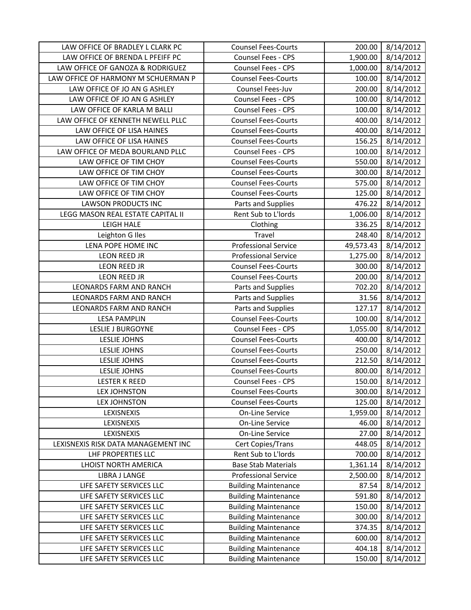| LAW OFFICE OF BRADLEY L CLARK PC    | <b>Counsel Fees-Courts</b>  | 200.00    | 8/14/2012              |
|-------------------------------------|-----------------------------|-----------|------------------------|
| LAW OFFICE OF BRENDA L PFEIFF PC    | Counsel Fees - CPS          | 1,900.00  | 8/14/2012              |
| LAW OFFICE OF GANOZA & RODRIGUEZ    | Counsel Fees - CPS          | 1,000.00  | 8/14/2012              |
| LAW OFFICE OF HARMONY M SCHUERMAN P | <b>Counsel Fees-Courts</b>  | 100.00    | 8/14/2012              |
| LAW OFFICE OF JO AN G ASHLEY        | Counsel Fees-Juv            | 200.00    | 8/14/2012              |
| LAW OFFICE OF JO AN G ASHLEY        | Counsel Fees - CPS          | 100.00    | 8/14/2012              |
| LAW OFFICE OF KARLA M BALLI         | Counsel Fees - CPS          | 100.00    | 8/14/2012              |
| LAW OFFICE OF KENNETH NEWELL PLLC   | <b>Counsel Fees-Courts</b>  | 400.00    | 8/14/2012              |
| LAW OFFICE OF LISA HAINES           | <b>Counsel Fees-Courts</b>  | 400.00    | 8/14/2012              |
| LAW OFFICE OF LISA HAINES           | <b>Counsel Fees-Courts</b>  | 156.25    | 8/14/2012              |
| LAW OFFICE OF MEDA BOURLAND PLLC    | Counsel Fees - CPS          | 100.00    | 8/14/2012              |
| LAW OFFICE OF TIM CHOY              | <b>Counsel Fees-Courts</b>  | 550.00    | $\frac{1}{8}$ /14/2012 |
| LAW OFFICE OF TIM CHOY              | <b>Counsel Fees-Courts</b>  | 300.00    | 8/14/2012              |
| LAW OFFICE OF TIM CHOY              | <b>Counsel Fees-Courts</b>  | 575.00    | 8/14/2012              |
| LAW OFFICE OF TIM CHOY              | <b>Counsel Fees-Courts</b>  | 125.00    | 8/14/2012              |
| <b>LAWSON PRODUCTS INC</b>          | Parts and Supplies          | 476.22    | 8/14/2012              |
| LEGG MASON REAL ESTATE CAPITAL II   | Rent Sub to L'Iords         | 1,006.00  | 8/14/2012              |
| <b>LEIGH HALE</b>                   | Clothing                    | 336.25    | 8/14/2012              |
| Leighton G Iles                     | Travel                      | 248.40    | 8/14/2012              |
| LENA POPE HOME INC                  | <b>Professional Service</b> | 49,573.43 | 8/14/2012              |
| LEON REED JR                        | <b>Professional Service</b> | 1,275.00  | 8/14/2012              |
| <b>LEON REED JR</b>                 | <b>Counsel Fees-Courts</b>  | 300.00    | 8/14/2012              |
| <b>LEON REED JR</b>                 | <b>Counsel Fees-Courts</b>  | 200.00    | 8/14/2012              |
| LEONARDS FARM AND RANCH             | Parts and Supplies          | 702.20    | 8/14/2012              |
| LEONARDS FARM AND RANCH             | Parts and Supplies          | 31.56     | 8/14/2012              |
| LEONARDS FARM AND RANCH             | Parts and Supplies          | 127.17    | 8/14/2012              |
| <b>LESA PAMPLIN</b>                 | <b>Counsel Fees-Courts</b>  | 100.00    | 8/14/2012              |
| <b>LESLIE J BURGOYNE</b>            | Counsel Fees - CPS          | 1,055.00  | 8/14/2012              |
| <b>LESLIE JOHNS</b>                 | <b>Counsel Fees-Courts</b>  | 400.00    | 8/14/2012              |
| <b>LESLIE JOHNS</b>                 | <b>Counsel Fees-Courts</b>  | 250.00    | 8/14/2012              |
| <b>LESLIE JOHNS</b>                 | <b>Counsel Fees-Courts</b>  | 212.50    | 8/14/2012              |
| <b>LESLIE JOHNS</b>                 | <b>Counsel Fees-Courts</b>  | 800.00    | 8/14/2012              |
| <b>LESTER K REED</b>                | Counsel Fees - CPS          | 150.00    | 8/14/2012              |
| <b>LEX JOHNSTON</b>                 | <b>Counsel Fees-Courts</b>  | 300.00    | 8/14/2012              |
| <b>LEX JOHNSTON</b>                 | <b>Counsel Fees-Courts</b>  | 125.00    | 8/14/2012              |
| LEXISNEXIS                          | On-Line Service             | 1,959.00  | 8/14/2012              |
| LEXISNEXIS                          | On-Line Service             | 46.00     | 8/14/2012              |
| LEXISNEXIS                          | On-Line Service             | 27.00     | 8/14/2012              |
| LEXISNEXIS RISK DATA MANAGEMENT INC | Cert Copies/Trans           | 448.05    | 8/14/2012              |
| LHF PROPERTIES LLC                  | Rent Sub to L'Iords         | 700.00    | 8/14/2012              |
| LHOIST NORTH AMERICA                | <b>Base Stab Materials</b>  | 1,361.14  | 8/14/2012              |
| <b>LIBRA J LANGE</b>                | <b>Professional Service</b> | 2,500.00  | 8/14/2012              |
| LIFE SAFETY SERVICES LLC            | <b>Building Maintenance</b> | 87.54     | 8/14/2012              |
| LIFE SAFETY SERVICES LLC            | <b>Building Maintenance</b> | 591.80    | 8/14/2012              |
| LIFE SAFETY SERVICES LLC            | <b>Building Maintenance</b> | 150.00    | 8/14/2012              |
| LIFE SAFETY SERVICES LLC            | <b>Building Maintenance</b> | 300.00    | 8/14/2012              |
| LIFE SAFETY SERVICES LLC            | <b>Building Maintenance</b> | 374.35    | 8/14/2012              |
| LIFE SAFETY SERVICES LLC            | <b>Building Maintenance</b> | 600.00    | 8/14/2012              |
| LIFE SAFETY SERVICES LLC            | <b>Building Maintenance</b> | 404.18    | 8/14/2012              |
| LIFE SAFETY SERVICES LLC            | <b>Building Maintenance</b> | 150.00    | 8/14/2012              |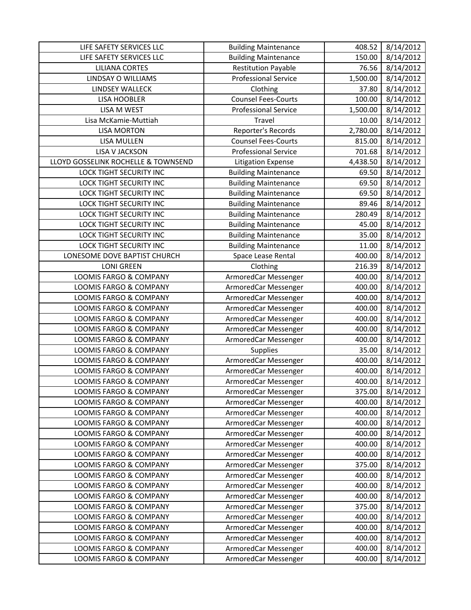| LIFE SAFETY SERVICES LLC            | <b>Building Maintenance</b> | 408.52   | 8/14/2012 |
|-------------------------------------|-----------------------------|----------|-----------|
| LIFE SAFETY SERVICES LLC            | <b>Building Maintenance</b> | 150.00   | 8/14/2012 |
| <b>LILIANA CORTES</b>               | <b>Restitution Payable</b>  | 76.56    | 8/14/2012 |
| LINDSAY O WILLIAMS                  | <b>Professional Service</b> | 1,500.00 | 8/14/2012 |
| LINDSEY WALLECK                     | Clothing                    | 37.80    | 8/14/2012 |
| <b>LISA HOOBLER</b>                 | <b>Counsel Fees-Courts</b>  | 100.00   | 8/14/2012 |
| LISA M WEST                         | <b>Professional Service</b> | 1,500.00 | 8/14/2012 |
| Lisa McKamie-Muttiah                | Travel                      | 10.00    | 8/14/2012 |
| <b>LISA MORTON</b>                  | Reporter's Records          | 2,780.00 | 8/14/2012 |
| LISA MULLEN                         | <b>Counsel Fees-Courts</b>  | 815.00   | 8/14/2012 |
| LISA V JACKSON                      | <b>Professional Service</b> | 701.68   | 8/14/2012 |
| LLOYD GOSSELINK ROCHELLE & TOWNSEND | <b>Litigation Expense</b>   | 4,438.50 | 8/14/2012 |
| LOCK TIGHT SECURITY INC             | <b>Building Maintenance</b> | 69.50    | 8/14/2012 |
| LOCK TIGHT SECURITY INC             | <b>Building Maintenance</b> | 69.50    | 8/14/2012 |
| <b>LOCK TIGHT SECURITY INC</b>      | <b>Building Maintenance</b> | 69.50    | 8/14/2012 |
| <b>LOCK TIGHT SECURITY INC</b>      | <b>Building Maintenance</b> | 89.46    | 8/14/2012 |
| LOCK TIGHT SECURITY INC             | <b>Building Maintenance</b> | 280.49   | 8/14/2012 |
| LOCK TIGHT SECURITY INC             | <b>Building Maintenance</b> | 45.00    | 8/14/2012 |
| <b>LOCK TIGHT SECURITY INC</b>      | <b>Building Maintenance</b> | 35.00    | 8/14/2012 |
| <b>LOCK TIGHT SECURITY INC</b>      | <b>Building Maintenance</b> | 11.00    | 8/14/2012 |
| LONESOME DOVE BAPTIST CHURCH        | Space Lease Rental          | 400.00   | 8/14/2012 |
| <b>LONI GREEN</b>                   | Clothing                    | 216.39   | 8/14/2012 |
| LOOMIS FARGO & COMPANY              | ArmoredCar Messenger        | 400.00   | 8/14/2012 |
| LOOMIS FARGO & COMPANY              | ArmoredCar Messenger        | 400.00   | 8/14/2012 |
| LOOMIS FARGO & COMPANY              | ArmoredCar Messenger        | 400.00   | 8/14/2012 |
| LOOMIS FARGO & COMPANY              | ArmoredCar Messenger        | 400.00   | 8/14/2012 |
| LOOMIS FARGO & COMPANY              | ArmoredCar Messenger        | 400.00   | 8/14/2012 |
| LOOMIS FARGO & COMPANY              | ArmoredCar Messenger        | 400.00   | 8/14/2012 |
| LOOMIS FARGO & COMPANY              | ArmoredCar Messenger        | 400.00   | 8/14/2012 |
| LOOMIS FARGO & COMPANY              | <b>Supplies</b>             | 35.00    | 8/14/2012 |
| LOOMIS FARGO & COMPANY              | ArmoredCar Messenger        | 400.00   | 8/14/2012 |
| LOOMIS FARGO & COMPANY              | ArmoredCar Messenger        | 400.00   | 8/14/2012 |
| LOOMIS FARGO & COMPANY              | ArmoredCar Messenger        | 400.00   | 8/14/2012 |
| LOOMIS FARGO & COMPANY              | ArmoredCar Messenger        | 375.00   | 8/14/2012 |
| LOOMIS FARGO & COMPANY              | ArmoredCar Messenger        | 400.00   | 8/14/2012 |
| LOOMIS FARGO & COMPANY              | ArmoredCar Messenger        | 400.00   | 8/14/2012 |
| LOOMIS FARGO & COMPANY              | ArmoredCar Messenger        | 400.00   | 8/14/2012 |
| LOOMIS FARGO & COMPANY              | ArmoredCar Messenger        | 400.00   | 8/14/2012 |
| LOOMIS FARGO & COMPANY              | ArmoredCar Messenger        | 400.00   | 8/14/2012 |
| LOOMIS FARGO & COMPANY              | ArmoredCar Messenger        | 400.00   | 8/14/2012 |
| LOOMIS FARGO & COMPANY              | ArmoredCar Messenger        | 375.00   | 8/14/2012 |
| LOOMIS FARGO & COMPANY              | ArmoredCar Messenger        | 400.00   | 8/14/2012 |
| LOOMIS FARGO & COMPANY              | ArmoredCar Messenger        | 400.00   | 8/14/2012 |
| LOOMIS FARGO & COMPANY              | ArmoredCar Messenger        | 400.00   | 8/14/2012 |
| LOOMIS FARGO & COMPANY              | ArmoredCar Messenger        | 375.00   | 8/14/2012 |
| LOOMIS FARGO & COMPANY              | ArmoredCar Messenger        | 400.00   | 8/14/2012 |
| LOOMIS FARGO & COMPANY              | ArmoredCar Messenger        | 400.00   | 8/14/2012 |
| LOOMIS FARGO & COMPANY              | ArmoredCar Messenger        | 400.00   | 8/14/2012 |
| LOOMIS FARGO & COMPANY              | ArmoredCar Messenger        | 400.00   | 8/14/2012 |
| LOOMIS FARGO & COMPANY              | ArmoredCar Messenger        | 400.00   | 8/14/2012 |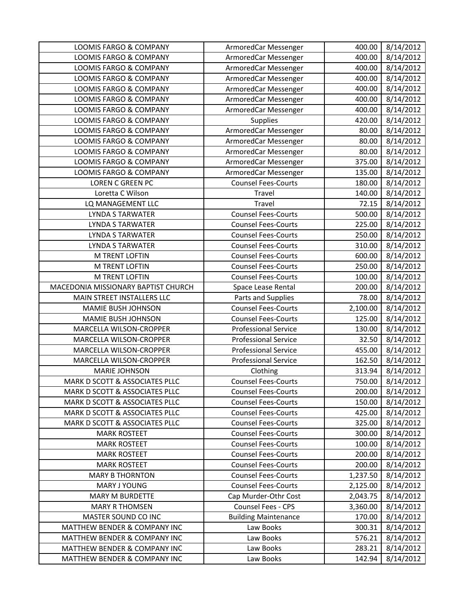| <b>LOOMIS FARGO &amp; COMPANY</b>   | ArmoredCar Messenger        | 400.00   | 8/14/2012 |
|-------------------------------------|-----------------------------|----------|-----------|
| <b>LOOMIS FARGO &amp; COMPANY</b>   | ArmoredCar Messenger        | 400.00   | 8/14/2012 |
| <b>LOOMIS FARGO &amp; COMPANY</b>   | ArmoredCar Messenger        | 400.00   | 8/14/2012 |
| LOOMIS FARGO & COMPANY              | ArmoredCar Messenger        | 400.00   | 8/14/2012 |
| LOOMIS FARGO & COMPANY              | ArmoredCar Messenger        | 400.00   | 8/14/2012 |
| LOOMIS FARGO & COMPANY              | ArmoredCar Messenger        | 400.00   | 8/14/2012 |
| LOOMIS FARGO & COMPANY              | ArmoredCar Messenger        | 400.00   | 8/14/2012 |
| LOOMIS FARGO & COMPANY              | <b>Supplies</b>             | 420.00   | 8/14/2012 |
| LOOMIS FARGO & COMPANY              | ArmoredCar Messenger        | 80.00    | 8/14/2012 |
| <b>LOOMIS FARGO &amp; COMPANY</b>   | ArmoredCar Messenger        | 80.00    | 8/14/2012 |
| <b>LOOMIS FARGO &amp; COMPANY</b>   | ArmoredCar Messenger        | 80.00    | 8/14/2012 |
| <b>LOOMIS FARGO &amp; COMPANY</b>   | ArmoredCar Messenger        | 375.00   | 8/14/2012 |
| LOOMIS FARGO & COMPANY              | ArmoredCar Messenger        | 135.00   | 8/14/2012 |
| <b>LOREN C GREEN PC</b>             | <b>Counsel Fees-Courts</b>  | 180.00   | 8/14/2012 |
| Loretta C Wilson                    | Travel                      | 140.00   | 8/14/2012 |
| LQ MANAGEMENT LLC                   | Travel                      | 72.15    | 8/14/2012 |
| <b>LYNDA S TARWATER</b>             | <b>Counsel Fees-Courts</b>  | 500.00   | 8/14/2012 |
| <b>LYNDA S TARWATER</b>             | <b>Counsel Fees-Courts</b>  | 225.00   | 8/14/2012 |
| <b>LYNDA S TARWATER</b>             | <b>Counsel Fees-Courts</b>  | 250.00   | 8/14/2012 |
| <b>LYNDA S TARWATER</b>             | <b>Counsel Fees-Courts</b>  | 310.00   | 8/14/2012 |
| M TRENT LOFTIN                      | <b>Counsel Fees-Courts</b>  | 600.00   | 8/14/2012 |
| M TRENT LOFTIN                      | <b>Counsel Fees-Courts</b>  | 250.00   | 8/14/2012 |
| <b>M TRENT LOFTIN</b>               | <b>Counsel Fees-Courts</b>  | 100.00   | 8/14/2012 |
| MACEDONIA MISSIONARY BAPTIST CHURCH | Space Lease Rental          | 200.00   | 8/14/2012 |
| MAIN STREET INSTALLERS LLC          | Parts and Supplies          | 78.00    | 8/14/2012 |
| MAMIE BUSH JOHNSON                  | <b>Counsel Fees-Courts</b>  | 2,100.00 | 8/14/2012 |
| MAMIE BUSH JOHNSON                  | <b>Counsel Fees-Courts</b>  | 125.00   | 8/14/2012 |
| MARCELLA WILSON-CROPPER             | <b>Professional Service</b> | 130.00   | 8/14/2012 |
| MARCELLA WILSON-CROPPER             | <b>Professional Service</b> | 32.50    | 8/14/2012 |
| MARCELLA WILSON-CROPPER             | <b>Professional Service</b> | 455.00   | 8/14/2012 |
| MARCELLA WILSON-CROPPER             | <b>Professional Service</b> | 162.50   | 8/14/2012 |
| <b>MARIE JOHNSON</b>                | Clothing                    | 313.94   | 8/14/2012 |
| MARK D SCOTT & ASSOCIATES PLLC      | <b>Counsel Fees-Courts</b>  | 750.00   | 8/14/2012 |
| MARK D SCOTT & ASSOCIATES PLLC      | <b>Counsel Fees-Courts</b>  | 200.00   | 8/14/2012 |
| MARK D SCOTT & ASSOCIATES PLLC      | <b>Counsel Fees-Courts</b>  | 150.00   | 8/14/2012 |
| MARK D SCOTT & ASSOCIATES PLLC      | <b>Counsel Fees-Courts</b>  | 425.00   | 8/14/2012 |
| MARK D SCOTT & ASSOCIATES PLLC      | <b>Counsel Fees-Courts</b>  | 325.00   | 8/14/2012 |
| <b>MARK ROSTEET</b>                 | <b>Counsel Fees-Courts</b>  | 300.00   | 8/14/2012 |
| <b>MARK ROSTEET</b>                 | <b>Counsel Fees-Courts</b>  | 100.00   | 8/14/2012 |
| <b>MARK ROSTEET</b>                 | <b>Counsel Fees-Courts</b>  | 200.00   | 8/14/2012 |
| <b>MARK ROSTEET</b>                 | <b>Counsel Fees-Courts</b>  | 200.00   | 8/14/2012 |
| <b>MARY B THORNTON</b>              | <b>Counsel Fees-Courts</b>  | 1,237.50 | 8/14/2012 |
| MARY J YOUNG                        | <b>Counsel Fees-Courts</b>  | 2,125.00 | 8/14/2012 |
| MARY M BURDETTE                     | Cap Murder-Othr Cost        | 2,043.75 | 8/14/2012 |
| <b>MARY R THOMSEN</b>               | Counsel Fees - CPS          | 3,360.00 | 8/14/2012 |
| MASTER SOUND CO INC                 | <b>Building Maintenance</b> | 170.00   | 8/14/2012 |
| MATTHEW BENDER & COMPANY INC        | Law Books                   | 300.31   | 8/14/2012 |
| MATTHEW BENDER & COMPANY INC        | Law Books                   | 576.21   | 8/14/2012 |
| MATTHEW BENDER & COMPANY INC        | Law Books                   | 283.21   | 8/14/2012 |
| MATTHEW BENDER & COMPANY INC        | Law Books                   | 142.94   | 8/14/2012 |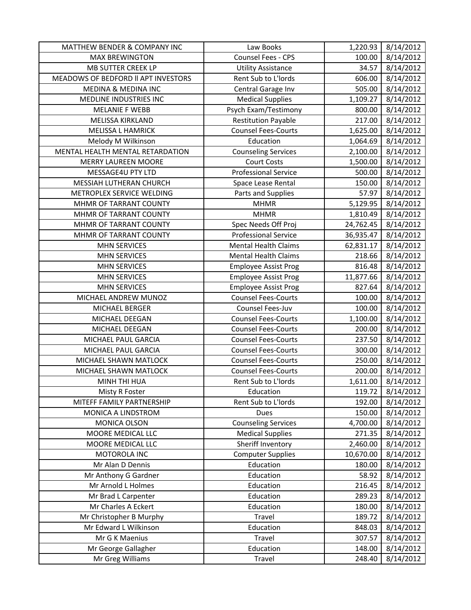| <b>MATTHEW BENDER &amp; COMPANY INC</b> | Law Books                   | 1,220.93  | 8/14/2012 |
|-----------------------------------------|-----------------------------|-----------|-----------|
| <b>MAX BREWINGTON</b>                   | Counsel Fees - CPS          | 100.00    | 8/14/2012 |
| MB SUTTER CREEK LP                      | <b>Utility Assistance</b>   | 34.57     | 8/14/2012 |
| MEADOWS OF BEDFORD II APT INVESTORS     | Rent Sub to L'Iords         | 606.00    | 8/14/2012 |
| MEDINA & MEDINA INC                     | Central Garage Inv          | 505.00    | 8/14/2012 |
| MEDLINE INDUSTRIES INC                  | <b>Medical Supplies</b>     | 1,109.27  | 8/14/2012 |
| <b>MELANIE F WEBB</b>                   | Psych Exam/Testimony        | 800.00    | 8/14/2012 |
| <b>MELISSA KIRKLAND</b>                 | <b>Restitution Payable</b>  | 217.00    | 8/14/2012 |
| <b>MELISSA L HAMRICK</b>                | Counsel Fees-Courts         | 1,625.00  | 8/14/2012 |
| Melody M Wilkinson                      | Education                   | 1,064.69  | 8/14/2012 |
| MENTAL HEALTH MENTAL RETARDATION        | <b>Counseling Services</b>  | 2,100.00  | 8/14/2012 |
| <b>MERRY LAUREEN MOORE</b>              | <b>Court Costs</b>          | 1,500.00  | 8/14/2012 |
| MESSAGE4U PTY LTD                       | <b>Professional Service</b> | 500.00    | 8/14/2012 |
| MESSIAH LUTHERAN CHURCH                 | Space Lease Rental          | 150.00    | 8/14/2012 |
| METROPLEX SERVICE WELDING               | Parts and Supplies          | 57.97     | 8/14/2012 |
| MHMR OF TARRANT COUNTY                  | <b>MHMR</b>                 | 5,129.95  | 8/14/2012 |
| MHMR OF TARRANT COUNTY                  | <b>MHMR</b>                 | 1,810.49  | 8/14/2012 |
| MHMR OF TARRANT COUNTY                  | Spec Needs Off Proj         | 24,762.45 | 8/14/2012 |
| MHMR OF TARRANT COUNTY                  | <b>Professional Service</b> | 36,935.47 | 8/14/2012 |
| <b>MHN SERVICES</b>                     | <b>Mental Health Claims</b> | 62,831.17 | 8/14/2012 |
| <b>MHN SERVICES</b>                     | <b>Mental Health Claims</b> | 218.66    | 8/14/2012 |
| <b>MHN SERVICES</b>                     | <b>Employee Assist Prog</b> | 816.48    | 8/14/2012 |
| <b>MHN SERVICES</b>                     | <b>Employee Assist Prog</b> | 11,877.66 | 8/14/2012 |
| <b>MHN SERVICES</b>                     | <b>Employee Assist Prog</b> | 827.64    | 8/14/2012 |
| MICHAEL ANDREW MUNOZ                    | <b>Counsel Fees-Courts</b>  | 100.00    | 8/14/2012 |
| MICHAEL BERGER                          | Counsel Fees-Juv            | 100.00    | 8/14/2012 |
| MICHAEL DEEGAN                          | <b>Counsel Fees-Courts</b>  | 1,100.00  | 8/14/2012 |
| MICHAEL DEEGAN                          | <b>Counsel Fees-Courts</b>  | 200.00    | 8/14/2012 |
| MICHAEL PAUL GARCIA                     | <b>Counsel Fees-Courts</b>  | 237.50    | 8/14/2012 |
| MICHAEL PAUL GARCIA                     | <b>Counsel Fees-Courts</b>  | 300.00    | 8/14/2012 |
| MICHAEL SHAWN MATLOCK                   | <b>Counsel Fees-Courts</b>  | 250.00    | 8/14/2012 |
| MICHAEL SHAWN MATLOCK                   | <b>Counsel Fees-Courts</b>  | 200.00    | 8/14/2012 |
| MINH THI HUA                            | Rent Sub to L'Iords         | 1,611.00  | 8/14/2012 |
| Misty R Foster                          | Education                   | 119.72    | 8/14/2012 |
| MITEFF FAMILY PARTNERSHIP               | Rent Sub to L'Iords         | 192.00    | 8/14/2012 |
| MONICA A LINDSTROM                      | <b>Dues</b>                 | 150.00    | 8/14/2012 |
| MONICA OLSON                            | <b>Counseling Services</b>  | 4,700.00  | 8/14/2012 |
| MOORE MEDICAL LLC                       | <b>Medical Supplies</b>     | 271.35    | 8/14/2012 |
| MOORE MEDICAL LLC                       | Sheriff Inventory           | 2,460.00  | 8/14/2012 |
| MOTOROLA INC                            | <b>Computer Supplies</b>    | 10,670.00 | 8/14/2012 |
| Mr Alan D Dennis                        | Education                   | 180.00    | 8/14/2012 |
| Mr Anthony G Gardner                    | Education                   | 58.92     | 8/14/2012 |
| Mr Arnold L Holmes                      | Education                   | 216.45    | 8/14/2012 |
| Mr Brad L Carpenter                     | Education                   | 289.23    | 8/14/2012 |
| Mr Charles A Eckert                     | Education                   | 180.00    | 8/14/2012 |
| Mr Christopher B Murphy                 | Travel                      | 189.72    | 8/14/2012 |
| Mr Edward L Wilkinson                   | Education                   | 848.03    | 8/14/2012 |
| Mr G K Maenius                          | Travel                      | 307.57    | 8/14/2012 |
| Mr George Gallagher                     | Education                   | 148.00    | 8/14/2012 |
| Mr Greg Williams                        | Travel                      | 248.40    | 8/14/2012 |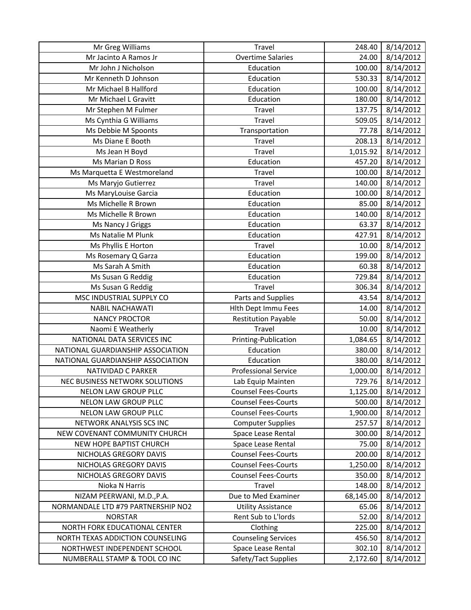| Mr Greg Williams                   | Travel                      | 248.40    | 8/14/2012 |
|------------------------------------|-----------------------------|-----------|-----------|
| Mr Jacinto A Ramos Jr              | <b>Overtime Salaries</b>    | 24.00     | 8/14/2012 |
| Mr John J Nicholson                | Education                   | 100.00    | 8/14/2012 |
| Mr Kenneth D Johnson               | Education                   | 530.33    | 8/14/2012 |
| Mr Michael B Hallford              | Education                   | 100.00    | 8/14/2012 |
| Mr Michael L Gravitt               | Education                   | 180.00    | 8/14/2012 |
| Mr Stephen M Fulmer                | Travel                      | 137.75    | 8/14/2012 |
| Ms Cynthia G Williams              | Travel                      | 509.05    | 8/14/2012 |
| Ms Debbie M Spoonts                | Transportation              | 77.78     | 8/14/2012 |
| Ms Diane E Booth                   | Travel                      | 208.13    | 8/14/2012 |
| Ms Jean H Boyd                     | Travel                      | 1,015.92  | 8/14/2012 |
| Ms Marian D Ross                   | Education                   | 457.20    | 8/14/2012 |
| Ms Marquetta E Westmoreland        | Travel                      | 100.00    | 8/14/2012 |
| Ms Maryjo Gutierrez                | Travel                      | 140.00    | 8/14/2012 |
| Ms MaryLouise Garcia               | Education                   | 100.00    | 8/14/2012 |
| Ms Michelle R Brown                | Education                   | 85.00     | 8/14/2012 |
| Ms Michelle R Brown                | Education                   | 140.00    | 8/14/2012 |
| Ms Nancy J Griggs                  | Education                   | 63.37     | 8/14/2012 |
| Ms Natalie M Plunk                 | Education                   | 427.91    | 8/14/2012 |
| Ms Phyllis E Horton                | Travel                      | 10.00     | 8/14/2012 |
| Ms Rosemary Q Garza                | Education                   | 199.00    | 8/14/2012 |
| Ms Sarah A Smith                   | Education                   | 60.38     | 8/14/2012 |
| Ms Susan G Reddig                  | Education                   | 729.84    | 8/14/2012 |
| Ms Susan G Reddig                  | Travel                      | 306.34    | 8/14/2012 |
| MSC INDUSTRIAL SUPPLY CO           | Parts and Supplies          | 43.54     | 8/14/2012 |
| <b>NABIL NACHAWATI</b>             | Hlth Dept Immu Fees         | 14.00     | 8/14/2012 |
| <b>NANCY PROCTOR</b>               | <b>Restitution Payable</b>  | 50.00     | 8/14/2012 |
| Naomi E Weatherly                  | <b>Travel</b>               | 10.00     | 8/14/2012 |
| NATIONAL DATA SERVICES INC         | Printing-Publication        | 1,084.65  | 8/14/2012 |
| NATIONAL GUARDIANSHIP ASSOCIATION  | Education                   | 380.00    | 8/14/2012 |
| NATIONAL GUARDIANSHIP ASSOCIATION  | Education                   | 380.00    | 8/14/2012 |
| NATIVIDAD C PARKER                 | <b>Professional Service</b> | 1,000.00  | 8/14/2012 |
| NEC BUSINESS NETWORK SOLUTIONS     | Lab Equip Mainten           | 729.76    | 8/14/2012 |
| <b>NELON LAW GROUP PLLC</b>        | <b>Counsel Fees-Courts</b>  | 1,125.00  | 8/14/2012 |
| NELON LAW GROUP PLLC               | <b>Counsel Fees-Courts</b>  | 500.00    | 8/14/2012 |
| NELON LAW GROUP PLLC               | <b>Counsel Fees-Courts</b>  | 1,900.00  | 8/14/2012 |
| NETWORK ANALYSIS SCS INC           | <b>Computer Supplies</b>    | 257.57    | 8/14/2012 |
| NEW COVENANT COMMUNITY CHURCH      | Space Lease Rental          | 300.00    | 8/14/2012 |
| NEW HOPE BAPTIST CHURCH            | Space Lease Rental          | 75.00     | 8/14/2012 |
| NICHOLAS GREGORY DAVIS             | <b>Counsel Fees-Courts</b>  | 200.00    | 8/14/2012 |
| NICHOLAS GREGORY DAVIS             | <b>Counsel Fees-Courts</b>  | 1,250.00  | 8/14/2012 |
| NICHOLAS GREGORY DAVIS             | <b>Counsel Fees-Courts</b>  | 350.00    | 8/14/2012 |
| Nioka N Harris                     | Travel                      | 148.00    | 8/14/2012 |
| NIZAM PEERWANI, M.D., P.A.         | Due to Med Examiner         | 68,145.00 | 8/14/2012 |
| NORMANDALE LTD #79 PARTNERSHIP NO2 | <b>Utility Assistance</b>   | 65.06     | 8/14/2012 |
| <b>NORSTAR</b>                     | Rent Sub to L'Iords         | 52.00     | 8/14/2012 |
| NORTH FORK EDUCATIONAL CENTER      | Clothing                    | 225.00    | 8/14/2012 |
| NORTH TEXAS ADDICTION COUNSELING   | <b>Counseling Services</b>  | 456.50    | 8/14/2012 |
| NORTHWEST INDEPENDENT SCHOOL       | Space Lease Rental          | 302.10    | 8/14/2012 |
| NUMBERALL STAMP & TOOL CO INC      | Safety/Tact Supplies        | 2,172.60  | 8/14/2012 |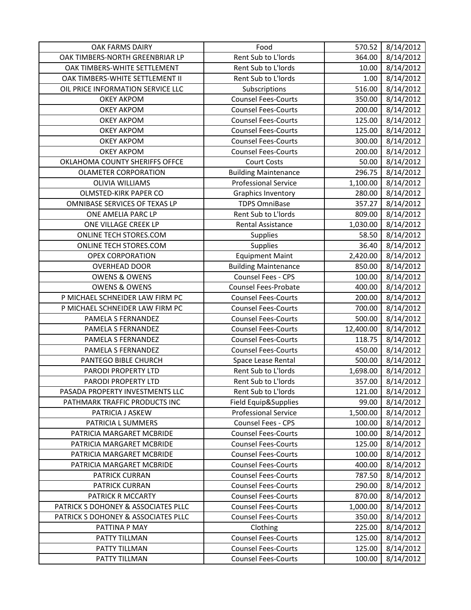| <b>OAK FARMS DAIRY</b>              | Food                        | 570.52    | 8/14/2012 |
|-------------------------------------|-----------------------------|-----------|-----------|
| OAK TIMBERS-NORTH GREENBRIAR LP     | Rent Sub to L'Iords         | 364.00    | 8/14/2012 |
| OAK TIMBERS-WHITE SETTLEMENT        | Rent Sub to L'Iords         | 10.00     | 8/14/2012 |
| OAK TIMBERS-WHITE SETTLEMENT II     | Rent Sub to L'Iords         | 1.00      | 8/14/2012 |
| OIL PRICE INFORMATION SERVICE LLC   | Subscriptions               | 516.00    | 8/14/2012 |
| <b>OKEY AKPOM</b>                   | <b>Counsel Fees-Courts</b>  | 350.00    | 8/14/2012 |
| <b>OKEY AKPOM</b>                   | <b>Counsel Fees-Courts</b>  | 200.00    | 8/14/2012 |
| <b>OKEY AKPOM</b>                   | <b>Counsel Fees-Courts</b>  | 125.00    | 8/14/2012 |
| <b>OKEY AKPOM</b>                   | <b>Counsel Fees-Courts</b>  | 125.00    | 8/14/2012 |
| <b>OKEY AKPOM</b>                   | <b>Counsel Fees-Courts</b>  | 300.00    | 8/14/2012 |
| <b>OKEY AKPOM</b>                   | <b>Counsel Fees-Courts</b>  | 200.00    | 8/14/2012 |
| OKLAHOMA COUNTY SHERIFFS OFFCE      | <b>Court Costs</b>          | 50.00     | 8/14/2012 |
| <b>OLAMETER CORPORATION</b>         | <b>Building Maintenance</b> | 296.75    | 8/14/2012 |
| <b>OLIVIA WILLIAMS</b>              | <b>Professional Service</b> | 1,100.00  | 8/14/2012 |
| OLMSTED-KIRK PAPER CO               | Graphics Inventory          | 280.00    | 8/14/2012 |
| OMNIBASE SERVICES OF TEXAS LP       | <b>TDPS OmniBase</b>        | 357.27    | 8/14/2012 |
| ONE AMELIA PARC LP                  | Rent Sub to L'Iords         | 809.00    | 8/14/2012 |
| ONE VILLAGE CREEK LP                | Rental Assistance           | 1,030.00  | 8/14/2012 |
| ONLINE TECH STORES.COM              | Supplies                    | 58.50     | 8/14/2012 |
| ONLINE TECH STORES.COM              | Supplies                    | 36.40     | 8/14/2012 |
| <b>OPEX CORPORATION</b>             | <b>Equipment Maint</b>      | 2,420.00  | 8/14/2012 |
| <b>OVERHEAD DOOR</b>                | <b>Building Maintenance</b> | 850.00    | 8/14/2012 |
| <b>OWENS &amp; OWENS</b>            | Counsel Fees - CPS          | 100.00    | 8/14/2012 |
| <b>OWENS &amp; OWENS</b>            | <b>Counsel Fees-Probate</b> | 400.00    | 8/14/2012 |
| P MICHAEL SCHNEIDER LAW FIRM PC     | <b>Counsel Fees-Courts</b>  | 200.00    | 8/14/2012 |
| P MICHAEL SCHNEIDER LAW FIRM PC     | <b>Counsel Fees-Courts</b>  | 700.00    | 8/14/2012 |
| PAMELA S FERNANDEZ                  | <b>Counsel Fees-Courts</b>  | 500.00    | 8/14/2012 |
| PAMELA S FERNANDEZ                  | <b>Counsel Fees-Courts</b>  | 12,400.00 | 8/14/2012 |
| PAMELA S FERNANDEZ                  | <b>Counsel Fees-Courts</b>  | 118.75    | 8/14/2012 |
| PAMELA S FERNANDEZ                  | <b>Counsel Fees-Courts</b>  | 450.00    | 8/14/2012 |
| PANTEGO BIBLE CHURCH                | Space Lease Rental          | 500.00    | 8/14/2012 |
| PARODI PROPERTY LTD                 | Rent Sub to L'Iords         | 1,698.00  | 8/14/2012 |
| PARODI PROPERTY LTD                 | Rent Sub to L'Iords         | 357.00    | 8/14/2012 |
| PASADA PROPERTY INVESTMENTS LLC     | Rent Sub to L'Iords         | 121.00    | 8/14/2012 |
| PATHMARK TRAFFIC PRODUCTS INC       | Field Equip&Supplies        | 99.00     | 8/14/2012 |
| PATRICIA J ASKEW                    | <b>Professional Service</b> | 1,500.00  | 8/14/2012 |
| PATRICIA L SUMMERS                  | Counsel Fees - CPS          | 100.00    | 8/14/2012 |
| PATRICIA MARGARET MCBRIDE           | <b>Counsel Fees-Courts</b>  | 100.00    | 8/14/2012 |
| PATRICIA MARGARET MCBRIDE           | <b>Counsel Fees-Courts</b>  | 125.00    | 8/14/2012 |
| PATRICIA MARGARET MCBRIDE           | <b>Counsel Fees-Courts</b>  | 100.00    | 8/14/2012 |
| PATRICIA MARGARET MCBRIDE           | <b>Counsel Fees-Courts</b>  | 400.00    | 8/14/2012 |
| PATRICK CURRAN                      | <b>Counsel Fees-Courts</b>  | 787.50    | 8/14/2012 |
| PATRICK CURRAN                      | <b>Counsel Fees-Courts</b>  | 290.00    | 8/14/2012 |
| PATRICK R MCCARTY                   | <b>Counsel Fees-Courts</b>  | 870.00    | 8/14/2012 |
| PATRICK S DOHONEY & ASSOCIATES PLLC | <b>Counsel Fees-Courts</b>  | 1,000.00  | 8/14/2012 |
| PATRICK S DOHONEY & ASSOCIATES PLLC | <b>Counsel Fees-Courts</b>  | 350.00    | 8/14/2012 |
| PATTINA P MAY                       | Clothing                    | 225.00    | 8/14/2012 |
| PATTY TILLMAN                       | <b>Counsel Fees-Courts</b>  | 125.00    | 8/14/2012 |
| PATTY TILLMAN                       | <b>Counsel Fees-Courts</b>  | 125.00    | 8/14/2012 |
| PATTY TILLMAN                       | <b>Counsel Fees-Courts</b>  | 100.00    | 8/14/2012 |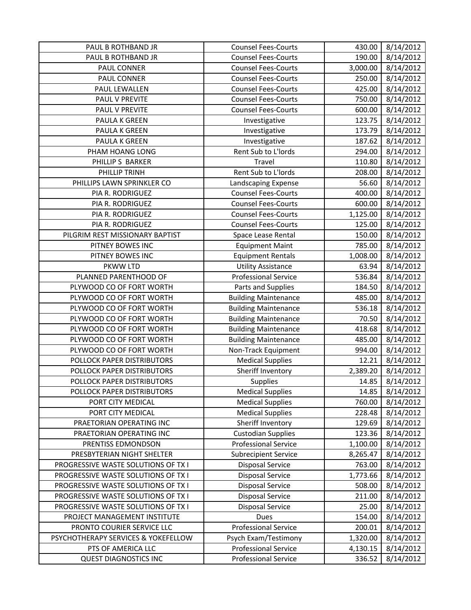| PAUL B ROTHBAND JR                                 | <b>Counsel Fees-Courts</b>                                 | 430.00             | 8/14/2012              |
|----------------------------------------------------|------------------------------------------------------------|--------------------|------------------------|
| PAUL B ROTHBAND JR                                 | <b>Counsel Fees-Courts</b>                                 | 190.00             | 8/14/2012              |
| PAUL CONNER                                        | <b>Counsel Fees-Courts</b>                                 | 3,000.00           | 8/14/2012              |
| PAUL CONNER                                        | <b>Counsel Fees-Courts</b>                                 | 250.00             | 8/14/2012              |
| PAUL LEWALLEN                                      | <b>Counsel Fees-Courts</b>                                 | 425.00             | 8/14/2012              |
| PAUL V PREVITE                                     | <b>Counsel Fees-Courts</b>                                 | 750.00             | 8/14/2012              |
| <b>PAUL V PREVITE</b>                              | <b>Counsel Fees-Courts</b>                                 | 600.00             | 8/14/2012              |
| PAULA K GREEN                                      | Investigative                                              | 123.75             | 8/14/2012              |
| PAULA K GREEN                                      | Investigative                                              | 173.79             | 8/14/2012              |
| PAULA K GREEN                                      | Investigative                                              | 187.62             | 8/14/2012              |
| PHAM HOANG LONG                                    | Rent Sub to L'Iords                                        | 294.00             | 8/14/2012              |
| PHILLIP S BARKER                                   | Travel                                                     | 110.80             | 8/14/2012              |
| PHILLIP TRINH                                      | Rent Sub to L'Iords                                        | 208.00             | 8/14/2012              |
| PHILLIPS LAWN SPRINKLER CO                         | Landscaping Expense                                        | 56.60              | 8/14/2012              |
| PIA R. RODRIGUEZ                                   | <b>Counsel Fees-Courts</b>                                 | 400.00             | 8/14/2012              |
| PIA R. RODRIGUEZ                                   | <b>Counsel Fees-Courts</b>                                 | 600.00             | 8/14/2012              |
| PIA R. RODRIGUEZ                                   | <b>Counsel Fees-Courts</b>                                 | 1,125.00           | 8/14/2012              |
| PIA R. RODRIGUEZ                                   | <b>Counsel Fees-Courts</b>                                 | 125.00             | 8/14/2012              |
| PILGRIM REST MISSIONARY BAPTIST                    | Space Lease Rental                                         | 150.00             | 8/14/2012              |
| PITNEY BOWES INC                                   | <b>Equipment Maint</b>                                     | 785.00             | 8/14/2012              |
| PITNEY BOWES INC                                   | <b>Equipment Rentals</b>                                   | 1,008.00           | 8/14/2012              |
| PKWW LTD                                           | <b>Utility Assistance</b>                                  | 63.94              | 8/14/2012              |
| PLANNED PARENTHOOD OF                              | <b>Professional Service</b>                                | 536.84             | 8/14/2012              |
| PLYWOOD CO OF FORT WORTH                           | Parts and Supplies                                         | 184.50             | 8/14/2012              |
| PLYWOOD CO OF FORT WORTH                           | <b>Building Maintenance</b>                                | 485.00             | 8/14/2012              |
| PLYWOOD CO OF FORT WORTH                           | <b>Building Maintenance</b>                                | 536.18             | 8/14/2012              |
| PLYWOOD CO OF FORT WORTH                           | <b>Building Maintenance</b>                                | 70.50              | 8/14/2012              |
| PLYWOOD CO OF FORT WORTH                           | <b>Building Maintenance</b>                                | 418.68             | 8/14/2012              |
| PLYWOOD CO OF FORT WORTH                           | <b>Building Maintenance</b>                                | 485.00             | 8/14/2012              |
| PLYWOOD CO OF FORT WORTH                           | Non-Track Equipment                                        | 994.00             | 8/14/2012              |
| POLLOCK PAPER DISTRIBUTORS                         | <b>Medical Supplies</b>                                    | 12.21              | 8/14/2012              |
| POLLOCK PAPER DISTRIBUTORS                         | Sheriff Inventory                                          | 2,389.20           | 8/14/2012              |
| POLLOCK PAPER DISTRIBUTORS                         | Supplies                                                   | 14.85              | 8/14/2012              |
| POLLOCK PAPER DISTRIBUTORS                         | <b>Medical Supplies</b>                                    | 14.85              | 8/14/2012              |
| PORT CITY MEDICAL                                  | <b>Medical Supplies</b>                                    | 760.00             | 8/14/2012              |
| PORT CITY MEDICAL                                  | <b>Medical Supplies</b>                                    | 228.48             | 8/14/2012              |
| PRAETORIAN OPERATING INC                           | Sheriff Inventory                                          | 129.69             | 8/14/2012              |
| PRAETORIAN OPERATING INC                           | <b>Custodian Supplies</b>                                  | 123.36             | 8/14/2012              |
| PRENTISS EDMONDSON                                 | <b>Professional Service</b>                                | 1,100.00           | 8/14/2012              |
| PRESBYTERIAN NIGHT SHELTER                         | <b>Subrecipient Service</b>                                | 8,265.47           | 8/14/2012              |
| PROGRESSIVE WASTE SOLUTIONS OF TX I                | <b>Disposal Service</b>                                    | 763.00             | 8/14/2012              |
| PROGRESSIVE WASTE SOLUTIONS OF TX I                | <b>Disposal Service</b>                                    | 1,773.66           | 8/14/2012              |
| PROGRESSIVE WASTE SOLUTIONS OF TX I                | Disposal Service                                           | 508.00             | 8/14/2012              |
| PROGRESSIVE WASTE SOLUTIONS OF TX I                | <b>Disposal Service</b>                                    | 211.00             | 8/14/2012              |
| PROGRESSIVE WASTE SOLUTIONS OF TX I                | <b>Disposal Service</b>                                    | 25.00              | 8/14/2012              |
| PROJECT MANAGEMENT INSTITUTE                       | Dues                                                       | 154.00             | 8/14/2012              |
| PRONTO COURIER SERVICE LLC                         | <b>Professional Service</b>                                | 200.01             | 8/14/2012              |
| PSYCHOTHERAPY SERVICES & YOKEFELLOW                |                                                            |                    |                        |
|                                                    | Psych Exam/Testimony                                       | 1,320.00           | 8/14/2012              |
| PTS OF AMERICA LLC<br><b>QUEST DIAGNOSTICS INC</b> | <b>Professional Service</b><br><b>Professional Service</b> | 4,130.15<br>336.52 | 8/14/2012<br>8/14/2012 |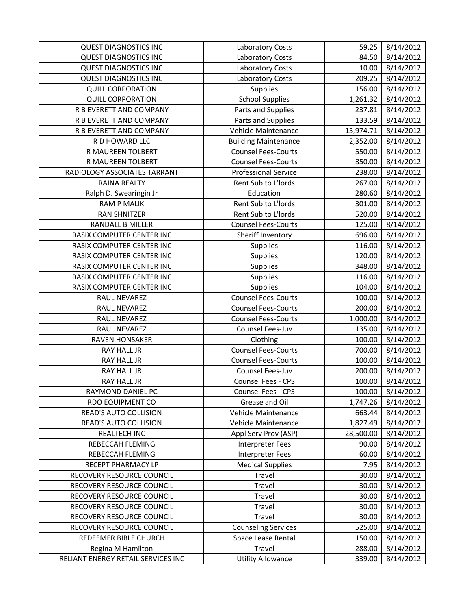| <b>QUEST DIAGNOSTICS INC</b>       | Laboratory Costs            | 59.25     | 8/14/2012 |
|------------------------------------|-----------------------------|-----------|-----------|
| <b>QUEST DIAGNOSTICS INC</b>       | <b>Laboratory Costs</b>     | 84.50     | 8/14/2012 |
| <b>QUEST DIAGNOSTICS INC</b>       | Laboratory Costs            | 10.00     | 8/14/2012 |
| <b>QUEST DIAGNOSTICS INC</b>       | <b>Laboratory Costs</b>     | 209.25    | 8/14/2012 |
| <b>QUILL CORPORATION</b>           | <b>Supplies</b>             | 156.00    | 8/14/2012 |
| <b>QUILL CORPORATION</b>           | <b>School Supplies</b>      | 1,261.32  | 8/14/2012 |
| R B EVERETT AND COMPANY            | Parts and Supplies          | 237.81    | 8/14/2012 |
| R B EVERETT AND COMPANY            | Parts and Supplies          | 133.59    | 8/14/2012 |
| R B EVERETT AND COMPANY            | Vehicle Maintenance         | 15,974.71 | 8/14/2012 |
| R D HOWARD LLC                     | <b>Building Maintenance</b> | 2,352.00  | 8/14/2012 |
| R MAUREEN TOLBERT                  | <b>Counsel Fees-Courts</b>  | 550.00    | 8/14/2012 |
| R MAUREEN TOLBERT                  | <b>Counsel Fees-Courts</b>  | 850.00    | 8/14/2012 |
| RADIOLOGY ASSOCIATES TARRANT       | <b>Professional Service</b> | 238.00    | 8/14/2012 |
| RAINA REALTY                       | Rent Sub to L'Iords         | 267.00    | 8/14/2012 |
| Ralph D. Swearingin Jr             | Education                   | 280.60    | 8/14/2012 |
| <b>RAM P MALIK</b>                 | Rent Sub to L'Iords         | 301.00    | 8/14/2012 |
| <b>RAN SHNITZER</b>                | Rent Sub to L'Iords         | 520.00    | 8/14/2012 |
| RANDALL B MILLER                   | <b>Counsel Fees-Courts</b>  | 125.00    | 8/14/2012 |
| RASIX COMPUTER CENTER INC          | Sheriff Inventory           | 696.00    | 8/14/2012 |
| RASIX COMPUTER CENTER INC          | Supplies                    | 116.00    | 8/14/2012 |
| RASIX COMPUTER CENTER INC          | Supplies                    | 120.00    | 8/14/2012 |
| RASIX COMPUTER CENTER INC          | Supplies                    | 348.00    | 8/14/2012 |
| RASIX COMPUTER CENTER INC          | Supplies                    | 116.00    | 8/14/2012 |
| RASIX COMPUTER CENTER INC          | Supplies                    | 104.00    | 8/14/2012 |
| RAUL NEVAREZ                       | <b>Counsel Fees-Courts</b>  | 100.00    | 8/14/2012 |
| RAUL NEVAREZ                       | <b>Counsel Fees-Courts</b>  | 200.00    | 8/14/2012 |
| RAUL NEVAREZ                       | <b>Counsel Fees-Courts</b>  | 1,000.00  | 8/14/2012 |
| RAUL NEVAREZ                       | Counsel Fees-Juv            | 135.00    | 8/14/2012 |
| RAVEN HONSAKER                     | Clothing                    | 100.00    | 8/14/2012 |
| <b>RAY HALL JR</b>                 | <b>Counsel Fees-Courts</b>  | 700.00    | 8/14/2012 |
| <b>RAY HALL JR</b>                 | <b>Counsel Fees-Courts</b>  | 100.00    | 8/14/2012 |
| <b>RAY HALL JR</b>                 | Counsel Fees-Juv            | 200.00    | 8/14/2012 |
| <b>RAY HALL JR</b>                 | Counsel Fees - CPS          | 100.00    | 8/14/2012 |
| RAYMOND DANIEL PC                  | Counsel Fees - CPS          | 100.00    | 8/14/2012 |
| <b>RDO EQUIPMENT CO</b>            | Grease and Oil              | 1,747.26  | 8/14/2012 |
| READ'S AUTO COLLISION              | Vehicle Maintenance         | 663.44    | 8/14/2012 |
| <b>READ'S AUTO COLLISION</b>       | Vehicle Maintenance         | 1,827.49  | 8/14/2012 |
| REALTECH INC                       | Appl Serv Prov (ASP)        | 28,500.00 | 8/14/2012 |
| REBECCAH FLEMING                   | Interpreter Fees            | 90.00     | 8/14/2012 |
| REBECCAH FLEMING                   | <b>Interpreter Fees</b>     | 60.00     | 8/14/2012 |
| RECEPT PHARMACY LP                 | <b>Medical Supplies</b>     | 7.95      | 8/14/2012 |
| RECOVERY RESOURCE COUNCIL          | Travel                      | 30.00     | 8/14/2012 |
| RECOVERY RESOURCE COUNCIL          | Travel                      | 30.00     | 8/14/2012 |
| RECOVERY RESOURCE COUNCIL          | Travel                      | 30.00     | 8/14/2012 |
| RECOVERY RESOURCE COUNCIL          | Travel                      | 30.00     | 8/14/2012 |
| RECOVERY RESOURCE COUNCIL          | Travel                      | 30.00     | 8/14/2012 |
| RECOVERY RESOURCE COUNCIL          | <b>Counseling Services</b>  | 525.00    | 8/14/2012 |
| REDEEMER BIBLE CHURCH              | Space Lease Rental          | 150.00    | 8/14/2012 |
| Regina M Hamilton                  | Travel                      | 288.00    | 8/14/2012 |
| RELIANT ENERGY RETAIL SERVICES INC | <b>Utility Allowance</b>    | 339.00    | 8/14/2012 |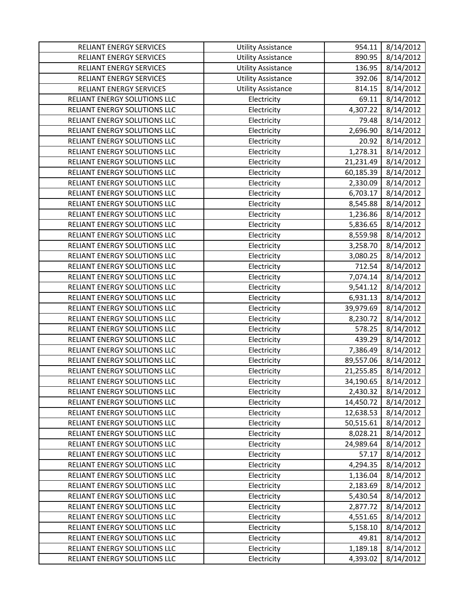| RELIANT ENERGY SERVICES        | <b>Utility Assistance</b> | 954.11    | 8/14/2012 |
|--------------------------------|---------------------------|-----------|-----------|
| RELIANT ENERGY SERVICES        | <b>Utility Assistance</b> | 890.95    | 8/14/2012 |
| RELIANT ENERGY SERVICES        | <b>Utility Assistance</b> | 136.95    | 8/14/2012 |
| <b>RELIANT ENERGY SERVICES</b> | <b>Utility Assistance</b> | 392.06    | 8/14/2012 |
| RELIANT ENERGY SERVICES        | <b>Utility Assistance</b> | 814.15    | 8/14/2012 |
| RELIANT ENERGY SOLUTIONS LLC   | Electricity               | 69.11     | 8/14/2012 |
| RELIANT ENERGY SOLUTIONS LLC   | Electricity               | 4,307.22  | 8/14/2012 |
| RELIANT ENERGY SOLUTIONS LLC   | Electricity               | 79.48     | 8/14/2012 |
| RELIANT ENERGY SOLUTIONS LLC   | Electricity               | 2,696.90  | 8/14/2012 |
| RELIANT ENERGY SOLUTIONS LLC   | Electricity               | 20.92     | 8/14/2012 |
| RELIANT ENERGY SOLUTIONS LLC   | Electricity               | 1,278.31  | 8/14/2012 |
| RELIANT ENERGY SOLUTIONS LLC   | Electricity               | 21,231.49 | 8/14/2012 |
| RELIANT ENERGY SOLUTIONS LLC   | Electricity               | 60,185.39 | 8/14/2012 |
| RELIANT ENERGY SOLUTIONS LLC   | Electricity               | 2,330.09  | 8/14/2012 |
| RELIANT ENERGY SOLUTIONS LLC   | Electricity               | 6,703.17  | 8/14/2012 |
| RELIANT ENERGY SOLUTIONS LLC   | Electricity               | 8,545.88  | 8/14/2012 |
| RELIANT ENERGY SOLUTIONS LLC   | Electricity               | 1,236.86  | 8/14/2012 |
| RELIANT ENERGY SOLUTIONS LLC   | Electricity               | 5,836.65  | 8/14/2012 |
| RELIANT ENERGY SOLUTIONS LLC   | Electricity               | 8,559.98  | 8/14/2012 |
| RELIANT ENERGY SOLUTIONS LLC   | Electricity               | 3,258.70  | 8/14/2012 |
| RELIANT ENERGY SOLUTIONS LLC   | Electricity               | 3,080.25  | 8/14/2012 |
| RELIANT ENERGY SOLUTIONS LLC   | Electricity               | 712.54    | 8/14/2012 |
| RELIANT ENERGY SOLUTIONS LLC   | Electricity               | 7,074.14  | 8/14/2012 |
| RELIANT ENERGY SOLUTIONS LLC   | Electricity               | 9,541.12  | 8/14/2012 |
| RELIANT ENERGY SOLUTIONS LLC   | Electricity               | 6,931.13  | 8/14/2012 |
| RELIANT ENERGY SOLUTIONS LLC   | Electricity               | 39,979.69 | 8/14/2012 |
| RELIANT ENERGY SOLUTIONS LLC   | Electricity               | 8,230.72  | 8/14/2012 |
| RELIANT ENERGY SOLUTIONS LLC   | Electricity               | 578.25    | 8/14/2012 |
| RELIANT ENERGY SOLUTIONS LLC   | Electricity               | 439.29    | 8/14/2012 |
| RELIANT ENERGY SOLUTIONS LLC   | Electricity               | 7,386.49  | 8/14/2012 |
| RELIANT ENERGY SOLUTIONS LLC   | Electricity               | 89,557.06 | 8/14/2012 |
| RELIANT ENERGY SOLUTIONS LLC   | Electricity               | 21,255.85 | 8/14/2012 |
| RELIANT ENERGY SOLUTIONS LLC   | Electricity               | 34,190.65 | 8/14/2012 |
| RELIANT ENERGY SOLUTIONS LLC   | Electricity               | 2,430.32  | 8/14/2012 |
| RELIANT ENERGY SOLUTIONS LLC   | Electricity               | 14,450.72 | 8/14/2012 |
| RELIANT ENERGY SOLUTIONS LLC   | Electricity               | 12,638.53 | 8/14/2012 |
| RELIANT ENERGY SOLUTIONS LLC   | Electricity               | 50,515.61 | 8/14/2012 |
| RELIANT ENERGY SOLUTIONS LLC   | Electricity               | 8,028.21  | 8/14/2012 |
| RELIANT ENERGY SOLUTIONS LLC   | Electricity               | 24,989.64 | 8/14/2012 |
| RELIANT ENERGY SOLUTIONS LLC   | Electricity               | 57.17     | 8/14/2012 |
| RELIANT ENERGY SOLUTIONS LLC   | Electricity               | 4,294.35  | 8/14/2012 |
| RELIANT ENERGY SOLUTIONS LLC   | Electricity               | 1,136.04  | 8/14/2012 |
| RELIANT ENERGY SOLUTIONS LLC   | Electricity               | 2,183.69  | 8/14/2012 |
| RELIANT ENERGY SOLUTIONS LLC   | Electricity               | 5,430.54  | 8/14/2012 |
| RELIANT ENERGY SOLUTIONS LLC   | Electricity               | 2,877.72  | 8/14/2012 |
| RELIANT ENERGY SOLUTIONS LLC   | Electricity               | 4,551.65  | 8/14/2012 |
| RELIANT ENERGY SOLUTIONS LLC   | Electricity               | 5,158.10  | 8/14/2012 |
| RELIANT ENERGY SOLUTIONS LLC   | Electricity               | 49.81     | 8/14/2012 |
| RELIANT ENERGY SOLUTIONS LLC   | Electricity               | 1,189.18  | 8/14/2012 |
| RELIANT ENERGY SOLUTIONS LLC   | Electricity               | 4,393.02  | 8/14/2012 |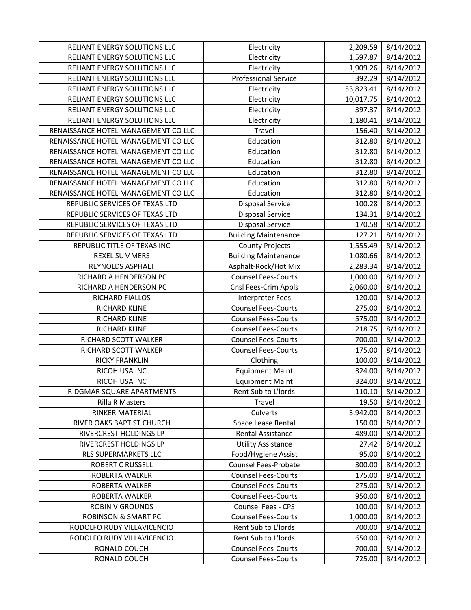| RELIANT ENERGY SOLUTIONS LLC        | Electricity                                              | 2,209.59         | 8/14/2012              |
|-------------------------------------|----------------------------------------------------------|------------------|------------------------|
| RELIANT ENERGY SOLUTIONS LLC        | Electricity                                              | 1,597.87         | 8/14/2012              |
| RELIANT ENERGY SOLUTIONS LLC        | Electricity                                              | 1,909.26         | 8/14/2012              |
| RELIANT ENERGY SOLUTIONS LLC        | <b>Professional Service</b>                              | 392.29           | 8/14/2012              |
| RELIANT ENERGY SOLUTIONS LLC        | Electricity                                              | 53,823.41        | 8/14/2012              |
| RELIANT ENERGY SOLUTIONS LLC        | Electricity                                              | 10,017.75        | 8/14/2012              |
| RELIANT ENERGY SOLUTIONS LLC        | Electricity                                              | 397.37           | 8/14/2012              |
| RELIANT ENERGY SOLUTIONS LLC        | Electricity                                              | 1,180.41         | 8/14/2012              |
| RENAISSANCE HOTEL MANAGEMENT CO LLC | Travel                                                   | 156.40           | 8/14/2012              |
| RENAISSANCE HOTEL MANAGEMENT CO LLC | Education                                                | 312.80           | 8/14/2012              |
| RENAISSANCE HOTEL MANAGEMENT CO LLC | Education                                                | 312.80           | 8/14/2012              |
| RENAISSANCE HOTEL MANAGEMENT CO LLC | Education                                                | 312.80           | 8/14/2012              |
| RENAISSANCE HOTEL MANAGEMENT CO LLC | Education                                                | 312.80           | 8/14/2012              |
| RENAISSANCE HOTEL MANAGEMENT CO LLC | Education                                                | 312.80           | 8/14/2012              |
| RENAISSANCE HOTEL MANAGEMENT CO LLC | Education                                                | 312.80           | 8/14/2012              |
| REPUBLIC SERVICES OF TEXAS LTD      | <b>Disposal Service</b>                                  | 100.28           | 8/14/2012              |
| REPUBLIC SERVICES OF TEXAS LTD      | <b>Disposal Service</b>                                  | 134.31           | 8/14/2012              |
| REPUBLIC SERVICES OF TEXAS LTD      | <b>Disposal Service</b>                                  | 170.58           | 8/14/2012              |
| REPUBLIC SERVICES OF TEXAS LTD      | <b>Building Maintenance</b>                              | 127.21           | 8/14/2012              |
| REPUBLIC TITLE OF TEXAS INC         | <b>County Projects</b>                                   | 1,555.49         | 8/14/2012              |
| <b>REXEL SUMMERS</b>                | <b>Building Maintenance</b>                              | 1,080.66         | 8/14/2012              |
| REYNOLDS ASPHALT                    | Asphalt-Rock/Hot Mix                                     | 2,283.34         | 8/14/2012              |
| RICHARD A HENDERSON PC              | <b>Counsel Fees-Courts</b>                               | 1,000.00         | 8/14/2012              |
| RICHARD A HENDERSON PC              | Cnsl Fees-Crim Appls                                     | 2,060.00         | 8/14/2012              |
| RICHARD FIALLOS                     | <b>Interpreter Fees</b>                                  | 120.00           | 8/14/2012              |
| RICHARD KLINE                       | <b>Counsel Fees-Courts</b>                               | 275.00           | 8/14/2012              |
| RICHARD KLINE                       | <b>Counsel Fees-Courts</b>                               | 575.00           | 8/14/2012              |
| RICHARD KLINE                       | <b>Counsel Fees-Courts</b>                               | 218.75           | 8/14/2012              |
| RICHARD SCOTT WALKER                | <b>Counsel Fees-Courts</b>                               | 700.00           | 8/14/2012              |
| RICHARD SCOTT WALKER                | <b>Counsel Fees-Courts</b>                               | 175.00           | 8/14/2012              |
| <b>RICKY FRANKLIN</b>               | Clothing                                                 | 100.00           | 8/14/2012              |
| RICOH USA INC                       | <b>Equipment Maint</b>                                   | 324.00           | 8/14/2012              |
| RICOH USA INC                       | <b>Equipment Maint</b>                                   | 324.00           | 8/14/2012              |
| RIDGMAR SQUARE APARTMENTS           | Rent Sub to L'Iords                                      | 110.10           | 8/14/2012              |
| <b>Rilla R Masters</b>              | Travel                                                   | 19.50            | 8/14/2012              |
| RINKER MATERIAL                     | Culverts                                                 | 3,942.00         | 8/14/2012              |
| RIVER OAKS BAPTIST CHURCH           | Space Lease Rental                                       | 150.00           | 8/14/2012              |
| RIVERCREST HOLDINGS LP              | Rental Assistance                                        | 489.00           | 8/14/2012              |
| RIVERCREST HOLDINGS LP              | <b>Utility Assistance</b>                                | 27.42            | 8/14/2012              |
| RLS SUPERMARKETS LLC                | Food/Hygiene Assist                                      | 95.00            | 8/14/2012              |
| <b>ROBERT C RUSSELL</b>             | <b>Counsel Fees-Probate</b>                              | 300.00           | 8/14/2012              |
| ROBERTA WALKER                      | <b>Counsel Fees-Courts</b>                               | 175.00           | 8/14/2012              |
| ROBERTA WALKER                      |                                                          |                  |                        |
|                                     | <b>Counsel Fees-Courts</b>                               | 275.00           | 8/14/2012              |
| ROBERTA WALKER                      | <b>Counsel Fees-Courts</b>                               | 950.00           | 8/14/2012              |
| <b>ROBIN V GROUNDS</b>              | Counsel Fees - CPS                                       | 100.00           | 8/14/2012              |
| <b>ROBINSON &amp; SMART PC</b>      | <b>Counsel Fees-Courts</b>                               | 1,000.00         | 8/14/2012              |
| RODOLFO RUDY VILLAVICENCIO          | Rent Sub to L'Iords                                      | 700.00           | 8/14/2012              |
| RODOLFO RUDY VILLAVICENCIO          | Rent Sub to L'Iords                                      | 650.00           | 8/14/2012              |
| RONALD COUCH<br>RONALD COUCH        | <b>Counsel Fees-Courts</b><br><b>Counsel Fees-Courts</b> | 700.00<br>725.00 | 8/14/2012<br>8/14/2012 |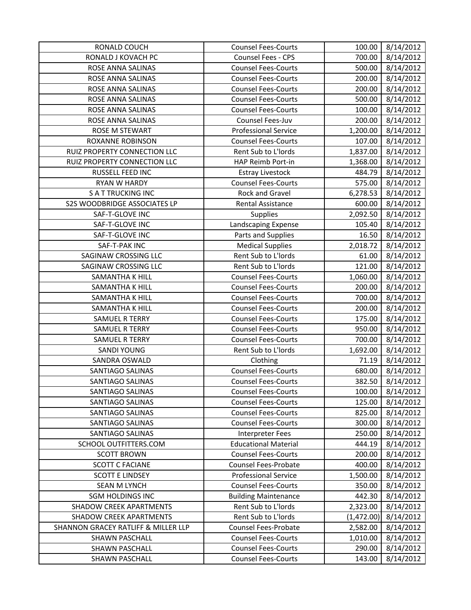| RONALD COUCH                        | <b>Counsel Fees-Courts</b>  | 100.00     | 8/14/2012 |
|-------------------------------------|-----------------------------|------------|-----------|
| RONALD J KOVACH PC                  | Counsel Fees - CPS          | 700.00     | 8/14/2012 |
| ROSE ANNA SALINAS                   | <b>Counsel Fees-Courts</b>  | 500.00     | 8/14/2012 |
| ROSE ANNA SALINAS                   | <b>Counsel Fees-Courts</b>  | 200.00     | 8/14/2012 |
| ROSE ANNA SALINAS                   | <b>Counsel Fees-Courts</b>  | 200.00     | 8/14/2012 |
| ROSE ANNA SALINAS                   | <b>Counsel Fees-Courts</b>  | 500.00     | 8/14/2012 |
| ROSE ANNA SALINAS                   | <b>Counsel Fees-Courts</b>  | 100.00     | 8/14/2012 |
| ROSE ANNA SALINAS                   | Counsel Fees-Juv            | 200.00     | 8/14/2012 |
| ROSE M STEWART                      | <b>Professional Service</b> | 1,200.00   | 8/14/2012 |
| <b>ROXANNE ROBINSON</b>             | <b>Counsel Fees-Courts</b>  | 107.00     | 8/14/2012 |
| RUIZ PROPERTY CONNECTION LLC        | Rent Sub to L'Iords         | 1,837.00   | 8/14/2012 |
| RUIZ PROPERTY CONNECTION LLC        | HAP Reimb Port-in           | 1,368.00   | 8/14/2012 |
| RUSSELL FEED INC                    | <b>Estray Livestock</b>     | 484.79     | 8/14/2012 |
| <b>RYAN W HARDY</b>                 | <b>Counsel Fees-Courts</b>  | 575.00     | 8/14/2012 |
| <b>SATTRUCKING INC</b>              | Rock and Gravel             | 6,278.53   | 8/14/2012 |
| S2S WOODBRIDGE ASSOCIATES LP        | <b>Rental Assistance</b>    | 600.00     | 8/14/2012 |
| SAF-T-GLOVE INC                     | Supplies                    | 2,092.50   | 8/14/2012 |
| SAF-T-GLOVE INC                     | Landscaping Expense         | 105.40     | 8/14/2012 |
| SAF-T-GLOVE INC                     | Parts and Supplies          | 16.50      | 8/14/2012 |
| SAF-T-PAK INC                       | <b>Medical Supplies</b>     | 2,018.72   | 8/14/2012 |
| SAGINAW CROSSING LLC                | Rent Sub to L'Iords         | 61.00      | 8/14/2012 |
| <b>SAGINAW CROSSING LLC</b>         | Rent Sub to L'Iords         | 121.00     | 8/14/2012 |
| SAMANTHA K HILL                     | <b>Counsel Fees-Courts</b>  | 1,060.00   | 8/14/2012 |
| SAMANTHA K HILL                     | <b>Counsel Fees-Courts</b>  | 200.00     | 8/14/2012 |
| SAMANTHA K HILL                     | <b>Counsel Fees-Courts</b>  | 700.00     | 8/14/2012 |
| SAMANTHA K HILL                     | <b>Counsel Fees-Courts</b>  | 200.00     | 8/14/2012 |
| <b>SAMUEL R TERRY</b>               | <b>Counsel Fees-Courts</b>  | 175.00     | 8/14/2012 |
| <b>SAMUEL R TERRY</b>               | <b>Counsel Fees-Courts</b>  | 950.00     | 8/14/2012 |
| <b>SAMUEL R TERRY</b>               | <b>Counsel Fees-Courts</b>  | 700.00     | 8/14/2012 |
| <b>SANDI YOUNG</b>                  | Rent Sub to L'Iords         | 1,692.00   | 8/14/2012 |
| SANDRA OSWALD                       | Clothing                    | 71.19      | 8/14/2012 |
| <b>SANTIAGO SALINAS</b>             | <b>Counsel Fees-Courts</b>  | 680.00     | 8/14/2012 |
| <b>SANTIAGO SALINAS</b>             | <b>Counsel Fees-Courts</b>  | 382.50     | 8/14/2012 |
| <b>SANTIAGO SALINAS</b>             | <b>Counsel Fees-Courts</b>  | 100.00     | 8/14/2012 |
| SANTIAGO SALINAS                    | <b>Counsel Fees-Courts</b>  | 125.00     | 8/14/2012 |
| SANTIAGO SALINAS                    | <b>Counsel Fees-Courts</b>  | 825.00     | 8/14/2012 |
| SANTIAGO SALINAS                    | <b>Counsel Fees-Courts</b>  | 300.00     | 8/14/2012 |
| SANTIAGO SALINAS                    | Interpreter Fees            | 250.00     | 8/14/2012 |
| SCHOOL OUTFITTERS.COM               | <b>Educational Material</b> | 444.19     | 8/14/2012 |
| <b>SCOTT BROWN</b>                  | <b>Counsel Fees-Courts</b>  | 200.00     | 8/14/2012 |
| <b>SCOTT C FACIANE</b>              | <b>Counsel Fees-Probate</b> | 400.00     | 8/14/2012 |
| <b>SCOTT E LINDSEY</b>              | <b>Professional Service</b> | 1,500.00   | 8/14/2012 |
| <b>SEAN M LYNCH</b>                 | <b>Counsel Fees-Courts</b>  | 350.00     | 8/14/2012 |
| <b>SGM HOLDINGS INC</b>             | <b>Building Maintenance</b> | 442.30     | 8/14/2012 |
| <b>SHADOW CREEK APARTMENTS</b>      | Rent Sub to L'Iords         | 2,323.00   | 8/14/2012 |
| <b>SHADOW CREEK APARTMENTS</b>      | Rent Sub to L'Iords         | (1,472.00) | 8/14/2012 |
| SHANNON GRACEY RATLIFF & MILLER LLP | <b>Counsel Fees-Probate</b> | 2,582.00   | 8/14/2012 |
| SHAWN PASCHALL                      | <b>Counsel Fees-Courts</b>  | 1,010.00   | 8/14/2012 |
| SHAWN PASCHALL                      | <b>Counsel Fees-Courts</b>  | 290.00     | 8/14/2012 |
| SHAWN PASCHALL                      | <b>Counsel Fees-Courts</b>  | 143.00     | 8/14/2012 |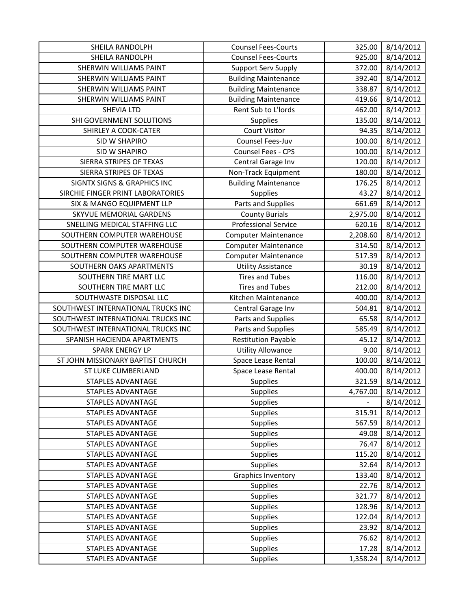| SHEILA RANDOLPH                        | <b>Counsel Fees-Courts</b>  | 325.00   | 8/14/2012 |
|----------------------------------------|-----------------------------|----------|-----------|
| SHEILA RANDOLPH                        | <b>Counsel Fees-Courts</b>  | 925.00   | 8/14/2012 |
| <b>SHERWIN WILLIAMS PAINT</b>          | <b>Support Serv Supply</b>  | 372.00   | 8/14/2012 |
| SHERWIN WILLIAMS PAINT                 | <b>Building Maintenance</b> | 392.40   | 8/14/2012 |
| SHERWIN WILLIAMS PAINT                 | <b>Building Maintenance</b> | 338.87   | 8/14/2012 |
| <b>SHERWIN WILLIAMS PAINT</b>          | <b>Building Maintenance</b> | 419.66   | 8/14/2012 |
| <b>SHEVIA LTD</b>                      | Rent Sub to L'Iords         | 462.00   | 8/14/2012 |
| SHI GOVERNMENT SOLUTIONS               | <b>Supplies</b>             | 135.00   | 8/14/2012 |
| SHIRLEY A COOK-CATER                   | <b>Court Visitor</b>        | 94.35    | 8/14/2012 |
| <b>SID W SHAPIRO</b>                   | Counsel Fees-Juv            | 100.00   | 8/14/2012 |
| SID W SHAPIRO                          | Counsel Fees - CPS          | 100.00   | 8/14/2012 |
| SIERRA STRIPES OF TEXAS                | Central Garage Inv          | 120.00   | 8/14/2012 |
| SIERRA STRIPES OF TEXAS                | Non-Track Equipment         | 180.00   | 8/14/2012 |
| <b>SIGNTX SIGNS &amp; GRAPHICS INC</b> | <b>Building Maintenance</b> | 176.25   | 8/14/2012 |
| SIRCHIE FINGER PRINT LABORATORIES      | <b>Supplies</b>             | 43.27    | 8/14/2012 |
| SIX & MANGO EQUIPMENT LLP              | Parts and Supplies          | 661.69   | 8/14/2012 |
| SKYVUE MEMORIAL GARDENS                | <b>County Burials</b>       | 2,975.00 | 8/14/2012 |
| SNELLING MEDICAL STAFFING LLC          | <b>Professional Service</b> | 620.16   | 8/14/2012 |
| SOUTHERN COMPUTER WAREHOUSE            | <b>Computer Maintenance</b> | 2,208.60 | 8/14/2012 |
| SOUTHERN COMPUTER WAREHOUSE            | <b>Computer Maintenance</b> | 314.50   | 8/14/2012 |
| SOUTHERN COMPUTER WAREHOUSE            | <b>Computer Maintenance</b> | 517.39   | 8/14/2012 |
| SOUTHERN OAKS APARTMENTS               | <b>Utility Assistance</b>   | 30.19    | 8/14/2012 |
| SOUTHERN TIRE MART LLC                 | <b>Tires and Tubes</b>      | 116.00   | 8/14/2012 |
| SOUTHERN TIRE MART LLC                 | <b>Tires and Tubes</b>      | 212.00   | 8/14/2012 |
| SOUTHWASTE DISPOSAL LLC                | Kitchen Maintenance         | 400.00   | 8/14/2012 |
| SOUTHWEST INTERNATIONAL TRUCKS INC     | Central Garage Inv          | 504.81   | 8/14/2012 |
| SOUTHWEST INTERNATIONAL TRUCKS INC     | Parts and Supplies          | 65.58    | 8/14/2012 |
| SOUTHWEST INTERNATIONAL TRUCKS INC     | Parts and Supplies          | 585.49   | 8/14/2012 |
| SPANISH HACIENDA APARTMENTS            | <b>Restitution Payable</b>  | 45.12    | 8/14/2012 |
| <b>SPARK ENERGY LP</b>                 | <b>Utility Allowance</b>    | 9.00     | 8/14/2012 |
| ST JOHN MISSIONARY BAPTIST CHURCH      | Space Lease Rental          | 100.00   | 8/14/2012 |
| ST LUKE CUMBERLAND                     | Space Lease Rental          | 400.00   | 8/14/2012 |
| <b>STAPLES ADVANTAGE</b>               | Supplies                    | 321.59   | 8/14/2012 |
| <b>STAPLES ADVANTAGE</b>               | Supplies                    | 4,767.00 | 8/14/2012 |
| STAPLES ADVANTAGE                      | <b>Supplies</b>             |          | 8/14/2012 |
| STAPLES ADVANTAGE                      | <b>Supplies</b>             | 315.91   | 8/14/2012 |
| STAPLES ADVANTAGE                      | <b>Supplies</b>             | 567.59   | 8/14/2012 |
| <b>STAPLES ADVANTAGE</b>               | Supplies                    | 49.08    | 8/14/2012 |
| <b>STAPLES ADVANTAGE</b>               | <b>Supplies</b>             | 76.47    | 8/14/2012 |
| STAPLES ADVANTAGE                      | Supplies                    | 115.20   | 8/14/2012 |
| <b>STAPLES ADVANTAGE</b>               | <b>Supplies</b>             | 32.64    | 8/14/2012 |
| STAPLES ADVANTAGE                      | <b>Graphics Inventory</b>   | 133.40   | 8/14/2012 |
| STAPLES ADVANTAGE                      | <b>Supplies</b>             | 22.76    | 8/14/2012 |
| STAPLES ADVANTAGE                      | <b>Supplies</b>             | 321.77   | 8/14/2012 |
| STAPLES ADVANTAGE                      | Supplies                    | 128.96   | 8/14/2012 |
| STAPLES ADVANTAGE                      | <b>Supplies</b>             | 122.04   | 8/14/2012 |
| STAPLES ADVANTAGE                      | <b>Supplies</b>             | 23.92    | 8/14/2012 |
| STAPLES ADVANTAGE                      | <b>Supplies</b>             | 76.62    | 8/14/2012 |
| <b>STAPLES ADVANTAGE</b>               | <b>Supplies</b>             | 17.28    | 8/14/2012 |
| <b>STAPLES ADVANTAGE</b>               | <b>Supplies</b>             | 1,358.24 | 8/14/2012 |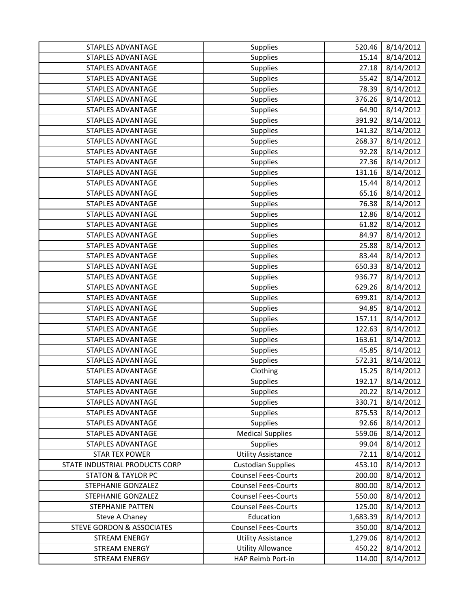| STAPLES ADVANTAGE                    | Supplies                   | 520.46   | 8/14/2012 |
|--------------------------------------|----------------------------|----------|-----------|
| <b>STAPLES ADVANTAGE</b>             | Supplies                   | 15.14    | 8/14/2012 |
| <b>STAPLES ADVANTAGE</b>             | Supplies                   | 27.18    | 8/14/2012 |
| <b>STAPLES ADVANTAGE</b>             | Supplies                   | 55.42    | 8/14/2012 |
| STAPLES ADVANTAGE                    | Supplies                   | 78.39    | 8/14/2012 |
| <b>STAPLES ADVANTAGE</b>             | Supplies                   | 376.26   | 8/14/2012 |
| <b>STAPLES ADVANTAGE</b>             | Supplies                   | 64.90    | 8/14/2012 |
| <b>STAPLES ADVANTAGE</b>             | Supplies                   | 391.92   | 8/14/2012 |
| STAPLES ADVANTAGE                    | Supplies                   | 141.32   | 8/14/2012 |
| <b>STAPLES ADVANTAGE</b>             | Supplies                   | 268.37   | 8/14/2012 |
| STAPLES ADVANTAGE                    | Supplies                   | 92.28    | 8/14/2012 |
| <b>STAPLES ADVANTAGE</b>             | Supplies                   | 27.36    | 8/14/2012 |
| STAPLES ADVANTAGE                    | Supplies                   | 131.16   | 8/14/2012 |
| <b>STAPLES ADVANTAGE</b>             | Supplies                   | 15.44    | 8/14/2012 |
| STAPLES ADVANTAGE                    | Supplies                   | 65.16    | 8/14/2012 |
| <b>STAPLES ADVANTAGE</b>             | Supplies                   | 76.38    | 8/14/2012 |
| <b>STAPLES ADVANTAGE</b>             | Supplies                   | 12.86    | 8/14/2012 |
| <b>STAPLES ADVANTAGE</b>             | Supplies                   | 61.82    | 8/14/2012 |
| <b>STAPLES ADVANTAGE</b>             | Supplies                   | 84.97    | 8/14/2012 |
| <b>STAPLES ADVANTAGE</b>             | Supplies                   | 25.88    | 8/14/2012 |
| <b>STAPLES ADVANTAGE</b>             | Supplies                   | 83.44    | 8/14/2012 |
| <b>STAPLES ADVANTAGE</b>             | Supplies                   | 650.33   | 8/14/2012 |
| <b>STAPLES ADVANTAGE</b>             | Supplies                   | 936.77   | 8/14/2012 |
| STAPLES ADVANTAGE                    | Supplies                   | 629.26   | 8/14/2012 |
| STAPLES ADVANTAGE                    | Supplies                   | 699.81   | 8/14/2012 |
| STAPLES ADVANTAGE                    | Supplies                   | 94.85    | 8/14/2012 |
| <b>STAPLES ADVANTAGE</b>             | Supplies                   | 157.11   | 8/14/2012 |
| STAPLES ADVANTAGE                    | Supplies                   | 122.63   | 8/14/2012 |
| <b>STAPLES ADVANTAGE</b>             | Supplies                   | 163.61   | 8/14/2012 |
| <b>STAPLES ADVANTAGE</b>             | Supplies                   | 45.85    | 8/14/2012 |
| <b>STAPLES ADVANTAGE</b>             | Supplies                   | 572.31   | 8/14/2012 |
| STAPLES ADVANTAGE                    | Clothing                   | 15.25    | 8/14/2012 |
| <b>STAPLES ADVANTAGE</b>             | Supplies                   | 192.17   | 8/14/2012 |
| STAPLES ADVANTAGE                    | Supplies                   | 20.22    | 8/14/2012 |
| <b>STAPLES ADVANTAGE</b>             | <b>Supplies</b>            | 330.71   | 8/14/2012 |
| <b>STAPLES ADVANTAGE</b>             | <b>Supplies</b>            | 875.53   | 8/14/2012 |
| <b>STAPLES ADVANTAGE</b>             | <b>Supplies</b>            | 92.66    | 8/14/2012 |
| <b>STAPLES ADVANTAGE</b>             | <b>Medical Supplies</b>    | 559.06   | 8/14/2012 |
| <b>STAPLES ADVANTAGE</b>             | <b>Supplies</b>            | 99.04    | 8/14/2012 |
| <b>STAR TEX POWER</b>                | <b>Utility Assistance</b>  | 72.11    | 8/14/2012 |
| STATE INDUSTRIAL PRODUCTS CORP       | <b>Custodian Supplies</b>  | 453.10   | 8/14/2012 |
| <b>STATON &amp; TAYLOR PC</b>        | <b>Counsel Fees-Courts</b> | 200.00   | 8/14/2012 |
| <b>STEPHANIE GONZALEZ</b>            | <b>Counsel Fees-Courts</b> | 800.00   | 8/14/2012 |
| STEPHANIE GONZALEZ                   | <b>Counsel Fees-Courts</b> | 550.00   | 8/14/2012 |
| STEPHANIE PATTEN                     | <b>Counsel Fees-Courts</b> | 125.00   | 8/14/2012 |
| Steve A Chaney                       | Education                  | 1,683.39 | 8/14/2012 |
| <b>STEVE GORDON &amp; ASSOCIATES</b> | <b>Counsel Fees-Courts</b> | 350.00   | 8/14/2012 |
| <b>STREAM ENERGY</b>                 | <b>Utility Assistance</b>  | 1,279.06 | 8/14/2012 |
| STREAM ENERGY                        | <b>Utility Allowance</b>   | 450.22   | 8/14/2012 |
| STREAM ENERGY                        | HAP Reimb Port-in          | 114.00   | 8/14/2012 |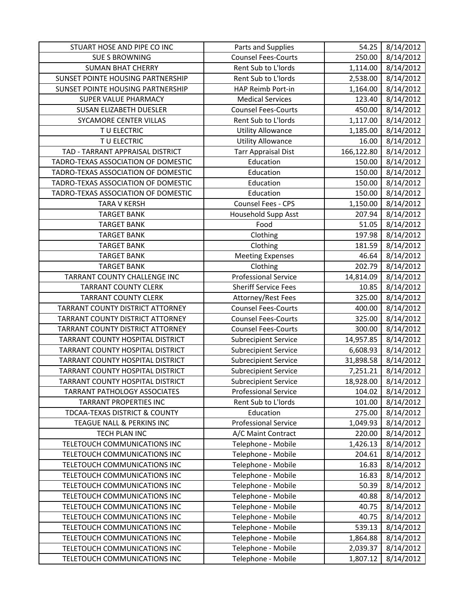| STUART HOSE AND PIPE CO INC         | Parts and Supplies          | 54.25      | 8/14/2012 |
|-------------------------------------|-----------------------------|------------|-----------|
| <b>SUE S BROWNING</b>               | <b>Counsel Fees-Courts</b>  | 250.00     | 8/14/2012 |
| <b>SUMAN BHAT CHERRY</b>            | Rent Sub to L'Iords         | 1,114.00   | 8/14/2012 |
| SUNSET POINTE HOUSING PARTNERSHIP   | Rent Sub to L'Iords         | 2,538.00   | 8/14/2012 |
| SUNSET POINTE HOUSING PARTNERSHIP   | HAP Reimb Port-in           | 1,164.00   | 8/14/2012 |
| SUPER VALUE PHARMACY                | <b>Medical Services</b>     | 123.40     | 8/14/2012 |
| SUSAN ELIZABETH DUESLER             | <b>Counsel Fees-Courts</b>  | 450.00     | 8/14/2012 |
| SYCAMORE CENTER VILLAS              | Rent Sub to L'Iords         | 1,117.00   | 8/14/2012 |
| T U ELECTRIC                        | <b>Utility Allowance</b>    | 1,185.00   | 8/14/2012 |
| TU ELECTRIC                         | <b>Utility Allowance</b>    | 16.00      | 8/14/2012 |
| TAD - TARRANT APPRAISAL DISTRICT    | <b>Tarr Appraisal Dist</b>  | 166,122.80 | 8/14/2012 |
| TADRO-TEXAS ASSOCIATION OF DOMESTIC | Education                   | 150.00     | 8/14/2012 |
| TADRO-TEXAS ASSOCIATION OF DOMESTIC | Education                   | 150.00     | 8/14/2012 |
| TADRO-TEXAS ASSOCIATION OF DOMESTIC | Education                   | 150.00     | 8/14/2012 |
| TADRO-TEXAS ASSOCIATION OF DOMESTIC | Education                   | 150.00     | 8/14/2012 |
| <b>TARA V KERSH</b>                 | Counsel Fees - CPS          | 1,150.00   | 8/14/2012 |
| <b>TARGET BANK</b>                  | <b>Household Supp Asst</b>  | 207.94     | 8/14/2012 |
| <b>TARGET BANK</b>                  | Food                        | 51.05      | 8/14/2012 |
| <b>TARGET BANK</b>                  | Clothing                    | 197.98     | 8/14/2012 |
| <b>TARGET BANK</b>                  | Clothing                    | 181.59     | 8/14/2012 |
| <b>TARGET BANK</b>                  | <b>Meeting Expenses</b>     | 46.64      | 8/14/2012 |
| <b>TARGET BANK</b>                  | Clothing                    | 202.79     | 8/14/2012 |
| TARRANT COUNTY CHALLENGE INC        | <b>Professional Service</b> | 14,814.09  | 8/14/2012 |
| <b>TARRANT COUNTY CLERK</b>         | <b>Sheriff Service Fees</b> | 10.85      | 8/14/2012 |
| <b>TARRANT COUNTY CLERK</b>         | Attorney/Rest Fees          | 325.00     | 8/14/2012 |
| TARRANT COUNTY DISTRICT ATTORNEY    | <b>Counsel Fees-Courts</b>  | 400.00     | 8/14/2012 |
| TARRANT COUNTY DISTRICT ATTORNEY    | <b>Counsel Fees-Courts</b>  | 325.00     | 8/14/2012 |
| TARRANT COUNTY DISTRICT ATTORNEY    | <b>Counsel Fees-Courts</b>  | 300.00     | 8/14/2012 |
| TARRANT COUNTY HOSPITAL DISTRICT    | <b>Subrecipient Service</b> | 14,957.85  | 8/14/2012 |
| TARRANT COUNTY HOSPITAL DISTRICT    | <b>Subrecipient Service</b> | 6,608.93   | 8/14/2012 |
| TARRANT COUNTY HOSPITAL DISTRICT    | Subrecipient Service        | 31,898.58  | 8/14/2012 |
| TARRANT COUNTY HOSPITAL DISTRICT    | <b>Subrecipient Service</b> | 7,251.21   | 8/14/2012 |
| TARRANT COUNTY HOSPITAL DISTRICT    | <b>Subrecipient Service</b> | 18,928.00  | 8/14/2012 |
| <b>TARRANT PATHOLOGY ASSOCIATES</b> | <b>Professional Service</b> | 104.02     | 8/14/2012 |
| TARRANT PROPERTIES INC              | Rent Sub to L'Iords         | 101.00     | 8/14/2012 |
| TDCAA-TEXAS DISTRICT & COUNTY       | Education                   | 275.00     | 8/14/2012 |
| TEAGUE NALL & PERKINS INC           | <b>Professional Service</b> | 1,049.93   | 8/14/2012 |
| TECH PLAN INC                       | A/C Maint Contract          | 220.00     | 8/14/2012 |
| TELETOUCH COMMUNICATIONS INC        | Telephone - Mobile          | 1,426.13   | 8/14/2012 |
| TELETOUCH COMMUNICATIONS INC        | Telephone - Mobile          | 204.61     | 8/14/2012 |
| TELETOUCH COMMUNICATIONS INC        | Telephone - Mobile          | 16.83      | 8/14/2012 |
| TELETOUCH COMMUNICATIONS INC        | Telephone - Mobile          | 16.83      | 8/14/2012 |
| TELETOUCH COMMUNICATIONS INC        | Telephone - Mobile          | 50.39      | 8/14/2012 |
| TELETOUCH COMMUNICATIONS INC        | Telephone - Mobile          | 40.88      | 8/14/2012 |
| TELETOUCH COMMUNICATIONS INC        | Telephone - Mobile          | 40.75      | 8/14/2012 |
| TELETOUCH COMMUNICATIONS INC        | Telephone - Mobile          | 40.75      | 8/14/2012 |
| TELETOUCH COMMUNICATIONS INC        | Telephone - Mobile          | 539.13     | 8/14/2012 |
| TELETOUCH COMMUNICATIONS INC        | Telephone - Mobile          | 1,864.88   | 8/14/2012 |
| TELETOUCH COMMUNICATIONS INC        | Telephone - Mobile          | 2,039.37   | 8/14/2012 |
| TELETOUCH COMMUNICATIONS INC        | Telephone - Mobile          | 1,807.12   | 8/14/2012 |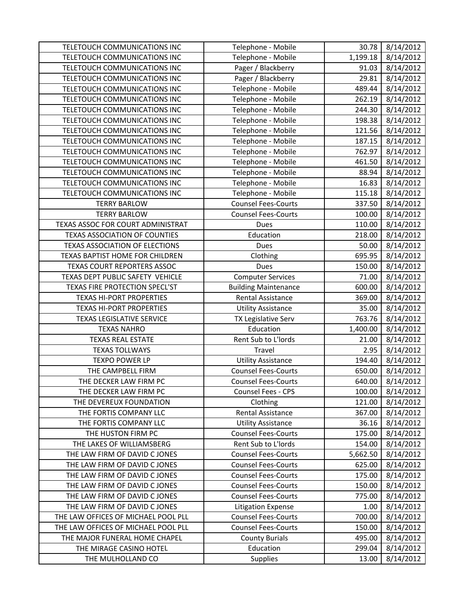| TELETOUCH COMMUNICATIONS INC        | Telephone - Mobile          | 30.78    | 8/14/2012 |
|-------------------------------------|-----------------------------|----------|-----------|
| TELETOUCH COMMUNICATIONS INC        | Telephone - Mobile          | 1,199.18 | 8/14/2012 |
| TELETOUCH COMMUNICATIONS INC        | Pager / Blackberry          | 91.03    | 8/14/2012 |
| TELETOUCH COMMUNICATIONS INC        | Pager / Blackberry          | 29.81    | 8/14/2012 |
| TELETOUCH COMMUNICATIONS INC        | Telephone - Mobile          | 489.44   | 8/14/2012 |
| TELETOUCH COMMUNICATIONS INC        | Telephone - Mobile          | 262.19   | 8/14/2012 |
| TELETOUCH COMMUNICATIONS INC        | Telephone - Mobile          | 244.30   | 8/14/2012 |
| TELETOUCH COMMUNICATIONS INC        | Telephone - Mobile          | 198.38   | 8/14/2012 |
| TELETOUCH COMMUNICATIONS INC        | Telephone - Mobile          | 121.56   | 8/14/2012 |
| TELETOUCH COMMUNICATIONS INC        | Telephone - Mobile          | 187.15   | 8/14/2012 |
| TELETOUCH COMMUNICATIONS INC        | Telephone - Mobile          | 762.97   | 8/14/2012 |
| TELETOUCH COMMUNICATIONS INC        | Telephone - Mobile          | 461.50   | 8/14/2012 |
| TELETOUCH COMMUNICATIONS INC        | Telephone - Mobile          | 88.94    | 8/14/2012 |
| TELETOUCH COMMUNICATIONS INC        | Telephone - Mobile          | 16.83    | 8/14/2012 |
| TELETOUCH COMMUNICATIONS INC        | Telephone - Mobile          | 115.18   | 8/14/2012 |
| <b>TERRY BARLOW</b>                 | <b>Counsel Fees-Courts</b>  | 337.50   | 8/14/2012 |
| <b>TERRY BARLOW</b>                 | <b>Counsel Fees-Courts</b>  | 100.00   | 8/14/2012 |
| TEXAS ASSOC FOR COURT ADMINISTRAT   | Dues                        | 110.00   | 8/14/2012 |
| TEXAS ASSOCIATION OF COUNTIES       | Education                   | 218.00   | 8/14/2012 |
| TEXAS ASSOCIATION OF ELECTIONS      | Dues                        | 50.00    | 8/14/2012 |
| TEXAS BAPTIST HOME FOR CHILDREN     | Clothing                    | 695.95   | 8/14/2012 |
| TEXAS COURT REPORTERS ASSOC         | Dues                        | 150.00   | 8/14/2012 |
| TEXAS DEPT PUBLIC SAFETY VEHICLE    | <b>Computer Services</b>    | 71.00    | 8/14/2012 |
| TEXAS FIRE PROTECTION SPECL'ST      | <b>Building Maintenance</b> | 600.00   | 8/14/2012 |
| <b>TEXAS HI-PORT PROPERTIES</b>     | <b>Rental Assistance</b>    | 369.00   | 8/14/2012 |
| <b>TEXAS HI-PORT PROPERTIES</b>     | <b>Utility Assistance</b>   | 35.00    | 8/14/2012 |
| <b>TEXAS LEGISLATIVE SERVICE</b>    | TX Legislative Serv         | 763.76   | 8/14/2012 |
| <b>TEXAS NAHRO</b>                  | Education                   | 1,400.00 | 8/14/2012 |
| <b>TEXAS REAL ESTATE</b>            | Rent Sub to L'Iords         | 21.00    | 8/14/2012 |
| <b>TEXAS TOLLWAYS</b>               | Travel                      | 2.95     | 8/14/2012 |
| <b>TEXPO POWER LP</b>               | <b>Utility Assistance</b>   | 194.40   | 8/14/2012 |
| THE CAMPBELL FIRM                   | <b>Counsel Fees-Courts</b>  | 650.00   | 8/14/2012 |
| THE DECKER LAW FIRM PC              | <b>Counsel Fees-Courts</b>  | 640.00   | 8/14/2012 |
| THE DECKER LAW FIRM PC              | Counsel Fees - CPS          | 100.00   | 8/14/2012 |
| THE DEVEREUX FOUNDATION             | Clothing                    | 121.00   | 8/14/2012 |
| THE FORTIS COMPANY LLC              | <b>Rental Assistance</b>    | 367.00   | 8/14/2012 |
| THE FORTIS COMPANY LLC              | <b>Utility Assistance</b>   | 36.16    | 8/14/2012 |
| THE HUSTON FIRM PC                  | <b>Counsel Fees-Courts</b>  | 175.00   | 8/14/2012 |
| THE LAKES OF WILLIAMSBERG           | Rent Sub to L'Iords         | 154.00   | 8/14/2012 |
| THE LAW FIRM OF DAVID C JONES       | <b>Counsel Fees-Courts</b>  | 5,662.50 | 8/14/2012 |
| THE LAW FIRM OF DAVID C JONES       | <b>Counsel Fees-Courts</b>  | 625.00   | 8/14/2012 |
| THE LAW FIRM OF DAVID C JONES       | <b>Counsel Fees-Courts</b>  | 175.00   | 8/14/2012 |
| THE LAW FIRM OF DAVID C JONES       | <b>Counsel Fees-Courts</b>  | 150.00   | 8/14/2012 |
| THE LAW FIRM OF DAVID C JONES       | <b>Counsel Fees-Courts</b>  | 775.00   | 8/14/2012 |
| THE LAW FIRM OF DAVID C JONES       | <b>Litigation Expense</b>   | 1.00     | 8/14/2012 |
| THE LAW OFFICES OF MICHAEL POOL PLL | <b>Counsel Fees-Courts</b>  | 700.00   | 8/14/2012 |
| THE LAW OFFICES OF MICHAEL POOL PLL | <b>Counsel Fees-Courts</b>  | 150.00   | 8/14/2012 |
| THE MAJOR FUNERAL HOME CHAPEL       | <b>County Burials</b>       | 495.00   | 8/14/2012 |
| THE MIRAGE CASINO HOTEL             | Education                   | 299.04   | 8/14/2012 |
| THE MULHOLLAND CO                   | <b>Supplies</b>             | 13.00    | 8/14/2012 |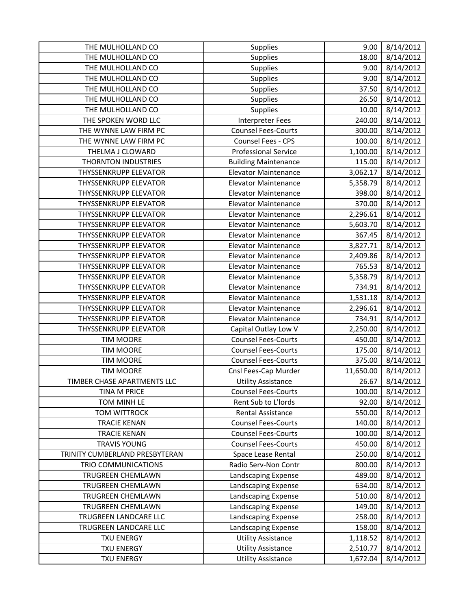| THE MULHOLLAND CO              | Supplies                    | 9.00      | 8/14/2012 |
|--------------------------------|-----------------------------|-----------|-----------|
| THE MULHOLLAND CO              | <b>Supplies</b>             | 18.00     | 8/14/2012 |
| THE MULHOLLAND CO              | <b>Supplies</b>             | 9.00      | 8/14/2012 |
| THE MULHOLLAND CO              | Supplies                    | 9.00      | 8/14/2012 |
| THE MULHOLLAND CO              | <b>Supplies</b>             | 37.50     | 8/14/2012 |
| THE MULHOLLAND CO              | Supplies                    | 26.50     | 8/14/2012 |
| THE MULHOLLAND CO              | Supplies                    | 10.00     | 8/14/2012 |
| THE SPOKEN WORD LLC            | <b>Interpreter Fees</b>     | 240.00    | 8/14/2012 |
| THE WYNNE LAW FIRM PC          | <b>Counsel Fees-Courts</b>  | 300.00    | 8/14/2012 |
| THE WYNNE LAW FIRM PC          | Counsel Fees - CPS          | 100.00    | 8/14/2012 |
| THELMA J CLOWARD               | <b>Professional Service</b> | 1,100.00  | 8/14/2012 |
| <b>THORNTON INDUSTRIES</b>     | <b>Building Maintenance</b> | 115.00    | 8/14/2012 |
| <b>THYSSENKRUPP ELEVATOR</b>   | <b>Elevator Maintenance</b> | 3,062.17  | 8/14/2012 |
| <b>THYSSENKRUPP ELEVATOR</b>   | <b>Elevator Maintenance</b> | 5,358.79  | 8/14/2012 |
| <b>THYSSENKRUPP ELEVATOR</b>   | <b>Elevator Maintenance</b> | 398.00    | 8/14/2012 |
| <b>THYSSENKRUPP ELEVATOR</b>   | <b>Elevator Maintenance</b> | 370.00    | 8/14/2012 |
| <b>THYSSENKRUPP ELEVATOR</b>   | <b>Elevator Maintenance</b> | 2,296.61  | 8/14/2012 |
| <b>THYSSENKRUPP ELEVATOR</b>   | <b>Elevator Maintenance</b> | 5,603.70  | 8/14/2012 |
| <b>THYSSENKRUPP ELEVATOR</b>   | <b>Elevator Maintenance</b> | 367.45    | 8/14/2012 |
| <b>THYSSENKRUPP ELEVATOR</b>   | <b>Elevator Maintenance</b> | 3,827.71  | 8/14/2012 |
| <b>THYSSENKRUPP ELEVATOR</b>   | <b>Elevator Maintenance</b> | 2,409.86  | 8/14/2012 |
| <b>THYSSENKRUPP ELEVATOR</b>   | <b>Elevator Maintenance</b> | 765.53    | 8/14/2012 |
| <b>THYSSENKRUPP ELEVATOR</b>   | <b>Elevator Maintenance</b> | 5,358.79  | 8/14/2012 |
| <b>THYSSENKRUPP ELEVATOR</b>   | <b>Elevator Maintenance</b> | 734.91    | 8/14/2012 |
| <b>THYSSENKRUPP ELEVATOR</b>   | <b>Elevator Maintenance</b> | 1,531.18  | 8/14/2012 |
| <b>THYSSENKRUPP ELEVATOR</b>   | <b>Elevator Maintenance</b> | 2,296.61  | 8/14/2012 |
| <b>THYSSENKRUPP ELEVATOR</b>   | <b>Elevator Maintenance</b> | 734.91    | 8/14/2012 |
| <b>THYSSENKRUPP ELEVATOR</b>   | Capital Outlay Low V        | 2,250.00  | 8/14/2012 |
| <b>TIM MOORE</b>               | <b>Counsel Fees-Courts</b>  | 450.00    | 8/14/2012 |
| <b>TIM MOORE</b>               | <b>Counsel Fees-Courts</b>  | 175.00    | 8/14/2012 |
| <b>TIM MOORE</b>               | <b>Counsel Fees-Courts</b>  | 375.00    | 8/14/2012 |
| <b>TIM MOORE</b>               | Cnsl Fees-Cap Murder        | 11,650.00 | 8/14/2012 |
| TIMBER CHASE APARTMENTS LLC    | <b>Utility Assistance</b>   | 26.67     | 8/14/2012 |
| <b>TINA M PRICE</b>            | <b>Counsel Fees-Courts</b>  | 100.00    | 8/14/2012 |
| TOM MINH LE                    | Rent Sub to L'Iords         | 92.00     | 8/14/2012 |
| <b>TOM WITTROCK</b>            | <b>Rental Assistance</b>    | 550.00    | 8/14/2012 |
| <b>TRACIE KENAN</b>            | <b>Counsel Fees-Courts</b>  | 140.00    | 8/14/2012 |
| <b>TRACIE KENAN</b>            | <b>Counsel Fees-Courts</b>  | 100.00    | 8/14/2012 |
| <b>TRAVIS YOUNG</b>            | <b>Counsel Fees-Courts</b>  | 450.00    | 8/14/2012 |
| TRINITY CUMBERLAND PRESBYTERAN | Space Lease Rental          | 250.00    | 8/14/2012 |
| TRIO COMMUNICATIONS            | Radio Serv-Non Contr        | 800.00    | 8/14/2012 |
| <b>TRUGREEN CHEMLAWN</b>       | Landscaping Expense         | 489.00    | 8/14/2012 |
| TRUGREEN CHEMLAWN              | Landscaping Expense         | 634.00    | 8/14/2012 |
| TRUGREEN CHEMLAWN              | Landscaping Expense         | 510.00    | 8/14/2012 |
| TRUGREEN CHEMLAWN              | Landscaping Expense         | 149.00    | 8/14/2012 |
| TRUGREEN LANDCARE LLC          | Landscaping Expense         | 258.00    | 8/14/2012 |
| TRUGREEN LANDCARE LLC          | Landscaping Expense         | 158.00    | 8/14/2012 |
| <b>TXU ENERGY</b>              | <b>Utility Assistance</b>   | 1,118.52  | 8/14/2012 |
| <b>TXU ENERGY</b>              | <b>Utility Assistance</b>   | 2,510.77  | 8/14/2012 |
|                                | <b>Utility Assistance</b>   | 1,672.04  | 8/14/2012 |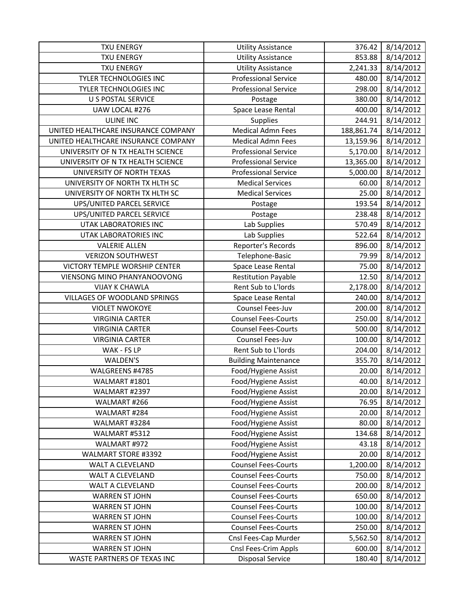| <b>TXU ENERGY</b>                   | <b>Utility Assistance</b>   | 376.42     | 8/14/2012 |
|-------------------------------------|-----------------------------|------------|-----------|
| <b>TXU ENERGY</b>                   | <b>Utility Assistance</b>   | 853.88     | 8/14/2012 |
| <b>TXU ENERGY</b>                   | <b>Utility Assistance</b>   | 2,241.33   | 8/14/2012 |
| TYLER TECHNOLOGIES INC              | <b>Professional Service</b> | 480.00     | 8/14/2012 |
| TYLER TECHNOLOGIES INC              | <b>Professional Service</b> | 298.00     | 8/14/2012 |
| U S POSTAL SERVICE                  | Postage                     | 380.00     | 8/14/2012 |
| UAW LOCAL #276                      | Space Lease Rental          | 400.00     | 8/14/2012 |
| <b>ULINE INC</b>                    | <b>Supplies</b>             | 244.91     | 8/14/2012 |
| UNITED HEALTHCARE INSURANCE COMPANY | <b>Medical Admn Fees</b>    | 188,861.74 | 8/14/2012 |
| UNITED HEALTHCARE INSURANCE COMPANY | <b>Medical Admn Fees</b>    | 13,159.96  | 8/14/2012 |
| UNIVERSITY OF N TX HEALTH SCIENCE   | <b>Professional Service</b> | 5,170.00   | 8/14/2012 |
| UNIVERSITY OF N TX HEALTH SCIENCE   | <b>Professional Service</b> | 13,365.00  | 8/14/2012 |
| UNIVERSITY OF NORTH TEXAS           | <b>Professional Service</b> | 5,000.00   | 8/14/2012 |
| UNIVERSITY OF NORTH TX HLTH SC      | <b>Medical Services</b>     | 60.00      | 8/14/2012 |
| UNIVERSITY OF NORTH TX HLTH SC      | <b>Medical Services</b>     | 25.00      | 8/14/2012 |
| <b>UPS/UNITED PARCEL SERVICE</b>    | Postage                     | 193.54     | 8/14/2012 |
| UPS/UNITED PARCEL SERVICE           | Postage                     | 238.48     | 8/14/2012 |
| UTAK LABORATORIES INC               | Lab Supplies                | 570.49     | 8/14/2012 |
| UTAK LABORATORIES INC               | Lab Supplies                | 522.64     | 8/14/2012 |
| <b>VALERIE ALLEN</b>                | Reporter's Records          | 896.00     | 8/14/2012 |
| <b>VERIZON SOUTHWEST</b>            | Telephone-Basic             | 79.99      | 8/14/2012 |
| VICTORY TEMPLE WORSHIP CENTER       | Space Lease Rental          | 75.00      | 8/14/2012 |
| VIENSONG MINO PHANYANOOVONG         | <b>Restitution Payable</b>  | 12.50      | 8/14/2012 |
| <b>VIJAY K CHAWLA</b>               | Rent Sub to L'Iords         | 2,178.00   | 8/14/2012 |
| VILLAGES OF WOODLAND SPRINGS        | Space Lease Rental          | 240.00     | 8/14/2012 |
| <b>VIOLET NWOKOYE</b>               | Counsel Fees-Juv            | 200.00     | 8/14/2012 |
| <b>VIRGINIA CARTER</b>              | <b>Counsel Fees-Courts</b>  | 250.00     | 8/14/2012 |
| <b>VIRGINIA CARTER</b>              | <b>Counsel Fees-Courts</b>  | 500.00     | 8/14/2012 |
| <b>VIRGINIA CARTER</b>              | Counsel Fees-Juv            | 100.00     | 8/14/2012 |
| WAK - FS LP                         | Rent Sub to L'Iords         | 204.00     | 8/14/2012 |
| WALDEN'S                            | <b>Building Maintenance</b> | 355.70     | 8/14/2012 |
| WALGREENS #4785                     | Food/Hygiene Assist         | 20.00      | 8/14/2012 |
| WALMART #1801                       | Food/Hygiene Assist         | 40.00      | 8/14/2012 |
| WALMART #2397                       | Food/Hygiene Assist         | 20.00      | 8/14/2012 |
| WALMART #266                        | Food/Hygiene Assist         | 76.95      | 8/14/2012 |
| WALMART #284                        | Food/Hygiene Assist         | 20.00      | 8/14/2012 |
| WALMART #3284                       | Food/Hygiene Assist         | 80.00      | 8/14/2012 |
| WALMART #5312                       | Food/Hygiene Assist         | 134.68     | 8/14/2012 |
| WALMART #972                        | Food/Hygiene Assist         | 43.18      | 8/14/2012 |
| <b>WALMART STORE #3392</b>          | Food/Hygiene Assist         | 20.00      | 8/14/2012 |
| WALT A CLEVELAND                    | <b>Counsel Fees-Courts</b>  | 1,200.00   | 8/14/2012 |
| WALT A CLEVELAND                    | <b>Counsel Fees-Courts</b>  | 750.00     | 8/14/2012 |
| WALT A CLEVELAND                    | <b>Counsel Fees-Courts</b>  | 200.00     | 8/14/2012 |
| <b>WARREN ST JOHN</b>               | <b>Counsel Fees-Courts</b>  | 650.00     | 8/14/2012 |
| <b>WARREN ST JOHN</b>               | <b>Counsel Fees-Courts</b>  | 100.00     | 8/14/2012 |
| <b>WARREN ST JOHN</b>               | <b>Counsel Fees-Courts</b>  | 100.00     | 8/14/2012 |
| <b>WARREN ST JOHN</b>               | <b>Counsel Fees-Courts</b>  | 250.00     | 8/14/2012 |
| <b>WARREN ST JOHN</b>               | Cnsl Fees-Cap Murder        | 5,562.50   | 8/14/2012 |
| <b>WARREN ST JOHN</b>               | Cnsl Fees-Crim Appls        | 600.00     | 8/14/2012 |
| WASTE PARTNERS OF TEXAS INC         | <b>Disposal Service</b>     | 180.40     | 8/14/2012 |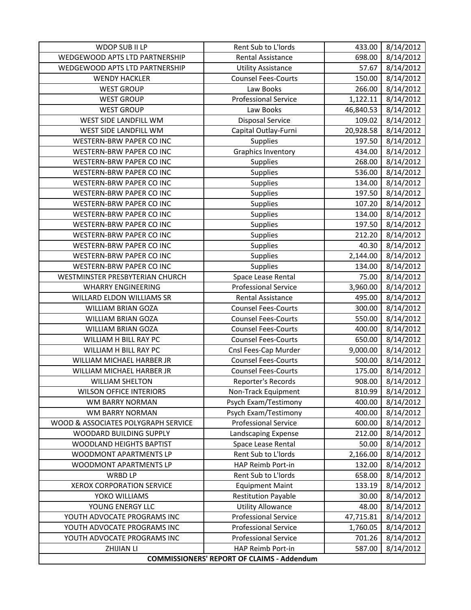| WDOP SUB II LP                      | Rent Sub to L'Iords                               | 433.00    | 8/14/2012 |
|-------------------------------------|---------------------------------------------------|-----------|-----------|
| WEDGEWOOD APTS LTD PARTNERSHIP      | <b>Rental Assistance</b>                          | 698.00    | 8/14/2012 |
| WEDGEWOOD APTS LTD PARTNERSHIP      | <b>Utility Assistance</b>                         | 57.67     | 8/14/2012 |
| <b>WENDY HACKLER</b>                | <b>Counsel Fees-Courts</b>                        | 150.00    | 8/14/2012 |
| <b>WEST GROUP</b>                   | Law Books                                         | 266.00    | 8/14/2012 |
| <b>WEST GROUP</b>                   | <b>Professional Service</b>                       | 1,122.11  | 8/14/2012 |
| <b>WEST GROUP</b>                   | Law Books                                         | 46,840.53 | 8/14/2012 |
| WEST SIDE LANDFILL WM               | <b>Disposal Service</b>                           | 109.02    | 8/14/2012 |
| WEST SIDE LANDFILL WM               | Capital Outlay-Furni                              | 20,928.58 | 8/14/2012 |
| WESTERN-BRW PAPER CO INC            | <b>Supplies</b>                                   | 197.50    | 8/14/2012 |
| WESTERN-BRW PAPER CO INC            | <b>Graphics Inventory</b>                         | 434.00    | 8/14/2012 |
| WESTERN-BRW PAPER CO INC            | <b>Supplies</b>                                   | 268.00    | 8/14/2012 |
| WESTERN-BRW PAPER CO INC            | Supplies                                          | 536.00    | 8/14/2012 |
| WESTERN-BRW PAPER CO INC            | Supplies                                          | 134.00    | 8/14/2012 |
| <b>WESTERN-BRW PAPER CO INC</b>     | Supplies                                          | 197.50    | 8/14/2012 |
| <b>WESTERN-BRW PAPER CO INC</b>     | <b>Supplies</b>                                   | 107.20    | 8/14/2012 |
| WESTERN-BRW PAPER CO INC            | <b>Supplies</b>                                   | 134.00    | 8/14/2012 |
| WESTERN-BRW PAPER CO INC            | Supplies                                          | 197.50    | 8/14/2012 |
| WESTERN-BRW PAPER CO INC            | Supplies                                          | 212.20    | 8/14/2012 |
| <b>WESTERN-BRW PAPER CO INC</b>     | Supplies                                          | 40.30     | 8/14/2012 |
| WESTERN-BRW PAPER CO INC            | Supplies                                          | 2,144.00  | 8/14/2012 |
| <b>WESTERN-BRW PAPER CO INC</b>     | <b>Supplies</b>                                   | 134.00    | 8/14/2012 |
| WESTMINSTER PRESBYTERIAN CHURCH     | Space Lease Rental                                | 75.00     | 8/14/2012 |
| <b>WHARRY ENGINEERING</b>           | <b>Professional Service</b>                       | 3,960.00  | 8/14/2012 |
| WILLARD ELDON WILLIAMS SR           | Rental Assistance                                 | 495.00    | 8/14/2012 |
| WILLIAM BRIAN GOZA                  | <b>Counsel Fees-Courts</b>                        | 300.00    | 8/14/2012 |
| WILLIAM BRIAN GOZA                  | <b>Counsel Fees-Courts</b>                        | 550.00    | 8/14/2012 |
| WILLIAM BRIAN GOZA                  | <b>Counsel Fees-Courts</b>                        | 400.00    | 8/14/2012 |
| WILLIAM H BILL RAY PC               | <b>Counsel Fees-Courts</b>                        | 650.00    | 8/14/2012 |
| WILLIAM H BILL RAY PC               | Cnsl Fees-Cap Murder                              | 9,000.00  | 8/14/2012 |
| WILLIAM MICHAEL HARBER JR           | <b>Counsel Fees-Courts</b>                        | 500.00    | 8/14/2012 |
| WILLIAM MICHAEL HARBER JR           | <b>Counsel Fees-Courts</b>                        | 175.00    | 8/14/2012 |
| <b>WILLIAM SHELTON</b>              | Reporter's Records                                | 908.00    | 8/14/2012 |
| <b>WILSON OFFICE INTERIORS</b>      | Non-Track Equipment                               | 810.99    | 8/14/2012 |
| <b>WM BARRY NORMAN</b>              | Psych Exam/Testimony                              | 400.00    | 8/14/2012 |
| WM BARRY NORMAN                     | Psych Exam/Testimony                              | 400.00    | 8/14/2012 |
| WOOD & ASSOCIATES POLYGRAPH SERVICE | <b>Professional Service</b>                       | 600.00    | 8/14/2012 |
| WOODARD BUILDING SUPPLY             | Landscaping Expense                               | 212.00    | 8/14/2012 |
| WOODLAND HEIGHTS BAPTIST            | Space Lease Rental                                | 50.00     | 8/14/2012 |
| WOODMONT APARTMENTS LP              | Rent Sub to L'Iords                               | 2,166.00  | 8/14/2012 |
| WOODMONT APARTMENTS LP              | HAP Reimb Port-in                                 | 132.00    | 8/14/2012 |
| <b>WRBD LP</b>                      | Rent Sub to L'Iords                               | 658.00    | 8/14/2012 |
| <b>XEROX CORPORATION SERVICE</b>    | <b>Equipment Maint</b>                            | 133.19    | 8/14/2012 |
| YOKO WILLIAMS                       | <b>Restitution Payable</b>                        | 30.00     | 8/14/2012 |
| YOUNG ENERGY LLC                    | <b>Utility Allowance</b>                          | 48.00     | 8/14/2012 |
| YOUTH ADVOCATE PROGRAMS INC         | <b>Professional Service</b>                       | 47,715.81 | 8/14/2012 |
| YOUTH ADVOCATE PROGRAMS INC         | <b>Professional Service</b>                       | 1,760.05  | 8/14/2012 |
| YOUTH ADVOCATE PROGRAMS INC         | <b>Professional Service</b>                       | 701.26    | 8/14/2012 |
| <b>ZHIJIAN LI</b>                   | HAP Reimb Port-in                                 | 587.00    | 8/14/2012 |
|                                     | <b>COMMISSIONERS' REPORT OF CLAIMS - Addendum</b> |           |           |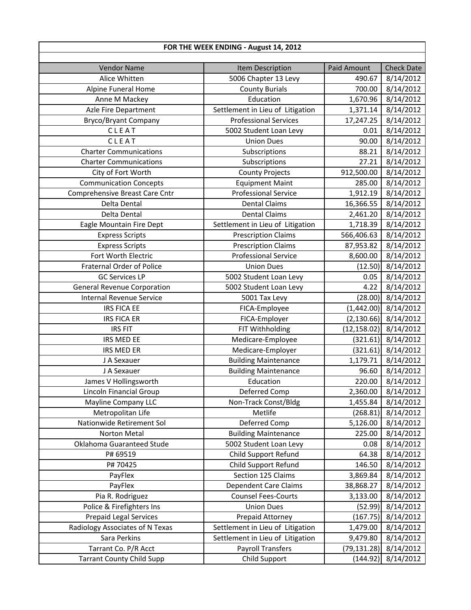| FOR THE WEEK ENDING - August 14, 2012 |                                  |                    |                   |  |
|---------------------------------------|----------------------------------|--------------------|-------------------|--|
| <b>Vendor Name</b>                    | Item Description                 | <b>Paid Amount</b> | <b>Check Date</b> |  |
| Alice Whitten                         | 5006 Chapter 13 Levy             | 490.67             | 8/14/2012         |  |
| Alpine Funeral Home                   | <b>County Burials</b>            | 700.00             | 8/14/2012         |  |
| Anne M Mackey                         | Education                        | 1,670.96           | 8/14/2012         |  |
| Azle Fire Department                  | Settlement in Lieu of Litigation | 1,371.14           | 8/14/2012         |  |
| <b>Bryco/Bryant Company</b>           | <b>Professional Services</b>     | 17,247.25          | 8/14/2012         |  |
| CLEAT                                 | 5002 Student Loan Levy           | 0.01               | 8/14/2012         |  |
| CLEAT                                 | <b>Union Dues</b>                | 90.00              | 8/14/2012         |  |
| <b>Charter Communications</b>         | Subscriptions                    | 88.21              | 8/14/2012         |  |
| <b>Charter Communications</b>         | Subscriptions                    | 27.21              | 8/14/2012         |  |
| City of Fort Worth                    | <b>County Projects</b>           | 912,500.00         | 8/14/2012         |  |
| <b>Communication Concepts</b>         | <b>Equipment Maint</b>           | 285.00             | 8/14/2012         |  |
| Comprehensive Breast Care Cntr        | <b>Professional Service</b>      | 1,912.19           | 8/14/2012         |  |
| Delta Dental                          | <b>Dental Claims</b>             | 16,366.55          | 8/14/2012         |  |
| Delta Dental                          | <b>Dental Claims</b>             | 2,461.20           | 8/14/2012         |  |
| Eagle Mountain Fire Dept              | Settlement in Lieu of Litigation | 1,718.39           | 8/14/2012         |  |
| <b>Express Scripts</b>                | <b>Prescription Claims</b>       | 566,406.63         | 8/14/2012         |  |
| <b>Express Scripts</b>                | <b>Prescription Claims</b>       | 87,953.82          | 8/14/2012         |  |
| Fort Worth Electric                   | <b>Professional Service</b>      | 8,600.00           | 8/14/2012         |  |
| <b>Fraternal Order of Police</b>      | <b>Union Dues</b>                | (12.50)            | 8/14/2012         |  |
| <b>GC Services LP</b>                 | 5002 Student Loan Levy           | 0.05               | 8/14/2012         |  |
| <b>General Revenue Corporation</b>    | 5002 Student Loan Levy           | 4.22               | 8/14/2012         |  |
| <b>Internal Revenue Service</b>       | 5001 Tax Levy                    | (28.00)            | 8/14/2012         |  |
| <b>IRS FICA EE</b>                    | FICA-Employee                    | (1,442.00)         | 8/14/2012         |  |
| <b>IRS FICA ER</b>                    | FICA-Employer                    | (2, 130.66)        | 8/14/2012         |  |
| <b>IRS FIT</b>                        | FIT Withholding                  | (12, 158.02)       | 8/14/2012         |  |
| IRS MED EE                            | Medicare-Employee                | (321.61)           | 8/14/2012         |  |
| <b>IRS MED ER</b>                     | Medicare-Employer                | (321.61)           | 8/14/2012         |  |
| J A Sexauer                           | <b>Building Maintenance</b>      | 1,179.71           | 8/14/2012         |  |
| J A Sexauer                           | <b>Building Maintenance</b>      | 96.60              | 8/14/2012         |  |
| James V Hollingsworth                 | Education                        | 220.00             | 8/14/2012         |  |
| Lincoln Financial Group               | Deferred Comp                    | 2,360.00           | 8/14/2012         |  |
| <b>Mayline Company LLC</b>            | Non-Track Const/Bldg             | 1,455.84           | 8/14/2012         |  |
| Metropolitan Life                     | Metlife                          | (268.81)           | 8/14/2012         |  |
| Nationwide Retirement Sol             | Deferred Comp                    | 5,126.00           | 8/14/2012         |  |
| Norton Metal                          | <b>Building Maintenance</b>      | 225.00             | 8/14/2012         |  |
| Oklahoma Guaranteed Stude             | 5002 Student Loan Levy           | 0.08               | 8/14/2012         |  |
| P# 69519                              | Child Support Refund             | 64.38              | 8/14/2012         |  |
| P#70425                               | Child Support Refund             | 146.50             | 8/14/2012         |  |
| PayFlex                               | Section 125 Claims               | 3,869.84           | 8/14/2012         |  |
| PayFlex                               | Dependent Care Claims            | 38,868.27          | 8/14/2012         |  |
| Pia R. Rodriguez                      | <b>Counsel Fees-Courts</b>       | 3,133.00           | 8/14/2012         |  |
| Police & Firefighters Ins             | <b>Union Dues</b>                | (52.99)            | 8/14/2012         |  |
| <b>Prepaid Legal Services</b>         | Prepaid Attorney                 | (167.75)           | 8/14/2012         |  |
| Radiology Associates of N Texas       | Settlement in Lieu of Litigation | 1,479.00           | 8/14/2012         |  |
| Sara Perkins                          | Settlement in Lieu of Litigation | 9,479.80           | 8/14/2012         |  |
| Tarrant Co. P/R Acct                  | <b>Payroll Transfers</b>         | (79,131.28)        | 8/14/2012         |  |
| <b>Tarrant County Child Supp</b>      | Child Support                    | (144.92)           | 8/14/2012         |  |